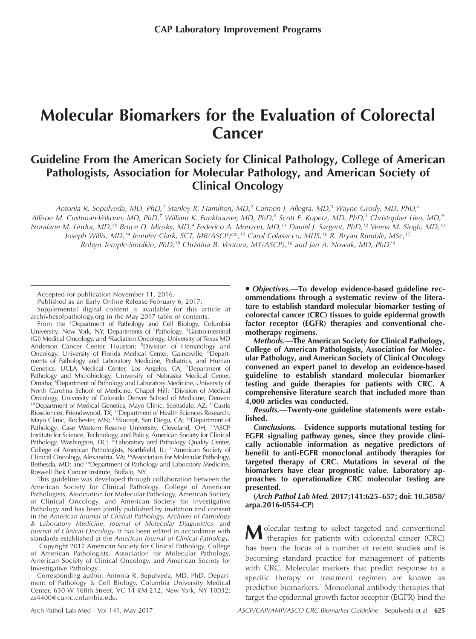# Molecular Biomarkers for the Evaluation of Colorectal Cancer

# Guideline From the American Society for Clinical Pathology, College of American Pathologists, Association for Molecular Pathology, and American Society of Clinical Oncology

Antonia R. Sepulveda, MD, PhD,<sup>1</sup> Stanley R. Hamilton, MD,<sup>2</sup> Carmen J. Allegra, MD,<sup>5</sup> Wayne Grody, MD, PhD,<sup>6</sup> Allison M. Cushman-Vokoun, MD, PhD,7 William K. Funkhouser, MD, PhD,<sup>8</sup> Scott E. Kopetz, MD, PhD,<sup>3</sup> Christopher Lieu, MD,<sup>9</sup> Noralane M. Lindor, MD,<sup>10</sup> Bruce D. Minsky, MD,<sup>4</sup> Federico A. Monzon, MD,<sup>11</sup> Daniel J. Sargent, PhD,<sup>12</sup> Veena M. Singh, MD,<sup>13</sup> Joseph Willis, MD,<sup>14</sup> Jennifer Clark, SCT, MB(ASCP)<sup>cm</sup>,<sup>15</sup> Carol Colasacco, MLIS,<sup>16</sup> R. Bryan Rumble, MSc,<sup>17</sup> Robyn Temple-Smolkin, PhD,<sup>18</sup> Christina B. Ventura, MT(ASCP),<sup>16</sup> and Jan A. Nowak, MD, PhD<sup>19</sup>

Published as an Early Online Release February 6, 2017.

Supplemental digital content is available for this article at archivhesofpathology.org in the May 2017 table of contents.

From the <sup>1</sup>Department of Pathology and Cell Biology, Columbia University, New York, NY; Departments of <sup>2</sup>Pathology, <sup>3</sup>Gastrointestinal (GI) Medical Oncology, and <sup>4</sup> Radiation Oncology, University of Texas MD Anderson Cancer Center, Houston; <sup>5</sup>Division of Hematology and Oncology, University of Florida Medical Center, Gainesville; <sup>6</sup>Departments of Pathology and Laboratory Medicine, Pediatrics, and Human Genetics, UCLA Medical Center, Los Angeles, CA; <sup>7</sup> Department of Pathology and Microbiology, University of Nebraska Medical Center, Omaha; <sup>8</sup> Department of Pathology and Laboratory Medicine, University of North Carolina School of Medicine, Chapel Hill; <sup>9</sup>Division of Medical Oncology, University of Colorado Denver School of Medicine, Denver; <sup>10</sup>Department of Medical Genetics, Mayo Clinic, Scottsdale, AZ; <sup>11</sup>Castle Biosciences, Friendswood, TX; 12Department of Health Sciences Research, Mayo Clinic, Rochester, MN; <sup>13</sup>Biocept, San Diego, CA; <sup>14</sup>Department of Pathology, Case Western Reserve University, Cleveland, OH; <sup>15</sup>ASCP Institute for Science, Technology, and Policy, American Society for Clinical Pathology, Washington, DC; 16Laboratory and Pathology Quality Center, College of American Pathologists, Northfield, IL; 17American Society of Clinical Oncology, Alexandria, VA; 18Association for Molecular Pathology, Bethesda, MD; and 19Department of Pathology and Laboratory Medicine, Roswell Park Cancer Institute, Buffalo, NY.

This guideline was developed through collaboration between the American Society for Clinical Pathology, College of American Pathologists, Association for Molecular Pathology, American Society of Clinical Oncology, and American Society for Investigative Pathology and has been jointly published by invitation and consent in the American Journal of Clinical Pathology, Archives of Pathology & Laboratory Medicine, Journal of Molecular Diagnostics, and Journal of Clinical Oncology. It has been edited in accordance with standards established at the American Journal of Clinical Pathology.

Copyright 2017 American Society for Clinical Pathology, College of American Pathologists, Association for Molecular Pathology, American Society of Clinical Oncology, and American Society for Investigative Pathology.

Corresponding author: Antonia R. Sepulveda, MD, PhD, Department of Pathology & Cell Biology, Columbia University Medical Center, 630 W 168th Street, VC-14 RM 212, New York, NY 10032; [as4400@cumc.columbia.edu](mailto:as4400@cumc.columbia.edu).

· Objectives.-To develop evidence-based guideline recommendations through a systematic review of the literature to establish standard molecular biomarker testing of colorectal cancer (CRC) tissues to guide epidermal growth factor receptor (EGFR) therapies and conventional chemotherapy regimens.

Methods.—The American Society for Clinical Pathology, College of American Pathologists, Association for Molecular Pathology, and American Society of Clinical Oncology convened an expert panel to develop an evidence-based guideline to establish standard molecular biomarker testing and guide therapies for patients with CRC. A comprehensive literature search that included more than 4,000 articles was conducted.

Results.—Twenty-one guideline statements were established.

Conclusions.—Evidence supports mutational testing for EGFR signaling pathway genes, since they provide clinically actionable information as negative predictors of benefit to anti-EGFR monoclonal antibody therapies for targeted therapy of CRC. Mutations in several of the biomarkers have clear prognostic value. Laboratory approaches to operationalize CRC molecular testing are presented.

(Arch Pathol Lab Med. 2017;141:625–657; doi: 10.5858/ arpa.2016-0554-CP)

olecular testing to select targeted and conventional therapies for patients with colorectal cancer (CRC) has been the focus of a number of recent studies and is becoming standard practice for management of patients with CRC. Molecular markers that predict response to a specific therapy or treatment regimen are known as predictive biomarkers.1 Monoclonal antibody therapies that target the epidermal growth factor receptor (EGFR) bind the

Accepted for publication November 11, 2016.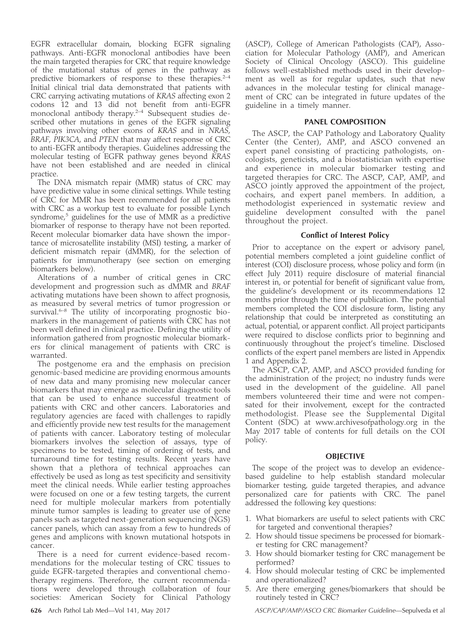EGFR extracellular domain, blocking EGFR signaling pathways. Anti-EGFR monoclonal antibodies have been the main targeted therapies for CRC that require knowledge of the mutational status of genes in the pathway as predictive biomarkers of response to these therapies. $2-4$ Initial clinical trial data demonstrated that patients with CRC carrying activating mutations of KRAS affecting exon 2 codons 12 and 13 did not benefit from anti-EGFR monoclonal antibody therapy.<sup>2-4</sup> Subsequent studies described other mutations in genes of the EGFR signaling pathways involving other exons of KRAS and in NRAS, BRAF, PIK3CA, and PTEN that may affect response of CRC to anti-EGFR antibody therapies. Guidelines addressing the molecular testing of EGFR pathway genes beyond KRAS have not been established and are needed in clinical practice.

The DNA mismatch repair (MMR) status of CRC may have predictive value in some clinical settings. While testing of CRC for MMR has been recommended for all patients with CRC as a workup test to evaluate for possible Lynch syndrome,<sup>5</sup> guidelines for the use of MMR as a predictive biomarker of response to therapy have not been reported. Recent molecular biomarker data have shown the importance of microsatellite instability (MSI) testing, a marker of deficient mismatch repair (dMMR), for the selection of patients for immunotherapy (see section on emerging biomarkers below).

Alterations of a number of critical genes in CRC development and progression such as dMMR and BRAF activating mutations have been shown to affect prognosis, as measured by several metrics of tumor progression or survival.<sup>6–8</sup> The utility of incorporating prognostic biomarkers in the management of patients with CRC has not been well defined in clinical practice. Defining the utility of information gathered from prognostic molecular biomarkers for clinical management of patients with CRC is warranted.

The postgenome era and the emphasis on precision genomic-based medicine are providing enormous amounts of new data and many promising new molecular cancer biomarkers that may emerge as molecular diagnostic tools that can be used to enhance successful treatment of patients with CRC and other cancers. Laboratories and regulatory agencies are faced with challenges to rapidly and efficiently provide new test results for the management of patients with cancer. Laboratory testing of molecular biomarkers involves the selection of assays, type of specimens to be tested, timing of ordering of tests, and turnaround time for testing results. Recent years have shown that a plethora of technical approaches can effectively be used as long as test specificity and sensitivity meet the clinical needs. While earlier testing approaches were focused on one or a few testing targets, the current need for multiple molecular markers from potentially minute tumor samples is leading to greater use of gene panels such as targeted next-generation sequencing (NGS) cancer panels, which can assay from a few to hundreds of genes and amplicons with known mutational hotspots in cancer.

There is a need for current evidence-based recommendations for the molecular testing of CRC tissues to guide EGFR-targeted therapies and conventional chemotherapy regimens. Therefore, the current recommendations were developed through collaboration of four societies: American Society for Clinical Pathology

(ASCP), College of American Pathologists (CAP), Association for Molecular Pathology (AMP), and American Society of Clinical Oncology (ASCO). This guideline follows well-established methods used in their development as well as for regular updates, such that new advances in the molecular testing for clinical management of CRC can be integrated in future updates of the guideline in a timely manner.

# PANEL COMPOSITION

The ASCP, the CAP Pathology and Laboratory Quality Center (the Center), AMP, and ASCO convened an expert panel consisting of practicing pathologists, oncologists, geneticists, and a biostatistician with expertise and experience in molecular biomarker testing and targeted therapies for CRC. The ASCP, CAP, AMP, and ASCO jointly approved the appointment of the project, cochairs, and expert panel members. In addition, a methodologist experienced in systematic review and guideline development consulted with the panel throughout the project.

# Conflict of Interest Policy

Prior to acceptance on the expert or advisory panel, potential members completed a joint guideline conflict of interest (COI) disclosure process, whose policy and form (in effect July 2011) require disclosure of material financial interest in, or potential for benefit of significant value from, the guideline's development or its recommendations 12 months prior through the time of publication. The potential members completed the COI disclosure form, listing any relationship that could be interpreted as constituting an actual, potential, or apparent conflict. All project participants were required to disclose conflicts prior to beginning and continuously throughout the project's timeline. Disclosed conflicts of the expert panel members are listed in Appendix 1 and Appendix 2.

The ASCP, CAP, AMP, and ASCO provided funding for the administration of the project; no industry funds were used in the development of the guideline. All panel members volunteered their time and were not compensated for their involvement, except for the contracted methodologist. Please see the Supplemental Digital Content (SDC) at www.archivesofpathology.org in the May 2017 table of contents for full details on the COI policy.

# **OBJECTIVE**

The scope of the project was to develop an evidencebased guideline to help establish standard molecular biomarker testing, guide targeted therapies, and advance personalized care for patients with CRC. The panel addressed the following key questions:

- 1. What biomarkers are useful to select patients with CRC for targeted and conventional therapies?
- 2. How should tissue specimens be processed for biomarker testing for CRC management?
- 3. How should biomarker testing for CRC management be performed?
- 4. How should molecular testing of CRC be implemented and operationalized?
- 5. Are there emerging genes/biomarkers that should be routinely tested in CRC?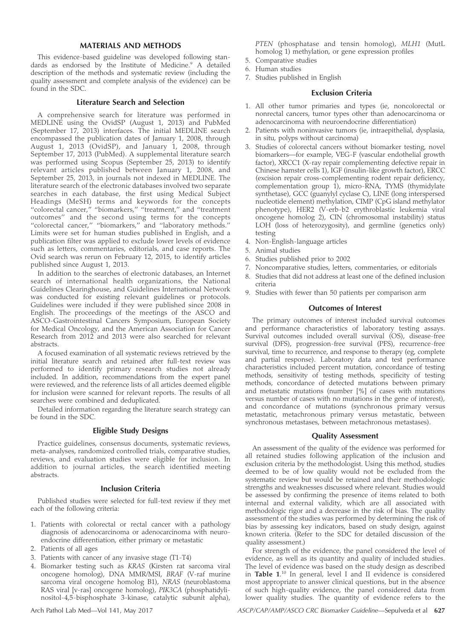# MATERIALS AND METHODS

This evidence-based guideline was developed following standards as endorsed by the Institute of Medicine.<sup>9</sup> A detailed description of the methods and systematic review (including the quality assessment and complete analysis of the evidence) can be found in the SDC.

# Literature Search and Selection

A comprehensive search for literature was performed in MEDLINE using the OvidSP (August 1, 2013) and PubMed (September 17, 2013) interfaces. The initial MEDLINE search encompassed the publication dates of January 1, 2008, through August 1, 2013 (OvidSP), and January 1, 2008, through September 17, 2013 (PubMed). A supplemental literature search was performed using Scopus (September 25, 2013) to identify relevant articles published between January 1, 2008, and September 25, 2013, in journals not indexed in MEDLINE. The literature search of the electronic databases involved two separate searches in each database, the first using Medical Subject Headings (MeSH) terms and keywords for the concepts "colorectal cancer," "biomarkers," "treatment," and "treatment outcomes'' and the second using terms for the concepts ''colorectal cancer,'' ''biomarkers,'' and ''laboratory methods.'' Limits were set for human studies published in English, and a publication filter was applied to exclude lower levels of evidence such as letters, commentaries, editorials, and case reports. The Ovid search was rerun on February 12, 2015, to identify articles published since August 1, 2013.

In addition to the searches of electronic databases, an Internet search of international health organizations, the National Guidelines Clearinghouse, and Guidelines International Network was conducted for existing relevant guidelines or protocols. Guidelines were included if they were published since 2008 in English. The proceedings of the meetings of the ASCO and ASCO-Gastrointestinal Cancers Symposium, European Society for Medical Oncology, and the American Association for Cancer Research from 2012 and 2013 were also searched for relevant abstracts.

A focused examination of all systematic reviews retrieved by the initial literature search and retained after full-text review was performed to identify primary research studies not already included. In addition, recommendations from the expert panel were reviewed, and the reference lists of all articles deemed eligible for inclusion were scanned for relevant reports. The results of all searches were combined and deduplicated.

Detailed information regarding the literature search strategy can be found in the SDC.

# Eligible Study Designs

Practice guidelines, consensus documents, systematic reviews, meta-analyses, randomized controlled trials, comparative studies, reviews, and evaluation studies were eligible for inclusion. In addition to journal articles, the search identified meeting abstracts.

#### Inclusion Criteria

Published studies were selected for full-text review if they met each of the following criteria:

- 1. Patients with colorectal or rectal cancer with a pathology diagnosis of adenocarcinoma or adenocarcinoma with neuroendocrine differentiation, either primary or metastatic
- 2. Patients of all ages
- 3. Patients with cancer of any invasive stage (T1-T4)
- 4. Biomarker testing such as KRAS (Kirsten rat sarcoma viral oncogene homolog), DNA MMR/MSI, BRAF (V-raf murine sarcoma viral oncogene homolog B1), NRAS (neuroblastoma RAS viral [v-ras] oncogene homolog), PIK3CA (phosphatidylinositol-4,5-bisphosphate 3-kinase, catalytic subunit alpha),

PTEN (phosphatase and tensin homolog), MLH1 (MutL homolog 1) methylation, or gene expression profiles

- 5. Comparative studies
- 6. Human studies
- 7. Studies published in English

# Exclusion Criteria

- 1. All other tumor primaries and types (ie, noncolorectal or nonrectal cancers, tumor types other than adenocarcinoma or adenocarcinoma with neuroendocrine differentiation)
- 2. Patients with noninvasive tumors (ie, intraepithelial, dysplasia, in situ, polyps without carcinoma)
- 3. Studies of colorectal cancers without biomarker testing, novel biomarkers—for example, VEG-F (vascular endothelial growth factor), XRCC1 (X-ray repair complementing defective repair in Chinese hamster cells 1), IGF (insulin-like growth factor), ERCC (excision repair cross-complementing rodent repair deficiency, complementation group 1), micro-RNA, TYMS (thymidylate synthetase), GCC (guanylyl cyclase C), LINE (long interspersed nucleotide element) methylation, CIMP (CpG island methylator phenotype), HER2 (V-erb-b2 erythroblastic leukemia viral oncogene homolog 2), CIN (chromosomal instability) status LOH (loss of heterozygosity), and germline (genetics only) testing
- 4. Non-English-language articles
- 5. Animal studies
- 6. Studies published prior to 2002
- 7. Noncomparative studies, letters, commentaries, or editorials
- 8. Studies that did not address at least one of the defined inclusion criteria
- 9. Studies with fewer than 50 patients per comparison arm

#### Outcomes of Interest

The primary outcomes of interest included survival outcomes and performance characteristics of laboratory testing assays. Survival outcomes included overall survival (OS), disease-free survival (DFS), progression-free survival (PFS), recurrence-free survival, time to recurrence, and response to therapy (eg, complete and partial response). Laboratory data and test performance characteristics included percent mutation, concordance of testing methods, sensitivity of testing methods, specificity of testing methods, concordance of detected mutations between primary and metastatic mutations (number [%] of cases with mutations versus number of cases with no mutations in the gene of interest), and concordance of mutations (synchronous primary versus metastatic, metachronous primary versus metastatic, between synchronous metastases, between metachronous metastases).

#### Quality Assessment

An assessment of the quality of the evidence was performed for all retained studies following application of the inclusion and exclusion criteria by the methodologist. Using this method, studies deemed to be of low quality would not be excluded from the systematic review but would be retained and their methodologic strengths and weaknesses discussed where relevant. Studies would be assessed by confirming the presence of items related to both internal and external validity, which are all associated with methodologic rigor and a decrease in the risk of bias. The quality assessment of the studies was performed by determining the risk of bias by assessing key indicators, based on study design, against known criteria. (Refer to the SDC for detailed discussion of the quality assessment.)

For strength of the evidence, the panel considered the level of evidence, as well as its quantity and quality of included studies. The level of evidence was based on the study design as described in Table 1.<sup>10</sup> In general, level I and II evidence is considered most appropriate to answer clinical questions, but in the absence of such high-quality evidence, the panel considered data from lower quality studies. The quantity of evidence refers to the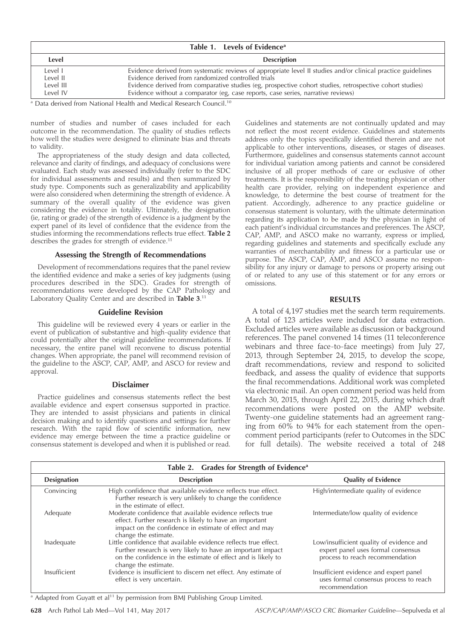| Table 1. Levels of Evidence <sup>a</sup> |                                                                                                              |  |  |
|------------------------------------------|--------------------------------------------------------------------------------------------------------------|--|--|
| Level                                    | <b>Description</b>                                                                                           |  |  |
| Level L                                  | Evidence derived from systematic reviews of appropriate level II studies and/or clinical practice guidelines |  |  |
| Level II                                 | Evidence derived from randomized controlled trials                                                           |  |  |
| Level III                                | Evidence derived from comparative studies (eg, prospective cohort studies, retrospective cohort studies)     |  |  |
| Level IV                                 | Evidence without a comparator (eg, case reports, case series, narrative reviews)                             |  |  |
| .                                        | $\blacksquare$                                                                                               |  |  |

<sup>a</sup> Data derived from National Health and Medical Research Council.<sup>10</sup>

number of studies and number of cases included for each outcome in the recommendation. The quality of studies reflects how well the studies were designed to eliminate bias and threats to validity.

The appropriateness of the study design and data collected, relevance and clarity of findings, and adequacy of conclusions were evaluated. Each study was assessed individually (refer to the SDC for individual assessments and results) and then summarized by study type. Components such as generalizability and applicability were also considered when determining the strength of evidence. A summary of the overall quality of the evidence was given considering the evidence in totality. Ultimately, the designation (ie, rating or grade) of the strength of evidence is a judgment by the expert panel of its level of confidence that the evidence from the studies informing the recommendations reflects true effect. Table 2 describes the grades for strength of evidence.<sup>11</sup>

# Assessing the Strength of Recommendations

Development of recommendations requires that the panel review the identified evidence and make a series of key judgments (using procedures described in the SDC). Grades for strength of recommendations were developed by the CAP Pathology and Laboratory Quality Center and are described in Table 3.<sup>11</sup>

# Guideline Revision

This guideline will be reviewed every 4 years or earlier in the event of publication of substantive and high-quality evidence that could potentially alter the original guideline recommendations. If necessary, the entire panel will reconvene to discuss potential changes. When appropriate, the panel will recommend revision of the guideline to the ASCP, CAP, AMP, and ASCO for review and approval.

## Disclaimer

Practice guidelines and consensus statements reflect the best available evidence and expert consensus supported in practice. They are intended to assist physicians and patients in clinical decision making and to identify questions and settings for further research. With the rapid flow of scientific information, new evidence may emerge between the time a practice guideline or consensus statement is developed and when it is published or read.

Guidelines and statements are not continually updated and may not reflect the most recent evidence. Guidelines and statements address only the topics specifically identified therein and are not applicable to other interventions, diseases, or stages of diseases. Furthermore, guidelines and consensus statements cannot account for individual variation among patients and cannot be considered inclusive of all proper methods of care or exclusive of other treatments. It is the responsibility of the treating physician or other health care provider, relying on independent experience and knowledge, to determine the best course of treatment for the patient. Accordingly, adherence to any practice guideline or consensus statement is voluntary, with the ultimate determination regarding its application to be made by the physician in light of each patient's individual circumstances and preferences. The ASCP, CAP, AMP, and ASCO make no warranty, express or implied, regarding guidelines and statements and specifically exclude any warranties of merchantability and fitness for a particular use or purpose. The ASCP, CAP, AMP, and ASCO assume no responsibility for any injury or damage to persons or property arising out of or related to any use of this statement or for any errors or omissions.

# **RESULTS**

A total of 4,197 studies met the search term requirements. A total of 123 articles were included for data extraction. Excluded articles were available as discussion or background references. The panel convened 14 times (11 teleconference webinars and three face-to-face meetings) from July 27, 2013, through September 24, 2015, to develop the scope, draft recommendations, review and respond to solicited feedback, and assess the quality of evidence that supports the final recommendations. Additional work was completed via electronic mail. An open comment period was held from March 30, 2015, through April 22, 2015, during which draft recommendations were posted on the AMP website. Twenty-one guideline statements had an agreement ranging from 60% to 94% for each statement from the opencomment period participants (refer to Outcomes in the SDC for full details). The website received a total of 248

|                    | Table 2. Grades for Strength of Evidence <sup>a</sup>                                                                                                                                                                  |                                                                                                                   |  |  |  |
|--------------------|------------------------------------------------------------------------------------------------------------------------------------------------------------------------------------------------------------------------|-------------------------------------------------------------------------------------------------------------------|--|--|--|
| <b>Designation</b> | <b>Description</b>                                                                                                                                                                                                     | <b>Quality of Evidence</b>                                                                                        |  |  |  |
| Convincing         | High confidence that available evidence reflects true effect.<br>Further research is very unlikely to change the confidence<br>in the estimate of effect.                                                              | High/intermediate quality of evidence                                                                             |  |  |  |
| Adequate           | Moderate confidence that available evidence reflects true<br>effect. Further research is likely to have an important<br>impact on the confidence in estimate of effect and may<br>change the estimate.                 | Intermediate/low quality of evidence                                                                              |  |  |  |
| Inadequate         | Little confidence that available evidence reflects true effect.<br>Further research is very likely to have an important impact<br>on the confidence in the estimate of effect and is likely to<br>change the estimate. | Low/insufficient quality of evidence and<br>expert panel uses formal consensus<br>process to reach recommendation |  |  |  |
| Insufficient       | Evidence is insufficient to discern net effect. Any estimate of<br>effect is very uncertain.                                                                                                                           | Insufficient evidence and expert panel<br>uses formal consensus process to reach<br>recommendation                |  |  |  |

<sup>a</sup> Adapted from Guyatt et al<sup>11</sup> by permission from BMJ Publishing Group Limited.

628 Arch Pathol Lab Med-Vol 141, May 2017 ASCP/CAP/AMP/ASCO CRC Biomarker Guideline-Sepulveda et al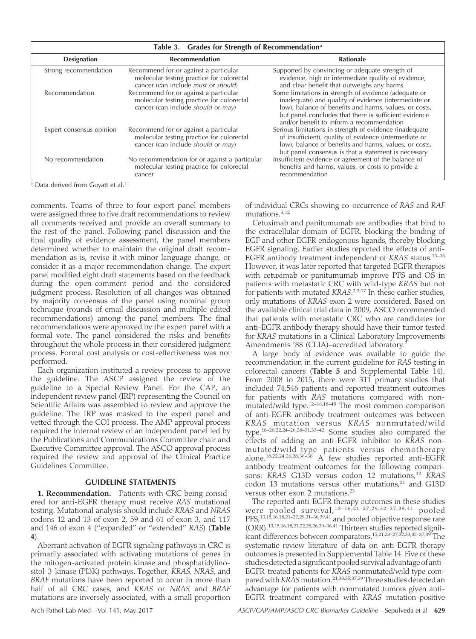| Table 3. Grades for Strength of Recommendation <sup>a</sup> |                                                                                                                           |                                                                                                                                                                                                                                                                               |  |  |
|-------------------------------------------------------------|---------------------------------------------------------------------------------------------------------------------------|-------------------------------------------------------------------------------------------------------------------------------------------------------------------------------------------------------------------------------------------------------------------------------|--|--|
| <b>Designation</b>                                          | <b>Recommendation</b>                                                                                                     | <b>Rationale</b>                                                                                                                                                                                                                                                              |  |  |
| Strong recommendation                                       | Recommend for or against a particular<br>molecular testing practice for colorectal<br>cancer (can include must or should) | Supported by convincing or adequate strength of<br>evidence, high or intermediate quality of evidence,<br>and clear benefit that outweighs any harms                                                                                                                          |  |  |
| Recommendation                                              | Recommend for or against a particular<br>molecular testing practice for colorectal<br>cancer (can include should or may)  | Some limitations in strength of evidence (adequate or<br>inadequate) and quality of evidence (intermediate or<br>low), balance of benefits and harms, values, or costs,<br>but panel concludes that there is sufficient evidence<br>and/or benefit to inform a recommendation |  |  |
| Expert consensus opinion                                    | Recommend for or against a particular<br>molecular testing practice for colorectal<br>cancer (can include should or may)  | Serious limitations in strength of evidence (inadequate<br>of insufficient), quality of evidence (intermediate or<br>low), balance of benefits and harms, values, or costs,<br>but panel consensus is that a statement is necessary                                           |  |  |
| No recommendation                                           | No recommendation for or against a particular<br>molecular testing practice for colorectal<br>cancer                      | Insufficient evidence or agreement of the balance of<br>benefits and harms, values, or costs to provide a<br>recommendation                                                                                                                                                   |  |  |

<sup>a</sup> Data derived from Guyatt et al.<sup>11</sup>

comments. Teams of three to four expert panel members were assigned three to five draft recommendations to review all comments received and provide an overall summary to the rest of the panel. Following panel discussion and the final quality of evidence assessment, the panel members determined whether to maintain the original draft recommendation as is, revise it with minor language change, or consider it as a major recommendation change. The expert panel modified eight draft statements based on the feedback during the open-comment period and the considered judgment process. Resolution of all changes was obtained by majority consensus of the panel using nominal group technique (rounds of email discussion and multiple edited recommendations) among the panel members. The final recommendations were approved by the expert panel with a formal vote. The panel considered the risks and benefits throughout the whole process in their considered judgment process. Formal cost analysis or cost-effectiveness was not performed.

Each organization instituted a review process to approve the guideline. The ASCP assigned the review of the guideline to a Special Review Panel. For the CAP, an independent review panel (IRP) representing the Council on Scientific Affairs was assembled to review and approve the guideline. The IRP was masked to the expert panel and vetted through the COI process. The AMP approval process required the internal review of an independent panel led by the Publications and Communications Committee chair and Executive Committee approval. The ASCO approval process required the review and approval of the Clinical Practice Guidelines Committee.

# GUIDELINE STATEMENTS

1. Recommendation.—Patients with CRC being considered for anti-EGFR therapy must receive RAS mutational testing. Mutational analysis should include KRAS and NRAS codons 12 and 13 of exon 2, 59 and 61 of exon 3, and 117 and 146 of exon 4 ("expanded" or "extended" RAS) (Table 4).

Aberrant activation of EGFR signaling pathways in CRC is primarily associated with activating mutations of genes in the mitogen-activated protein kinase and phosphatidylinositol-3-kinase (PI3K) pathways. Together, KRAS, NRAS, and BRAF mutations have been reported to occur in more than half of all CRC cases, and KRAS or NRAS and BRAF mutations are inversely associated, with a small proportion

of individual CRCs showing co-occurrence of RAS and RAF mutations.3,12

Cetuximab and panitumumab are antibodies that bind to the extracellular domain of EGFR, blocking the binding of EGF and other EGFR endogenous ligands, thereby blocking EGFR signaling. Earlier studies reported the effects of anti-EGFR antibody treatment independent of KRAS status.13–16 However, it was later reported that targeted EGFR therapies with cetuximab or panitumumab improve PFS and OS in patients with metastatic CRC with wild-type KRAS but not for patients with mutated  $KRAS.^{2,3,17}$  In these earlier studies, only mutations of KRAS exon 2 were considered. Based on the available clinical trial data in 2009, ASCO recommended that patients with metastatic CRC who are candidates for anti-EGFR antibody therapy should have their tumor tested for KRAS mutations in a Clinical Laboratory Improvements Amendments '88 (CLIA)–accredited laboratory.<sup>2</sup>

A large body of evidence was available to guide the recommendation in the current guideline for RAS testing in colorectal cancers (Table 5 and Supplemental Table 14). From 2008 to 2015, there were 311 primary studies that included 74,546 patients and reported treatment outcomes for patients with RAS mutations compared with nonmutated/wild type.12–16,18–45 The most common comparison of anti-EGFR antibody treatment outcomes was between KRAS mutation versus KRAS nonmutated/wild type.18–20,22,24–26,28–31,33–42 Some studies also compared the effects of adding an anti-EGFR inhibitor to KRAS nonmutated/wild-type patients versus chemotherapy alone.18,22,24,26,28,36–38 A few studies reported anti-EGFR antibody treatment outcomes for the following comparisons: KRAS G13D versus codon 12 mutations,<sup>32</sup> KRAS codon 13 mutations versus other mutations, $21$  and G13D versus other exon 2 mutations.<sup>23</sup>

The reported anti-EGFR therapy outcomes in these studies were pooled survival,  $1^{3-16,21-27,29,32-37,39,41}$  pooled PFS,13,15,16,18,21–27,29,31–36,39,41 and pooled objective response rate (ORR).13,15,16,18,21,22,25,26,30–36,41 Thirteen studies reported significant differences between comparators.15,21,23–27,32,33,35–37,39 The systematic review literature of data on anti-EGFR therapy outcomes is presented in Supplemental Table 14. Five of these studies detected a significant pooled survival advantage of anti– EGFR-treated patients for KRAS nonmutated/wild type compared with KRAS mutation.21,33,35,37,39 Three studies detected an advantage for patients with nonmutated tumors given anti-EGFR treatment compared with KRAS mutation-positive

Arch Pathol Lab Med—Vol 141, May 2017 **ASCP/CAP/AMP/ASCO CRC Biomarker Guideline—Sepulveda et al 629**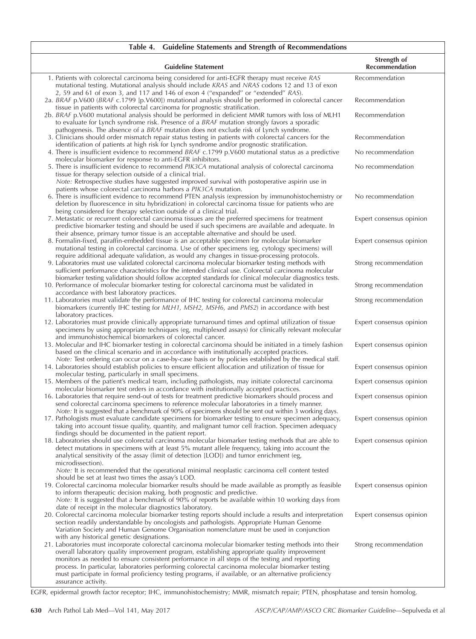# Table 4. Guideline Statements and Strength of Recommendations

| <b>Guideline Statement</b>                                                                                                                                                                                                                                                                                                                                                                                                                                                                                                                | Strength of<br><b>Recommendation</b> |
|-------------------------------------------------------------------------------------------------------------------------------------------------------------------------------------------------------------------------------------------------------------------------------------------------------------------------------------------------------------------------------------------------------------------------------------------------------------------------------------------------------------------------------------------|--------------------------------------|
| 1. Patients with colorectal carcinoma being considered for anti-EGFR therapy must receive RAS<br>mutational testing. Mutational analysis should include KRAS and NRAS codons 12 and 13 of exon                                                                                                                                                                                                                                                                                                                                            | Recommendation                       |
| 2, 59 and 61 of exon 3, and 117 and 146 of exon 4 ("expanded" or "extended" RAS).<br>2a. BRAF p.V600 (BRAF c.1799 [p.V600]) mutational analysis should be performed in colorectal cancer                                                                                                                                                                                                                                                                                                                                                  | Recommendation                       |
| tissue in patients with colorectal carcinoma for prognostic stratification.<br>2b. BRAF p.V600 mutational analysis should be performed in deficient MMR tumors with loss of MLH1<br>to evaluate for Lynch syndrome risk. Presence of a <i>BRAF</i> mutation strongly favors a sporadic                                                                                                                                                                                                                                                    | Recommendation                       |
| pathogenesis. The absence of a <i>BRAF</i> mutation does not exclude risk of Lynch syndrome.<br>3. Clinicians should order mismatch repair status testing in patients with colorectal cancers for the<br>identification of patients at high risk for Lynch syndrome and/or prognostic stratification.                                                                                                                                                                                                                                     | Recommendation                       |
| 4. There is insufficient evidence to recommend BRAF c.1799 p.V600 mutational status as a predictive<br>molecular biomarker for response to anti-EGFR inhibitors.                                                                                                                                                                                                                                                                                                                                                                          | No recommendation                    |
| 5. There is insufficient evidence to recommend PIK3CA mutational analysis of colorectal carcinoma<br>tissue for therapy selection outside of a clinical trial.<br>Note: Retrospective studies have suggested improved survival with postoperative aspirin use in                                                                                                                                                                                                                                                                          | No recommendation                    |
| patients whose colorectal carcinoma harbors a PIK3CA mutation.<br>6. There is insufficient evidence to recommend PTEN analysis (expression by immunohistochemistry or<br>deletion by fluorescence in situ hybridization) in colorectal carcinoma tissue for patients who are<br>being considered for therapy selection outside of a clinical trial.                                                                                                                                                                                       | No recommendation                    |
| 7. Metastatic or recurrent colorectal carcinoma tissues are the preferred specimens for treatment<br>predictive biomarker testing and should be used if such specimens are available and adequate. In<br>their absence, primary tumor tissue is an acceptable alternative and should be used.                                                                                                                                                                                                                                             | Expert consensus opinion             |
| 8. Formalin-fixed, paraffin-embedded tissue is an acceptable specimen for molecular biomarker<br>mutational testing in colorectal carcinoma. Use of other specimens (eg, cytology specimens) will<br>require additional adequate validation, as would any changes in tissue-processing protocols.                                                                                                                                                                                                                                         | Expert consensus opinion             |
| 9. Laboratories must use validated colorectal carcinoma molecular biomarker testing methods with<br>sufficient performance characteristics for the intended clinical use. Colorectal carcinoma molecular<br>biomarker testing validation should follow accepted standards for clinical molecular diagnostics tests.                                                                                                                                                                                                                       | Strong recommendation                |
| 10. Performance of molecular biomarker testing for colorectal carcinoma must be validated in<br>accordance with best laboratory practices.                                                                                                                                                                                                                                                                                                                                                                                                | Strong recommendation                |
| 11. Laboratories must validate the performance of IHC testing for colorectal carcinoma molecular<br>biomarkers (currently IHC testing for MLH1, MSH2, MSH6, and PMS2) in accordance with best<br>laboratory practices.                                                                                                                                                                                                                                                                                                                    | Strong recommendation                |
| 12. Laboratories must provide clinically appropriate turnaround times and optimal utilization of tissue<br>specimens by using appropriate techniques (eg, multiplexed assays) for clinically relevant molecular<br>and immunohistochemical biomarkers of colorectal cancer.                                                                                                                                                                                                                                                               | Expert consensus opinion             |
| 13. Molecular and IHC biomarker testing in colorectal carcinoma should be initiated in a timely fashion<br>based on the clinical scenario and in accordance with institutionally accepted practices.<br>Note: Test ordering can occur on a case-by-case basis or by policies established by the medical staff.                                                                                                                                                                                                                            | Expert consensus opinion             |
| 14. Laboratories should establish policies to ensure efficient allocation and utilization of tissue for<br>molecular testing, particularly in small specimens.                                                                                                                                                                                                                                                                                                                                                                            | Expert consensus opinion             |
| 15. Members of the patient's medical team, including pathologists, may initiate colorectal carcinoma<br>molecular biomarker test orders in accordance with institutionally accepted practices.                                                                                                                                                                                                                                                                                                                                            | Expert consensus opinion             |
| 16. Laboratories that require send-out of tests for treatment predictive biomarkers should process and<br>send colorectal carcinoma specimens to reference molecular laboratories in a timely manner.<br>Note: It is suggested that a benchmark of 90% of specimens should be sent out within 3 working days.                                                                                                                                                                                                                             | Expert consensus opinion             |
| 17. Pathologists must evaluate candidate specimens for biomarker testing to ensure specimen adequacy,<br>taking into account tissue quality, quantity, and malignant tumor cell fraction. Specimen adequacy<br>findings should be documented in the patient report.                                                                                                                                                                                                                                                                       | Expert consensus opinion             |
| 18. Laboratories should use colorectal carcinoma molecular biomarker testing methods that are able to<br>detect mutations in specimens with at least 5% mutant allele frequency, taking into account the<br>analytical sensitivity of the assay (limit of detection [LOD]) and tumor enrichment (eg,<br>microdissection).<br><i>Note:</i> It is recommended that the operational minimal neoplastic carcinoma cell content tested                                                                                                         | Expert consensus opinion             |
| should be set at least two times the assay's LOD.<br>19. Colorectal carcinoma molecular biomarker results should be made available as promptly as feasible<br>to inform therapeutic decision making, both prognostic and predictive.<br><i>Note:</i> It is suggested that a benchmark of 90% of reports be available within 10 working days from<br>date of receipt in the molecular diagnostics laboratory.                                                                                                                              | Expert consensus opinion             |
| 20. Colorectal carcinoma molecular biomarker testing reports should include a results and interpretation<br>section readily understandable by oncologists and pathologists. Appropriate Human Genome<br>Variation Society and Human Genome Organisation nomenclature must be used in conjunction<br>with any historical genetic designations.                                                                                                                                                                                             | Expert consensus opinion             |
| 21. Laboratories must incorporate colorectal carcinoma molecular biomarker testing methods into their<br>overall laboratory quality improvement program, establishing appropriate quality improvement<br>monitors as needed to ensure consistent performance in all steps of the testing and reporting<br>process. In particular, laboratories performing colorectal carcinoma molecular biomarker testing<br>must participate in formal proficiency testing programs, if available, or an alternative proficiency<br>assurance activity. | Strong recommendation                |

EGFR, epidermal growth factor receptor; IHC, immunohistochemistry; MMR, mismatch repair; PTEN, phosphatase and tensin homolog.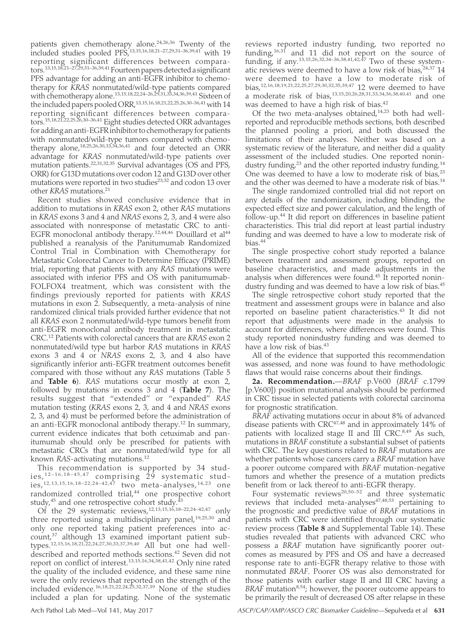patients given chemotherapy alone.<sup>24,26,36</sup> Twenty of the included studies pooled PFS,  $^{13,15,16,18,21-27,29,31-36,39,41'}$  with 19 reporting significant differences between comparators.<sup>13,15,18,21–27,29,31–36,39,41</sup> Fourteen papers detected a significant PFS advantage for adding an anti-EGFR inhibitor to chemotherapy for KRAS nonmutated/wild-type patients compared with chemotherapy alone.<sup>13,15,18,22,24–26,29,31,33,34,36,39,41</sup> Sixteen of the included papers pooled ORR,  $^{13,15,16,18,21,22,25,26,30-36,41}$  with 14 reporting significant differences between comparators.15,18,21,22,25,26,30–36,41 Eight studies detected ORR advantages for adding an anti-EGFR inhibitor to chemotherapy for patients with nonmutated/wild-type tumors compared with chemotherapy alone,18,25,26,30,33,34,36,41 and four detected an ORR advantage for KRAS nonmutated/wild-type patients over mutation patients.22,31,32,35 Survival advantages (OS and PFS, ORR) for G13D mutations over codon 12 and G13D over other mutations were reported in two studies<sup>23,32</sup> and codon 13 over other KRAS mutations.<sup>21</sup>

Recent studies showed conclusive evidence that in addition to mutations in KRAS exon 2, other RAS mutations in KRAS exons 3 and 4 and NRAS exons 2, 3, and 4 were also associated with nonresponse of metastatic CRC to anti-EGFR monoclonal antibody therapy.<sup>12,44,46</sup> Douillard et al<sup>44</sup> published a reanalysis of the Panitumumab Randomized Control Trial in Combination with Chemotherapy for Metastatic Colorectal Cancer to Determine Efficacy (PRIME) trial, reporting that patients with any RAS mutations were associated with inferior PFS and OS with panitumumab-FOLFOX4 treatment, which was consistent with the findings previously reported for patients with KRAS mutations in exon 2. Subsequently, a meta-analysis of nine randomized clinical trials provided further evidence that not all KRAS exon 2 nonmutated/wild-type tumors benefit from anti-EGFR monoclonal antibody treatment in metastatic CRC.12 Patients with colorectal cancers that are KRAS exon 2 nonmutated/wild type but harbor RAS mutations in KRAS exons 3 and 4 or NRAS exons 2, 3, and 4 also have significantly inferior anti-EGFR treatment outcomes benefit compared with those without any RAS mutations (Table 5 and Table 6). RAS mutations occur mostly at exon 2, followed by mutations in exons  $3$  and  $4$  (Table 7). The results suggest that ''extended'' or ''expanded'' RAS mutation testing (KRAS exons 2, 3, and 4 and NRAS exons 2, 3, and 4) must be performed before the administration of an anti-EGFR monoclonal antibody therapy.12 In summary, current evidence indicates that both cetuximab and panitumumab should only be prescribed for patients with metastatic CRCs that are nonmutated/wild type for all known RAS-activating mutations.<sup>12</sup>

This recommendation is supported by 34 studies,  $12-16,18-45,47$  comprising  $29$  systematic studies, $^{12,13,15,16,18-22,24-42,47}$  two meta-analyses, $^{14,23}$  one randomized controlled trial,<sup>44</sup> one prospective cohort study,<sup>45</sup> and one retrospective cohort study.<sup>43</sup>

Of the 29 systematic reviews,  $12,13,15,16,18-22,24-42,47$  only three reported using a multidisciplinary panel,<sup>19,25,30</sup> and only one reported taking patient preferences into account,<sup>37</sup> although 13 examined important patient subtypes.12,15,16,18,21,22,24,27,30,33,37,39,40 All but one had welldescribed and reported methods sections.<sup>42</sup> Seven did not report on conflict of interest.13,15,16,34,38,41,42 Only nine rated the quality of the included evidence, and these same nine were the only reviews that reported on the strength of the included evidence.16,18,21,22,24,25,32,37,39 None of the studies included a plan for updating. None of the systematic

reviews reported industry funding, two reported no funding, $16,31$  and 11 did not report on the source of funding, if any.<sup>13,15,26,32,34–36,38,41,42, $\frac{1}{47}$  Two of these system-</sup> atic reviews were deemed to have a low risk of bias,  $24,37$  14 were deemed to have a low to moderate risk of bias,<sup>12,16,18,19,21,22,25,27,29,30,32,35,39,47</sup> 12 were deemed to have a moderate risk of bias,<sup>13,15,20,26,28,31,33,34,36,38,40,41</sup> and one was deemed to have a high risk of bias.<sup>42</sup>

Of the two meta-analyses obtained, $14,23$  both had wellreported and reproducible methods sections, both described the planned pooling a priori, and both discussed the limitations of their analyses. Neither was based on a systematic review of the literature, and neither did a quality assessment of the included studies. One reported nonindustry funding,<sup>23</sup> and the other reported industry funding.<sup>14</sup> One was deemed to have a low to moderate risk of bias,<sup>23</sup> and the other was deemed to have a moderate risk of bias.<sup>14</sup>

The single randomized controlled trial did not report on any details of the randomization, including blinding, the expected effect size and power calculation, and the length of follow-up.<sup>44</sup> It did report on differences in baseline patient characteristics. This trial did report at least partial industry funding and was deemed to have a low to moderate risk of bias.44

The single prospective cohort study reported a balance between treatment and assessment groups, reported on baseline characteristics, and made adjustments in the analysis when differences were found.<sup>45</sup> It reported nonindustry funding and was deemed to have a low risk of bias.<sup>45</sup>

The single retrospective cohort study reported that the treatment and assessment groups were in balance and also reported on baseline patient characteristics.<sup>43</sup> It did not report that adjustments were made in the analysis to account for differences, where differences were found. This study reported nonindustry funding and was deemed to have a low risk of bias.<sup>43</sup>

All of the evidence that supported this recommendation was assessed, and none was found to have methodologic flaws that would raise concerns about their findings.

2a. Recommendation.-BRAF p.V600 (BRAF c.1799 [p.V600]) position mutational analysis should be performed in CRC tissue in selected patients with colorectal carcinoma for prognostic stratification.

BRAF activating mutations occur in about 8% of advanced disease patients with CRC<sup>47,48</sup> and in approximately 14% of patients with localized stage II and III CRC.<sup>8,49</sup> As such, mutations in BRAF constitute a substantial subset of patients with CRC. The key questions related to BRAF mutations are whether patients whose cancers carry a BRAF mutation have a poorer outcome compared with BRAF mutation-negative tumors and whether the presence of a mutation predicts benefit from or lack thereof to anti-EGFR therapy.

Four systematic reviews<sup>20,50–52</sup> and three systematic reviews that included meta-analyses<sup>47,48,53</sup> pertaining to the prognostic and predictive value of BRAF mutations in patients with CRC were identified through our systematic review process (Table 8 and Supplemental Table 14). These studies revealed that patients with advanced CRC who possess a BRAF mutation have significantly poorer outcomes as measured by PFS and OS and have a decreased response rate to anti-EGFR therapy relative to those with nonmutated BRAF. Poorer OS was also demonstrated for those patients with earlier stage II and III CRC having a BRAF mutation<sup>8,54</sup>; however, the poorer outcome appears to be primarily the result of decreased OS after relapse in these

Arch Pathol Lab Med—Vol 141, May 2017 **ASCP/CAP/AMP/ASCO CRC Biomarker Guideline—Sepulveda et al** 631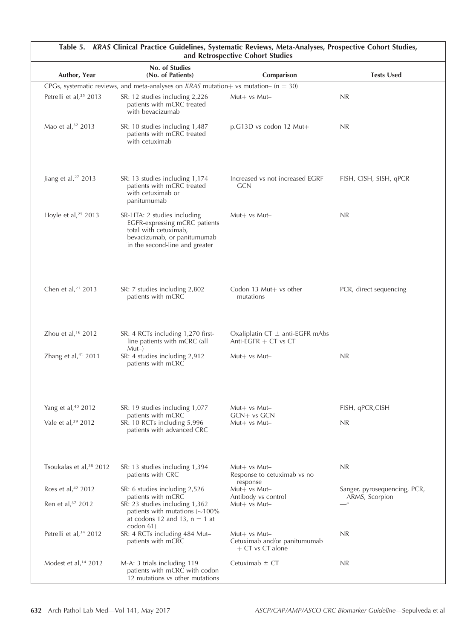|                                     | No. of Studies                                                                                                                                         |                                                                    |                              |
|-------------------------------------|--------------------------------------------------------------------------------------------------------------------------------------------------------|--------------------------------------------------------------------|------------------------------|
| Author, Year                        | (No. of Patients)<br>CPGs, systematic reviews, and meta-analyses on <i>KRAS</i> mutation+ vs mutation– ( $n = 30$ )                                    | Comparison                                                         | <b>Tests Used</b>            |
| Petrelli et al, <sup>35</sup> 2013  | SR: 12 studies including 2,226<br>patients with mCRC treated<br>with bevacizumab                                                                       | Mut+ vs Mut-                                                       | NR                           |
| Mao et al, 32 2013                  | SR: 10 studies including 1,487<br>patients with mCRC treated<br>with cetuximab                                                                         | p.G13D vs codon 12 Mut+                                            | NR.                          |
| Jiang et al, $27$ 2013              | SR: 13 studies including 1,174<br>patients with mCRC treated<br>with cetuximab or<br>panitumumab                                                       | Increased vs not increased EGRF<br><b>GCN</b>                      | FISH, CISH, SISH, qPCR       |
| Hoyle et al, <sup>25</sup> 2013     | SR-HTA: 2 studies including<br>EGFR-expressing mCRC patients<br>total with cetuximab,<br>bevacizumab, or panitumumab<br>in the second-line and greater | Mut+ vs Mut-                                                       | NR                           |
| Chen et al, <sup>21</sup> 2013      | SR: 7 studies including 2,802<br>patients with mCRC                                                                                                    | Codon 13 Mut $+$ vs other<br>mutations                             | PCR, direct sequencing       |
| Zhou et al, 16 2012                 | SR: 4 RCTs including 1,270 first-<br>line patients with mCRC (all                                                                                      | Oxaliplatin $CT \pm$ anti-EGFR mAbs<br>Anti-EGFR $+$ CT vs CT      |                              |
| Zhang et al, <sup>41</sup> 2011     | $Mut-$<br>SR: 4 studies including 2,912<br>patients with mCRC                                                                                          | $Mut+$ vs Mut-                                                     | NR                           |
| Yang et al, <sup>40</sup> 2012      | SR: 19 studies including 1,077                                                                                                                         | Mut+ vs Mut-                                                       | FISH, qPCR, CISH             |
| Vale et al, <sup>39</sup> 2012      | patients with mCRC<br>GCN+ vs GCN-<br>SR: 10 RCTs including 5,996<br>Mut+ vs Mut-<br>patients with advanced CRC                                        |                                                                    | NR                           |
| Tsoukalas et al, <sup>38</sup> 2012 | SR: 13 studies including 1,394<br>patients with CRC                                                                                                    | $Mut+$ vs Mut-<br>Response to cetuximab vs no                      | NR.                          |
| Ross et al, <sup>42</sup> 2012      | SR: 6 studies including 2,526                                                                                                                          | response<br>Mut+ vs Mut-                                           | Sanger, pyrosequencing, PCR, |
| Ren et al, 37 2012                  | patients with mCRC<br>SR: 23 studies including 1,362<br>patients with mutations $(\sim 100\%$<br>at codons 12 and 13, $n = 1$ at<br>codon 61)          | Antibody vs control<br>Mut+ vs Mut-                                | ARMS, Scorpion<br>$-{}^a$    |
| Petrelli et al, <sup>34</sup> 2012  | SR: 4 RCTs including 484 Mut-<br>patients with mCRC                                                                                                    | Mut+ vs Mut-<br>Cetuximab and/or panitumumab<br>$+$ CT vs CT alone | NR                           |
| Modest et al, $14$ 2012             | M-A: 3 trials including 119<br>patients with mCRC with codon<br>12 mutations vs other mutations                                                        | Cetuximab $\pm$ CT                                                 | NR.                          |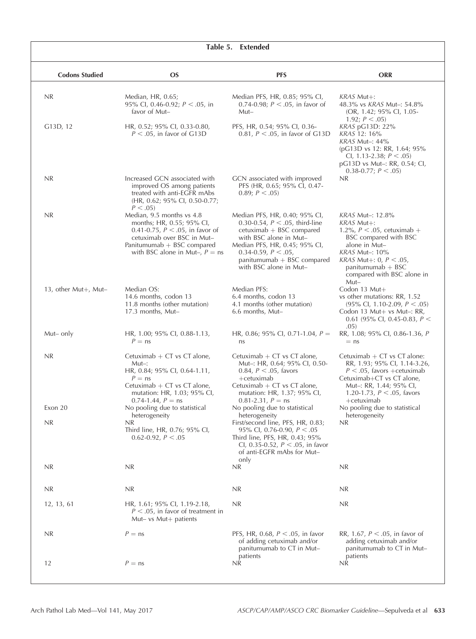| Table 5. Extended     |                                                                                                                                                                                              |                                                                                                                                                                                                                                                  |                                                                                                                                                                                                                                |  |
|-----------------------|----------------------------------------------------------------------------------------------------------------------------------------------------------------------------------------------|--------------------------------------------------------------------------------------------------------------------------------------------------------------------------------------------------------------------------------------------------|--------------------------------------------------------------------------------------------------------------------------------------------------------------------------------------------------------------------------------|--|
| <b>Codons Studied</b> | <b>OS</b>                                                                                                                                                                                    | <b>PFS</b>                                                                                                                                                                                                                                       | <b>ORR</b>                                                                                                                                                                                                                     |  |
| NR                    | Median, HR, 0.65;<br>95% Cl, 0.46-0.92; $P < .05$ , in<br>favor of Mut-                                                                                                                      | Median PFS, HR, 0.85; 95% CI,<br>0.74-0.98; $P < .05$ , in favor of<br>Mut-                                                                                                                                                                      | KRAS Mut+:<br>48.3% vs KRAS Mut-: 54.8%<br>(OR, 1.42; 95% CI, 1.05-                                                                                                                                                            |  |
| G13D, 12              | HR, 0.52; 95% CI, 0.33-0.80,<br>$P < .05$ , in favor of G13D                                                                                                                                 | PFS, HR, 0.54; 95% CI, 0.36-<br>0.81, $P < .05$ , in favor of G13D                                                                                                                                                                               | 1.92; $P < .05$ )<br>KRAS pG13D: 22%<br>KRAS 12: 16%<br>$KRAS$ Mut $-$ : 44%<br>(pG13D vs 12: RR, 1.64; 95%<br>CI, 1.13-2.38; $P < .05$ )<br>pG13D vs Mut-: RR, 0.54; CI,<br>$0.38 - 0.77$ ; $P < .05$ )                       |  |
| NR                    | Increased GCN associated with<br>improved OS among patients<br>treated with anti-EGFR mAbs<br>(HR, 0.62; 95% CI, 0.50-0.77;<br>P < .05                                                       | GCN associated with improved<br>PFS (HR, 0.65; 95% CI, 0.47-<br>0.89; P < .05                                                                                                                                                                    | NR.                                                                                                                                                                                                                            |  |
| NR                    | Median, 9.5 months vs 4.8<br>months; HR, 0.55; 95% CI,<br>0.41-0.75, $P < .05$ , in favor of<br>cetuximab over BSC in Mut-<br>Panitumumab + BSC compared<br>with BSC alone in Mut-, $P =$ ns | Median PFS, HR, 0.40; 95% CI,<br>0.30-0.54, $P < .05$ , third-line<br>$c$ etuximab + BSC compared<br>with BSC alone in Mut-<br>Median PFS, HR, 0.45; 95% CI,<br>0.34-0.59, $P < .05$ ,<br>$panitumumab + BSC$ compared<br>with BSC alone in Mut- | KRAS Mut-: 12.8%<br>$KRAS$ Mut+:<br>1.2%, $P < .05$ , cetuximab +<br>BSC compared with BSC<br>alone in Mut-<br>KRAS Mut-: 10%<br><i>KRAS</i> Mut+: 0, $P < .05$ ,<br>$panitumumab + BSC$<br>compared with BSC alone in<br>Mut- |  |
| 13, other Mut+, Mut-  | Median OS:<br>14.6 months, codon 13<br>11.8 months (other mutation)<br>17.3 months, Mut-                                                                                                     | Median PFS:<br>6.4 months, codon 13<br>4.1 months (other mutation)<br>6.6 months, Mut-                                                                                                                                                           | Codon 13 Mut $+$<br>vs other mutations: RR, 1.52<br>$(95\% \text{ Cl}, 1.10-2.09, P < .05)$<br>Codon 13 Mut+ vs Mut-: RR,<br>0.61 (95% CI, 0.45-0.83, $P <$<br>.05)                                                            |  |
| Mut-only              | HR, 1.00; 95% CI, 0.88-1.13,<br>$P = ns$                                                                                                                                                     | HR, 0.86; 95% CI, 0.71-1.04, $P =$<br>ns                                                                                                                                                                                                         | RR, 1.08; 95% CI, 0.86-1.36, P<br>$=$ ns                                                                                                                                                                                       |  |
| NR.                   | Cetuximab + CT vs CT alone,<br>$Mut-$ :<br>HR, 0.84; 95% CI, 0.64-1.11,<br>$P = ns$<br>Cetuximab $+$ CT vs CT alone,<br>mutation: HR, 1.03; 95% Cl,                                          | Cetuximab $+$ CT vs CT alone,<br>Mut-: HR, 0.64; 95% CI, 0.50-<br>0.84, $P < .05$ , favors<br>$+$ cetuximab<br>Cetuximab $+$ CT vs CT alone,<br>mutation: HR, 1.37; 95% CI,                                                                      | Cetuximab $+$ CT vs CT alone:<br>RR, 1.93; 95% CI, 1.14-3.26,<br>$P < .05$ , favors +cetuximab<br>Cetuximab+CT vs CT alone,<br>Mut-: RR, 1.44; 95% CI,<br>1.20-1.73, $P < .05$ , favors                                        |  |
| Exon 20               | $0.74 - 1.44$ , $P =$ ns<br>No pooling due to statistical                                                                                                                                    | $0.81 - 2.31$ , $P =$ ns<br>No pooling due to statistical                                                                                                                                                                                        | $+$ cetuximab<br>No pooling due to statistical                                                                                                                                                                                 |  |
| NR                    | heterogeneity<br>NR<br>Third line, HR, 0.76; 95% CI,<br>$0.62 - 0.92$ , $P < 0.05$                                                                                                           | heterogeneity<br>First/second line, PFS, HR, 0.83;<br>95% CI, 0.76-0.90, $P < 0.05$<br>Third line, PFS, HR, 0.43; 95%<br>Cl, 0.35-0.52, $P < .05$ , in favor<br>of anti-EGFR mAbs for Mut-<br>only                                               | heterogeneity<br>NR.                                                                                                                                                                                                           |  |
| NR.                   | NR.                                                                                                                                                                                          | NR                                                                                                                                                                                                                                               | NR                                                                                                                                                                                                                             |  |
| NR.                   | NR.                                                                                                                                                                                          | NR                                                                                                                                                                                                                                               | NR                                                                                                                                                                                                                             |  |
| 12, 13, 61            | HR, 1.61; 95% CI, 1.19-2.18,<br>$P < .05$ , in favor of treatment in<br>Mut- vs Mut+ patients                                                                                                | NR                                                                                                                                                                                                                                               | NR                                                                                                                                                                                                                             |  |
| NR                    | $P = ns$                                                                                                                                                                                     | PFS, HR, 0.68, $P < .05$ , in favor<br>of adding cetuximab and/or<br>panitumumab to CT in Mut-<br>patients                                                                                                                                       | RR, 1.67, $P < .05$ , in favor of<br>adding cetuximab and/or<br>panitumumab to CT in Mut-<br>patients                                                                                                                          |  |
| 12                    | $P =$ ns                                                                                                                                                                                     | NR.                                                                                                                                                                                                                                              | NR.                                                                                                                                                                                                                            |  |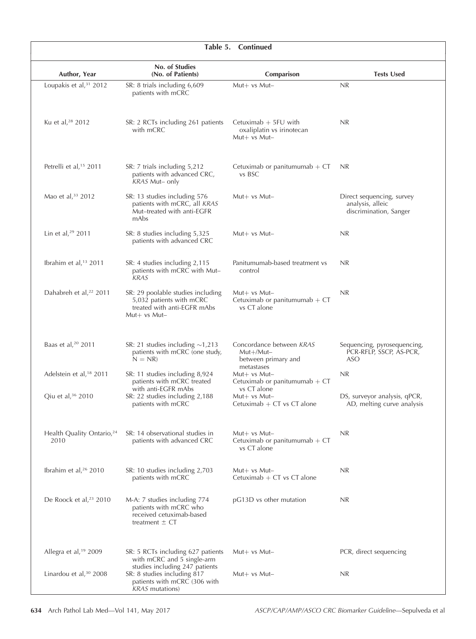|                                                                                        |                                                                                                                         | Table 5. Continued                                                         |                                                                         |  |  |  |
|----------------------------------------------------------------------------------------|-------------------------------------------------------------------------------------------------------------------------|----------------------------------------------------------------------------|-------------------------------------------------------------------------|--|--|--|
| No. of Studies<br>(No. of Patients)<br>Comparison<br><b>Tests Used</b><br>Author, Year |                                                                                                                         |                                                                            |                                                                         |  |  |  |
| Loupakis et al, <sup>31</sup> 2012                                                     | SR: 8 trials including 6,609<br>patients with mCRC                                                                      | Mut+ vs Mut-                                                               | NR                                                                      |  |  |  |
| Ku et al, <sup>28</sup> 2012                                                           | SR: 2 RCTs including 261 patients<br>with mCRC                                                                          | Cetuximab $+$ 5FU with<br>oxaliplatin vs irinotecan<br>Mut+ vs Mut-        | NR                                                                      |  |  |  |
| Petrelli et al, <sup>15</sup> 2011                                                     | SR: 7 trials including 5,212<br>patients with advanced CRC,<br>KRAS Mut- only                                           | Cetuximab or panitumumab + CT<br>vs BSC                                    | NR                                                                      |  |  |  |
| Mao et al, 33 2012                                                                     | SR: 13 studies including 576<br>patients with mCRC, all KRAS<br>Mut-treated with anti-EGFR<br>mAbs                      | $Mut+$ vs Mut-                                                             | Direct sequencing, survey<br>analysis, alleic<br>discrimination, Sanger |  |  |  |
| Lin et al, <sup>29</sup> 2011                                                          | SR: 8 studies including 5,325<br>patients with advanced CRC                                                             | $Mut+$ vs Mut-                                                             | NR                                                                      |  |  |  |
| Ibrahim et al, $13$ 2011                                                               | SR: 4 studies including 2,115<br>patients with mCRC with Mut-<br>KRAS                                                   | Panitumumab-based treatment vs<br>control                                  | NR                                                                      |  |  |  |
| Dahabreh et al, <sup>22</sup> 2011                                                     | SR: 29 poolable studies including<br>5,032 patients with mCRC<br>treated with anti-EGFR mAbs<br>Mut+ vs Mut-            | Mut+ vs Mut-<br>Cetuximab or panitumumab + CT<br>vs CT alone               | NR                                                                      |  |  |  |
| Baas et al, <sup>20</sup> 2011                                                         | SR: 21 studies including $\sim$ 1,213<br>patients with mCRC (one study,<br>$N = NR$                                     | Concordance between KRAS<br>Mut+/Mut-<br>between primary and<br>metastases | Sequencing, pyrosequencing,<br>PCR-RFLP, SSCP, AS-PCR,<br><b>ASO</b>    |  |  |  |
| Adelstein et al, <sup>18</sup> 2011                                                    | SR: 11 studies including 8,924<br>patients with mCRC treated<br>with anti-EGFR mAbs                                     | Mut+ vs Mut-<br>Cetuximab or panitumumab + CT<br>vs CT alone               | NR                                                                      |  |  |  |
| Qiu et al, 36 2010                                                                     | SR: 22 studies including 2,188<br>patients with mCRC                                                                    | Mut+ vs Mut-<br>Cetuximab $+$ CT vs CT alone                               | DS, surveyor analysis, qPCR,<br>AD, melting curve analysis              |  |  |  |
| Health Quality Ontario, <sup>24</sup><br>2010                                          | SR: 14 observational studies in<br>patients with advanced CRC                                                           | Mut+ vs Mut-<br>Cetuximab or panitumumab $+$ CT<br>vs CT alone             | NR                                                                      |  |  |  |
| Ibrahim et al, $26$ 2010                                                               | SR: 10 studies including 2,703<br>patients with mCRC                                                                    | Mut+ vs Mut-<br>Cetuximab $+$ CT vs CT alone                               | NR                                                                      |  |  |  |
| De Roock et al, <sup>23</sup> 2010                                                     | M-A: 7 studies including 774<br>patients with mCRC who<br>received cetuximab-based<br>treatment $\pm$ CT                | pG13D vs other mutation                                                    | NR                                                                      |  |  |  |
| Allegra et al, <sup>19</sup> 2009                                                      | SR: 5 RCTs including 627 patients<br>with mCRC and 5 single-arm                                                         | $Mut+$ vs Mut-                                                             | PCR, direct sequencing                                                  |  |  |  |
| Linardou et al, <sup>30</sup> 2008                                                     | studies including 247 patients<br>SR: 8 studies including 817<br>patients with mCRC (306 with<br><b>KRAS</b> mutations) | Mut+ vs Mut-                                                               | NR                                                                      |  |  |  |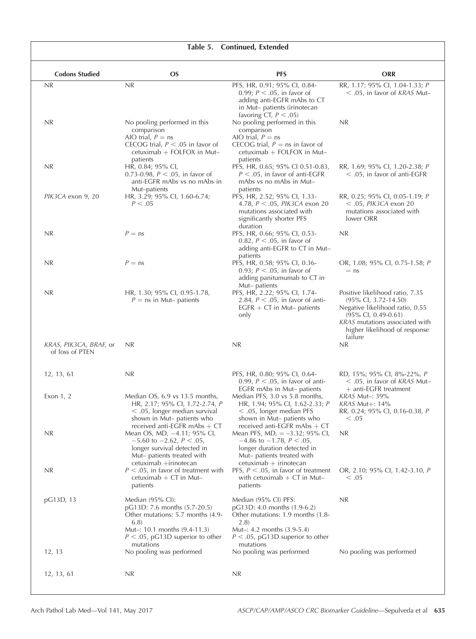| <b>Codons Studied</b>                     | <b>OS</b>                                                                                                                                                           | <b>PFS</b>                                                                                                                                                      | <b>ORR</b>                                                                                                                                                                                         |  |
|-------------------------------------------|---------------------------------------------------------------------------------------------------------------------------------------------------------------------|-----------------------------------------------------------------------------------------------------------------------------------------------------------------|----------------------------------------------------------------------------------------------------------------------------------------------------------------------------------------------------|--|
| NR                                        | NR                                                                                                                                                                  | PFS, HR, 0.91; 95% CI, 0.84-<br>0.99; $P < .05$ , in favor of<br>adding anti-EGFR mAbs to CT<br>in Mut- patients (irinotecan<br>favoring CT, $P < .05$ )        | RR, 1.17; 95% CI, 1.04-1.33; P<br>$<$ .05, in favor of KRAS Mut-                                                                                                                                   |  |
| NR.                                       | No pooling performed in this<br>comparison<br>AIO trial, $P =$ ns<br>CECOG trial, $P < .05$ in favor of<br>cetuximab + FOLFOX in Mut-<br>patients                   | No pooling performed in this<br>comparison<br>AIO trial, $P =$ ns<br>CECOG trial, $P =$ ns in favor of<br>$c$ etuximab + FOLFOX in Mut-<br>patients             | NR                                                                                                                                                                                                 |  |
| NR                                        | HR, 0.84; 95% CI,<br>0.73-0.98, $P < .05$ , in favor of<br>anti-EGFR mAbs vs no mAbs in<br>Mut-patients                                                             | PFS, HR, 0.65; 95% CI 0.51-0.83,<br>$P < .05$ , in favor of anti-EGFR<br>mAbs vs no mAbs in Mut-<br>patients                                                    | RR, 1.69; 95% CI, 1.20-2.38; P<br>$<$ .05, in favor of anti-EGFR                                                                                                                                   |  |
| PIK3CA exon 9, 20                         | HR, 3.29; 95% CI, 1.60-6.74;<br>P < .05                                                                                                                             | PFS, HR, 2.52; 95% Cl, 1.33-<br>4.78, $P < .05$ , PIK3CA exon 20<br>mutations associated with<br>significantly shorter PFS<br>duration                          | RR, 0.25; 95% CI, 0.05-1.19; P<br>$<$ .05, PIK3CA exon 20<br>mutations associated with<br>lower ORR                                                                                                |  |
| NR.                                       | $P = ns$                                                                                                                                                            | PFS, HR, 0.66; 95% CI, 0.53-<br>0.82, $P < .05$ , in favor of<br>adding anti-EGFR to CT in Mut-<br>patients                                                     | NR.                                                                                                                                                                                                |  |
| NR                                        | $P = ns$                                                                                                                                                            | PFS, HR, 0.58; 95% CI, 0.36-<br>0.93; $P < .05$ , in favor of<br>adding panitumumab to CT in<br>Mut-patients                                                    | OR, 1.08; 95% CI, 0.75-1.58; P<br>$=$ ns                                                                                                                                                           |  |
| NR                                        | HR, 1.30; 95% CI, 0.95-1.78,<br>$P =$ ns in Mut– patients                                                                                                           | PFS, HR, 2.22; 95% CI, 1.74-<br>2.84, $P < .05$ , in favor of anti-<br>EGFR $+$ CT in Mut- patients<br>only                                                     | Positive likelihood ratio, 7.35<br>(95% Cl, 3.72-14.50)<br>Negative likelihood ratio, 0.55<br>$(95\%$ Cl, 0.49-0.61)<br>KRAS mutations associated with<br>higher likelihood of response<br>failure |  |
| KRAS, PIK3CA, BRAF, or<br>of loss of PTEN | NR                                                                                                                                                                  | <b>NR</b>                                                                                                                                                       | <b>NR</b>                                                                                                                                                                                          |  |
| 12, 13, 61                                | NR                                                                                                                                                                  | PFS, HR, 0.80; 95% CI, 0.64-<br>0.99, $P <$ 0.05, in favor of anti-<br>EGFR mAbs in Mut- patients                                                               | RD, 15%; 95% Cl, 8%-22%, P<br>$<$ .05, in favor of KRAS Mut-<br>$+$ anti-EGFR treatment                                                                                                            |  |
| Exon 1, 2                                 | Median OS, 6.9 vs 13.5 months,<br>HR, 2.17; 95% CI, 1.72-2.74, P<br>$<$ .05, longer median survival<br>shown in Mut- patients who<br>received anti-EGFR mAbs $+$ CT | Median PFS, 3.0 vs 5.8 months,<br>HR, 1.94; 95% CI, 1.62-2.33; P<br>$<$ .05, longer median PFS<br>shown in Mut- patients who<br>received anti-EGFR mAbs $+$ CT  | KRAS Mut-: 39%<br>$KRAS$ Mut $+$ : 14%<br>RR, 0.24; 95% CI, 0.16-0.38, P<br>< 0.05                                                                                                                 |  |
| NR.                                       | Mean OS, MD, -4.11; 95% CI,<br>$-5.60$ to $-2.62$ , $P < .05$ ,<br>longer survival detected in<br>Mut- patients treated with<br>cetuximab +irinotecan               | Mean PFS, MD, $= -3.32$ ; 95% CI,<br>$-4.86$ to $-1.78$ , $P < .05$ ,<br>longer duration detected in<br>Mut- patients treated with<br>$c$ etuximab + irinotecan | NR.                                                                                                                                                                                                |  |
| NR.                                       | $P < .05$ , in favor of treatment with<br>$c$ etuximab $+$ CT in Mut-<br>patients                                                                                   | PFS, $P < .05$ , in favor of treatment<br>with cetuximab $+$ CT in Mut-<br>patients                                                                             | OR, 2.10; 95% CI, 1.42-3.10, P<br>< 0.05                                                                                                                                                           |  |
| pG13D, 13                                 | Median (95% Cl):<br>pG13D: 7.6 months (5.7-20.5)<br>Other mutations: 5.7 months (4.9-<br>(6.8)                                                                      | Median (95% CI) PFS:<br>pG13D: 4.0 months (1.9-6.2)<br>Other mutations: 1.9 months (1.8-<br>2.8)                                                                | NR                                                                                                                                                                                                 |  |
| 12, 13                                    | Mut $-$ : 10.1 months $(9.4-11.3)$<br>$P < .05$ , pG13D superior to other<br>mutations<br>No pooling was performed                                                  | Mut $-$ : 4.2 months $(3.9-5.4)$<br>$P < .05$ , pG13D superior to other<br>mutations<br>No pooling was performed                                                | No pooling was performed                                                                                                                                                                           |  |
|                                           |                                                                                                                                                                     |                                                                                                                                                                 |                                                                                                                                                                                                    |  |
| 12, 13, 61                                | NR                                                                                                                                                                  | NR.                                                                                                                                                             |                                                                                                                                                                                                    |  |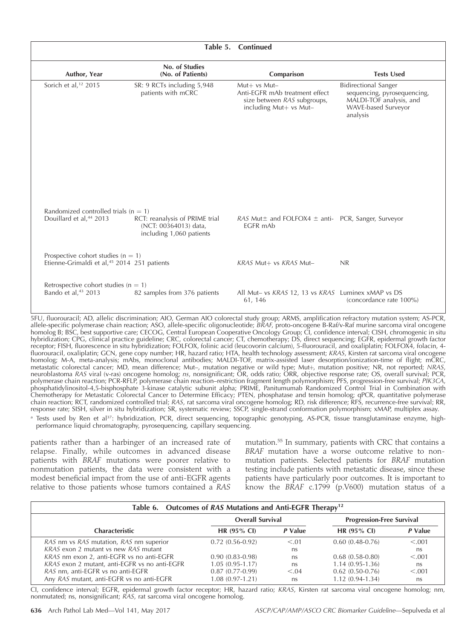| Table 5. Continued                                                                              |                                                                                     |                                                                                                         |                                                                                                                          |  |
|-------------------------------------------------------------------------------------------------|-------------------------------------------------------------------------------------|---------------------------------------------------------------------------------------------------------|--------------------------------------------------------------------------------------------------------------------------|--|
| Author, Year                                                                                    | No. of Studies<br>(No. of Patients)                                                 | Comparison                                                                                              | <b>Tests Used</b>                                                                                                        |  |
| Sorich et al, <sup>12</sup> 2015                                                                | SR: 9 RCTs including 5,948<br>patients with mCRC                                    | Mut+ vs Mut-<br>Anti-EGFR mAb treatment effect<br>size between RAS subgroups,<br>including Mut+ vs Mut- | <b>Bidirectional Sanger</b><br>sequencing, pyrosequencing,<br>MALDI-TOF analysis, and<br>WAVE-based Surveyor<br>analysis |  |
| Randomized controlled trials ( $n = 1$ )<br>Douillard et al, <sup>44</sup> 2013                 | RCT: reanalysis of PRIME trial<br>(NCT: 00364013) data,<br>including 1,060 patients | <i>RAS</i> Mut $\pm$ and FOLFOX4 $\pm$ anti- PCR, Sanger, Surveyor<br>FGFR mAb                          |                                                                                                                          |  |
| Prospective cohort studies $(n = 1)$<br>Etienne-Grimaldi et al, <sup>45</sup> 2014 251 patients |                                                                                     | KRAS Mut+ vs KRAS Mut-                                                                                  | <b>NR</b>                                                                                                                |  |
| Retrospective cohort studies ( $n = 1$ )<br>Bando et al, <sup>43</sup> 2013                     | 82 samples from 376 patients                                                        | All Mut- vs KRAS 12, 13 vs KRAS Luminex xMAP vs DS<br>61, 146                                           | (concordance rate 100%)                                                                                                  |  |

5FU, fluorouracil; AD, allelic discrimination; AIO, German AIO colorectal study group; ARMS, amplification refractory mutation system; AS-PCR, allele-specific polymerase chain reaction; ASO, allele-specific oligonucleotide; BRAF, proto-oncogene B-Raf/v-Raf murine sarcoma viral oncogene homolog B; BSC, best supportive care; CECOG, Central European Cooperative Oncology Group; CI, confidence interval; CISH, chromogenic in situ hybridization; CPG, clinical practice guideline; CRC, colorectal cancer; CT, chemotherapy; DS, direct sequencing; EGFR, epidermal growth factor receptor; FISH, fluorescence in situ hybridization; FOLFOX, folinic acid (leucovorin calcium), 5-fluorouracil, and oxaliplatin; FOLFOX4, folacin, 4 fluorouracil, oxaliplatin; GCN, gene copy number; HR, hazard ratio; HTA, health technology assessment; KRAS, Kirsten rat sarcoma viral oncogene homolog; M-A, meta-analysis; mAbs, monoclonal antibodies; MALDI-TOF, matrix-assisted laser desorption/ionization-time of flight; mCRC, metastatic colorectal cancer; MD, mean difference; Mut–, mutation negative or wild type; Mut+, mutation positive; NR, not reported; *NRAS*, neuroblastoma RAS viral (v-ras) oncogene homolog; ns, nonsignificant; OR, odds ratio; ORR, objective response rate; OS, overall survival; PCR, polymerase chain reaction; PCR-RFLP, polymerase chain reaction–restriction fragment length polymorphism; PFS, progression-free survival; PIK3CA, phosphatidylinositol-4,5-bisphosphate 3-kinase catalytic subunit alpha; PRIME, Panitumumab Randomized Control Trial in Combination with Chemotherapy for Metastatic Colorectal Cancer to Determine Efficacy; PTEN, phosphatase and tensin homolog; qPCR, quantitative polymerase chain reaction; RCT, randomized controlled trial; RAS, rat sarcoma viral oncogene homolog; RD, risk difference; RFS, recurrence-free survival; RR, response rate; SISH, silver in situ hybridization; SR, systematic review; SSCP, single-strand conformation polymorphism; xMAP, multiplex assay.

a Tests used by Ren et al<sup>37</sup>: hybridization, PCR, direct sequencing, topographic genotyping, AS-PCR, tissue transglutaminase enzyme, highperformance liquid chromatography, pyrosequencing, capillary sequencing.

patients rather than a harbinger of an increased rate of relapse. Finally, while outcomes in advanced disease patients with BRAF mutations were poorer relative to nonmutation patients, the data were consistent with a modest beneficial impact from the use of anti-EGFR agents relative to those patients whose tumors contained a RAS

mutation.<sup>55</sup> In summary, patients with CRC that contains a BRAF mutation have a worse outcome relative to nonmutation patients. Selected patients for BRAF mutation testing include patients with metastatic disease, since these patients have particularly poor outcomes. It is important to know the BRAF c.1799 (p.V600) mutation status of a

| Table 6. Outcomes of RAS Mutations and Anti-EGFR Therapy <sup>12</sup> |                     |         |                    |         |
|------------------------------------------------------------------------|---------------------|---------|--------------------|---------|
| <b>Progression-Free Survival</b><br><b>Overall Survival</b>            |                     |         |                    |         |
| <b>Characteristic</b>                                                  | HR $(95\%$ CI)      | P Value | <b>HR</b> (95% CI) | P Value |
| RAS nm vs RAS mutation, RAS nm superior                                | $0.72(0.56-0.92)$   | < 0.01  | $0.60(0.48-0.76)$  | < 0.001 |
| KRAS exon 2 mutant vs new RAS mutant                                   |                     | ns      |                    | ns      |
| KRAS nm exon 2, anti-EGFR vs no anti-EGFR                              | $0.90(0.83 - 0.98)$ | ns      | $0.68(0.58-0.80)$  | < 0.001 |
| KRAS exon 2 mutant, anti-EGFR vs no anti-EGFR                          | $1.05(0.95-1.17)$   | ns      | $1.14(0.95-1.36)$  | ns.     |
| RAS nm, anti-EGFR vs no anti-EGFR                                      | $0.87(0.77-0.99)$   | < 0.04  | $0.62(0.50-0.76)$  | < 0.001 |
| Any RAS mutant, anti-EGFR vs no anti-EGFR                              | $1.08(0.97-1.21)$   | ns      | $1.12(0.94-1.34)$  | ns      |

CI, confidence interval; EGFR, epidermal growth factor receptor; HR, hazard ratio; KRAS, Kirsten rat sarcoma viral oncogene homolog; nm, nonmutated; ns, nonsignificant; RAS, rat sarcoma viral oncogene homolog.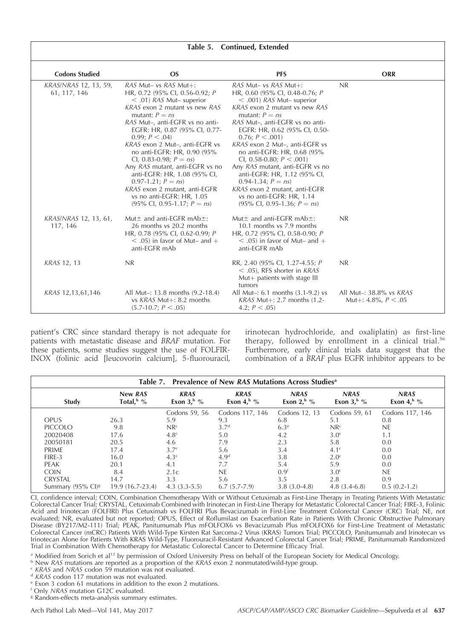# Table 5. Continued, Extended

| <b>Codons Studied</b>                 | <b>OS</b>                                                                                                                                                                                                                                                                                                                                                                                                                                                                                                                                  | <b>PFS</b>                                                                                                                                                                                                                                                                                                                                                                                                                                                                                                                                 | <b>ORR</b>                                       |
|---------------------------------------|--------------------------------------------------------------------------------------------------------------------------------------------------------------------------------------------------------------------------------------------------------------------------------------------------------------------------------------------------------------------------------------------------------------------------------------------------------------------------------------------------------------------------------------------|--------------------------------------------------------------------------------------------------------------------------------------------------------------------------------------------------------------------------------------------------------------------------------------------------------------------------------------------------------------------------------------------------------------------------------------------------------------------------------------------------------------------------------------------|--------------------------------------------------|
| KRAS/NRAS 12, 13, 59,<br>61, 117, 146 | RAS Mut- vs RAS Mut+:<br>HR, 0.72 (95% CI, 0.56-0.92; P<br>$<$ .01) RAS Mut- superior<br>KRAS exon 2 mutant vs new RAS<br>mutant: $P = ns$<br>RAS Mut-, anti-EGFR vs no anti-<br>EGFR: HR, 0.87 (95% CI, 0.77-<br>0.99; $P < .04$ )<br>KRAS exon 2 Mut-, anti-EGFR vs<br>no anti-EGFR: HR, 0.90 (95%<br>CI, 0.83-0.98; $P = ns$ )<br>Any RAS mutant, anti-EGFR vs no<br>anti-EGFR: HR, 1.08 (95% CI,<br>$0.97 - 1.21$ ; $P = ns$ )<br>KRAS exon 2 mutant, anti-EGFR<br>vs no anti-EGFR: HR, 1.05<br>$(95\% \text{ Cl}, 0.95-1.17; P = ns)$ | RAS Mut- vs RAS Mut+:<br>HR, 0.60 (95% CI, 0.48-0.76; P<br>$<$ .001) RAS Mut- superior<br>KRAS exon 2 mutant vs new RAS<br>mutant: $P = ns$<br>RAS Mut-, anti-EGFR vs no anti-<br>EGFR: HR, 0.62 (95% CI, 0.50-<br>0.76; P < .001<br>KRAS exon 2 Mut-, anti-EGFR vs<br>no anti-EGFR: HR, 0.68 (95%<br>CI, 0.58-0.80; $P < .001$ )<br>Any RAS mutant, anti-EGFR vs no<br>anti-EGFR: HR, 1.12 (95% CI,<br>$0.94 - 1.34$ ; $P = ns$ )<br>KRAS exon 2 mutant, anti-EGFR<br>vs no anti-EGFR: HR, 1.14<br>$(95\% \text{ Cl}, 0.95-1.36; P = ns)$ | <b>NR</b>                                        |
| KRAS/NRAS 12, 13, 61,<br>117, 146     | Mut $\pm$ and anti-EGER mAb $\pm$ :<br>26 months ys 20.2 months<br>HR, 0.78 (95% CI, 0.62-0.99; P<br>$<$ .05) in favor of Mut- and +<br>anti-EGFR mAb                                                                                                                                                                                                                                                                                                                                                                                      | Mut $\pm$ and anti-EGFR mAb $\pm$ :<br>10.1 months vs 7.9 months<br>HR, 0.72 (95% CI, 0.58-0.90; P<br>$<$ .05) in favor of Mut- and +<br>anti-EGFR mAb                                                                                                                                                                                                                                                                                                                                                                                     | NR                                               |
| <b>KRAS 12, 13</b>                    | NR                                                                                                                                                                                                                                                                                                                                                                                                                                                                                                                                         | RR, 2.40 (95% Cl, 1.27-4.55; P<br>$<$ .05), RFS shorter in KRAS<br>$M$ ut $+$ patients with stage III<br>tumors                                                                                                                                                                                                                                                                                                                                                                                                                            | <b>NR</b>                                        |
| KRAS 12,13,61,146                     | All Mut-: 13.8 months (9.2-18.4)<br>vs $KRAS$ Mut $+$ : 8.2 months<br>$(5.7-10.7; P < .05)$                                                                                                                                                                                                                                                                                                                                                                                                                                                | All Mut-: 6.1 months (3.1-9.2) vs<br>$KRAS$ Mut+: 2.7 months (1.2-<br>4.2; $P < .05$ )                                                                                                                                                                                                                                                                                                                                                                                                                                                     | All Mut-: 38.8% vs KRAS<br>Mut+: 4.8%, $P < .05$ |

patient's CRC since standard therapy is not adequate for patients with metastatic disease and BRAF mutation. For these patients, some studies suggest the use of FOLFIR-INOX (folinic acid [leucovorin calcium], 5-fluorouracil,

irinotecan hydrochloride, and oxaliplatin) as first-line therapy, followed by enrollment in a clinical trial.<sup>56</sup> Furthermore, early clinical trials data suggest that the combination of a BRAF plus EGFR inhibitor appears to be

| Prevalence of New RAS Mutations Across Studies <sup>a</sup><br>Table 7. |                                                                                                                                                                                                                              |                  |                  |                  |                  |                 |
|-------------------------------------------------------------------------|------------------------------------------------------------------------------------------------------------------------------------------------------------------------------------------------------------------------------|------------------|------------------|------------------|------------------|-----------------|
| Study                                                                   | <b>NRAS</b><br>New RAS<br><b>KRAS</b><br><b>KRAS</b><br><b>NRAS</b><br><b>NRAS</b><br>Total, $\frac{b}{b}$ %<br>Exon $3b$ %<br>Exon $2^{\mathrm{b}}$ %<br>Exon $3^{\mathrm{b}}$ %<br>Exon $4b$ %<br>Exon $4,^{\mathrm{b}}\%$ |                  |                  |                  |                  |                 |
|                                                                         |                                                                                                                                                                                                                              | Codons 59, 56    | Codons 117, 146  | Codons 12, 13    | Codons 59, 61    | Codons 117, 146 |
| <b>OPUS</b>                                                             | 26.3                                                                                                                                                                                                                         | 5.9              | 9.3              | 6.8              | 5.1              | 0.8             |
| <b>PICCOLO</b>                                                          | 9.8                                                                                                                                                                                                                          | NR <sup>c</sup>  | 3.7 <sup>d</sup> | 6.3 <sup>e</sup> | NR <sup>c</sup>  | <b>NE</b>       |
| 20020408                                                                | 17.6                                                                                                                                                                                                                         | 4.8 <sup>c</sup> | 5.0              | 4.2              | $3.0^\circ$      | 1.1             |
| 20050181                                                                | 20.5                                                                                                                                                                                                                         | 4.6              | 7.9              | 2.3              | 5.8              | 0.0             |
| PRIME                                                                   | 17.4                                                                                                                                                                                                                         | 3.7 <sup>c</sup> | 5.6              | 3.4              | 4.1 <sup>c</sup> | 0.0             |
| FIRE-3                                                                  | 16.0                                                                                                                                                                                                                         | 4.3 <sup>c</sup> | 4.9 <sup>d</sup> | 3.8              | 2.0 <sup>c</sup> | 0.0             |
| PEAK                                                                    | 20.1                                                                                                                                                                                                                         | 4.1              | 7.7              | 5.4              | 5.9              | 0.0             |
| <b>COIN</b>                                                             | 8.4                                                                                                                                                                                                                          | 2.1c             | <b>NE</b>        | 0.9 <sup>f</sup> | 3.0 <sup>c</sup> | <b>NE</b>       |
| <b>CRYSTAL</b>                                                          | 14.7                                                                                                                                                                                                                         | 3.3              | 5.6              | 3.5              | 2.8              | 0.9             |
| Summary $(95\% \text{ Cl})^8$                                           | $19.9(16.7-23.4)$                                                                                                                                                                                                            | $4.3(3.3-5.5)$   | $6.7(5.7-7.9)$   | $3.8(3.0-4.8)$   | $4.8(3.4-6.8)$   | $0.5(0.2-1.2)$  |

CI, confidence interval; COIN, Combination Chemotherapy With or Without Cetuximab as First-Line Therapy in Treating Patients With Metastatic Colorectal Cancer Trial; CRYSTAL, Cetuximab Combined with Irinotecan in First-Line Therapy for Metastatic Colorectal Cancer Trial; FIRE-3, Folinic Acid and Irinotecan (FOLFIRI) Plus Cetuximab vs FOLFIRI Plus Bevacizumab in First-Line Treatment Colorectal Cancer (CRC) Trial; NE, not evaluated; NR, evaluated but not reported; OPUS, Effect of Roflumilast on Exacerbation Rate in Patients With Chronic Obstructive Pulmonary Disease (BY217/M2-111) Trial; PEAK, Panitumumab Plus mFOLFOX6 vs Bevacizumab Plus mFOLFOX6 for First-Line Treatment of Metastatic Colorectal Cancer (mCRC) Patients With Wild-Type Kirsten Rat Sarcoma-2 Virus (KRAS) Tumors Trial; PICCOLO, Panitumumab and Irinotecan vs Irinotecan Alone for Patients With KRAS Wild-Type, Fluorouracil-Resistant Advanced Colorectal Cancer Trial; PRIME, Panitumumab Randomized Trial in Combination With Chemotherapy for Metastatic Colorectal Cancer to Determine Efficacy Trial.

<sup>a</sup> Modified from Sorich et al<sup>12</sup> by permission of Oxford University Press on behalf of the European Society for Medical Oncology.<br>
<sup>b</sup> New *RAS* mutations are reported as a proportion of the *KRAS* exon 2 nonmutated/wil

<sup>8</sup> Random-effects meta-analysis summary estimates.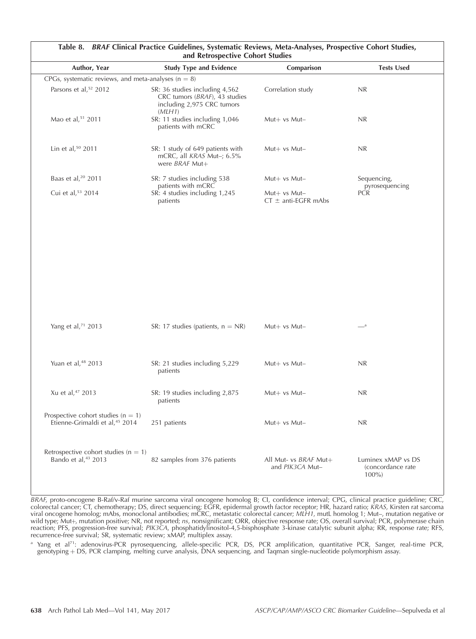| Author, Year                                                                         | <b>Study Type and Evidence</b>                                                                          | Comparison                              | <b>Tests Used</b>             |
|--------------------------------------------------------------------------------------|---------------------------------------------------------------------------------------------------------|-----------------------------------------|-------------------------------|
| CPGs, systematic reviews, and meta-analyses ( $n = 8$ )                              |                                                                                                         |                                         |                               |
| Parsons et al, <sup>52</sup> 2012                                                    | SR: 36 studies including 4,562<br>CRC tumors (BRAF), 43 studies<br>including 2,975 CRC tumors<br>(MLH1) | Correlation study                       | NR.                           |
| Mao et al, 51 2011                                                                   | SR: 11 studies including 1,046<br>patients with mCRC                                                    | Mut+ vs Mut-                            | NR.                           |
| Lin et al, 50 2011                                                                   | SR: 1 study of 649 patients with<br>mCRC, all KRAS Mut-; 6.5%<br>were BRAF Mut+                         | Mut+ vs Mut-                            | NR.                           |
| Baas et al, <sup>20</sup> 2011                                                       | SR: 7 studies including 538<br>patients with mCRC                                                       | Mut+ vs Mut-                            | Sequencing,<br>pyrosequencing |
| Cui et al, 53 2014                                                                   | SR: 4 studies including 1,245<br>patients                                                               | Mut+ vs Mut-<br>$CT \pm$ anti-EGFR mAbs | <b>PCR</b>                    |
| Yang et al, <sup>71</sup> 2013                                                       | SR: 17 studies (patients, $n = NR$ )                                                                    | Mut+ vs Mut-                            | $\equiv$ <sup>a</sup>         |
| Yuan et al, <sup>48</sup> 2013                                                       | SR: 21 studies including 5,229                                                                          | Mut+ vs Mut-                            | <b>NR</b>                     |
|                                                                                      | patients                                                                                                |                                         |                               |
| Xu et al, <sup>47</sup> 2013                                                         | SR: 19 studies including 2,875<br>patients                                                              | Mut+ vs Mut-                            | NR.                           |
| Prospective cohort studies ( $n = 1$ )<br>Etienne-Grimaldi et al, <sup>45</sup> 2014 | 251 patients                                                                                            | Mut+ vs Mut-                            | <b>NR</b>                     |
| Retrospective cohort studies ( $n = 1$ )<br>Bando et al, <sup>43</sup> 2013          | 82 samples from 376 patients                                                                            | All Mut- vs $BRAF$ Mut+                 | Luminex xMAP vs DS            |

BRAF, proto-oncogene B-Raf/v-Raf murine sarcoma viral oncogene homolog B; CI, confidence interval; CPG, clinical practice guideline; CRC, colorectal cancer; CT, chemotherapy; DS, direct sequencing; EGFR, epidermal growth factor receptor; HR, hazard ratio; KRAS, Kirsten rat sarcoma viral oncogene homolog; mAbs, monoclonal antibodies; mCRC, metastatic colorectal cancer; MLH1, mutL homolog 1; Mut–, mutation negative or wild type; Mut+, mutation positive; NR, not reported; *ns*, nonsignificant; ORR, objective response rate; OS, overall survival; PCR, polymerase chain reaction; PFS, progression-free survival; PIK3CA, phosphatidylinositol-4,5-bisphosphate 3-kinase catalytic subunit alpha; RR, response rate; RFS, recurrence-free survival; SR, systematic review; xMAP, multiplex assay.

<sup>a</sup> Yang et al<sup>71</sup>: adenovirus-PCR pyrosequencing, allele-specific PCR, DS, PCR amplification, quantitative PCR, Sanger, real-time PCR, genotyping + DS, PCR clamping, melting curve analysis, DNA sequencing, and Taqman single-nucleotide polymorphism assay.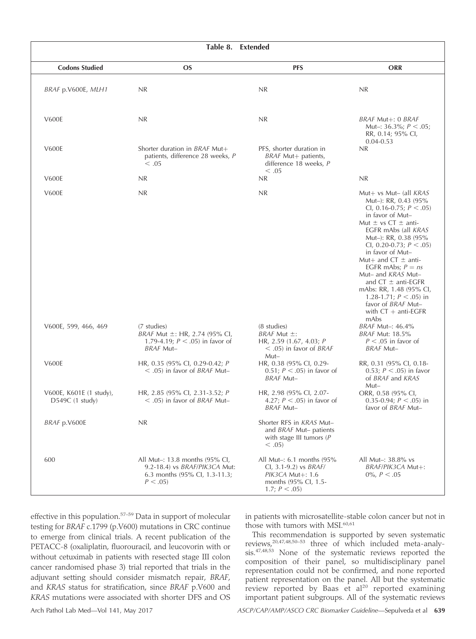| Table 8. Extended                            |                                                                                                                    |                                                                                                                             |                                                                                                                                                                                                                                                                                                                                                                                                                                               |  |
|----------------------------------------------|--------------------------------------------------------------------------------------------------------------------|-----------------------------------------------------------------------------------------------------------------------------|-----------------------------------------------------------------------------------------------------------------------------------------------------------------------------------------------------------------------------------------------------------------------------------------------------------------------------------------------------------------------------------------------------------------------------------------------|--|
| <b>Codons Studied</b>                        | <b>OS</b>                                                                                                          | <b>PFS</b>                                                                                                                  | <b>ORR</b>                                                                                                                                                                                                                                                                                                                                                                                                                                    |  |
| BRAF p.V600E, MLH1                           | NR                                                                                                                 | <b>NR</b>                                                                                                                   | NR                                                                                                                                                                                                                                                                                                                                                                                                                                            |  |
| <b>V600E</b>                                 | <b>NR</b>                                                                                                          | <b>NR</b>                                                                                                                   | <b>BRAF Mut+: 0 BRAF</b><br>Mut-: 36.3%; $P < .05$ ;<br>RR, 0.14; 95% CI,<br>$0.04 - 0.53$                                                                                                                                                                                                                                                                                                                                                    |  |
| <b>V600E</b>                                 | Shorter duration in <i>BRAF</i> Mut+<br>patients, difference 28 weeks, P<br>< 0.05                                 | PFS, shorter duration in<br>BRAF Mut+ patients,<br>difference 18 weeks, P                                                   | NR.                                                                                                                                                                                                                                                                                                                                                                                                                                           |  |
| <b>V600E</b>                                 | <b>NR</b>                                                                                                          | < 0.05<br>NR.                                                                                                               | NR                                                                                                                                                                                                                                                                                                                                                                                                                                            |  |
| <b>V600E</b>                                 | <b>NR</b>                                                                                                          | <b>NR</b>                                                                                                                   | Mut + vs Mut – (all $KRAS$<br>Mut-): RR, 0.43 (95%<br>CI, 0.16-0.75; $P < .05$ )<br>in favor of Mut-<br>Mut $\pm$ vs CT $\pm$ anti-<br>EGFR mAbs (all KRAS<br>Mut-): RR, 0.38 (95%<br>CI, 0.20-0.73; $P < .05$ )<br>in favor of Mut-<br>Mut+ and $CT \pm$ anti-<br>EGFR mAbs; $P = ns$<br>Mut- and KRAS Mut-<br>and $CT \pm$ anti-EGFR<br>mAbs: RR, 1.48 (95% CI,<br>1.28-1.71; $P < .05$ ) in<br>favor of BRAF Mut-<br>with $CT + anti-EGFR$ |  |
| V600E, 599, 466, 469                         | (7 studies)<br><i>BRAF</i> Mut $\pm$ : HR, 2.74 (95% CI,<br>1.79-4.19; $P < .05$ ) in favor of<br><b>BRAF Mut-</b> | (8 studies)<br>$BRAF$ Mut $\pm$ :<br>HR, 2.59 (1.67, 4.03; P<br>$<$ .05) in favor of <i>BRAF</i>                            | mAbs<br>BRAF Mut-: 46.4%<br><b>BRAF Mut: 18.5%</b><br>$P < .05$ in favor of<br><b>BRAF Mut-</b>                                                                                                                                                                                                                                                                                                                                               |  |
| <b>V600E</b>                                 | HR, 0.35 (95% CI, 0.29-0.42; P<br>$<$ .05) in favor of <i>BRAF</i> Mut-                                            | Mut-<br>HR, 0.38 (95% CI, 0.29-<br>0.51; $P < .05$ ) in favor of<br><b>BRAF Mut-</b>                                        | RR, 0.31 (95% CI, 0.18-<br>0.53; $P < .05$ ) in favor<br>of BRAF and KRAS<br>Mut-                                                                                                                                                                                                                                                                                                                                                             |  |
| V600E, K601E (1 study),<br>$D549C$ (1 study) | HR, 2.85 (95% CI, 2.31-3.52; P<br>$<$ .05) in favor of BRAF Mut-                                                   | HR, 2.98 (95% CI, 2.07-<br>4.27; $P < .05$ ) in favor of<br><b>BRAF Mut-</b>                                                | ORR, 0.58 (95% CI,<br>0.35-0.94; $P < .05$ ) in<br>favor of BRAF Mut-                                                                                                                                                                                                                                                                                                                                                                         |  |
| BRAF p.V600E                                 | NR                                                                                                                 | Shorter RFS in KRAS Mut-<br>and BRAF Mut- patients<br>with stage III tumors $(P)$<br>< .05)                                 |                                                                                                                                                                                                                                                                                                                                                                                                                                               |  |
| 600                                          | All Mut-: 13.8 months (95% CI,<br>9.2-18.4) vs BRAF/PIK3CA Mut:<br>6.3 months (95% CI, 1.3-11.3;<br>$P < .05$ )    | All Mut $-$ : 6.1 months (95%<br>Cl, $3.1-9.2$ ) vs $BRAF/$<br>PIK3CA Mut+: 1.6<br>months (95% CI, 1.5-<br>1.7; $P < .05$ ) | All Mut-: 38.8% vs<br>BRAF/PIK3CA Mut+:<br>0%, $P < .05$                                                                                                                                                                                                                                                                                                                                                                                      |  |

effective in this population.57–59 Data in support of molecular testing for BRAF c.1799 (p.V600) mutations in CRC continue to emerge from clinical trials. A recent publication of the PETACC-8 (oxaliplatin, fluorouracil, and leucovorin with or without cetuximab in patients with resected stage III colon cancer randomised phase 3) trial reported that trials in the adjuvant setting should consider mismatch repair, BRAF, and KRAS status for stratification, since BRAF p.V600 and KRAS mutations were associated with shorter DFS and OS

in patients with microsatellite-stable colon cancer but not in those with tumors with MSI. $\rm ^{60,61}$ 

This recommendation is supported by seven systematic reviews,<sup>20,47,48,50–53</sup> three of which included meta-analysis.47,48,53 None of the systematic reviews reported the composition of their panel, so multidisciplinary panel representation could not be confirmed, and none reported patient representation on the panel. All but the systematic review reported by Baas et al<sup>20</sup> reported examining important patient subgroups. All of the systematic reviews

Arch Pathol Lab Med—Vol 141, May 2017 ASCP/CAP/AMP/ASCO CRC Biomarker Guideline—Sepulveda et al 639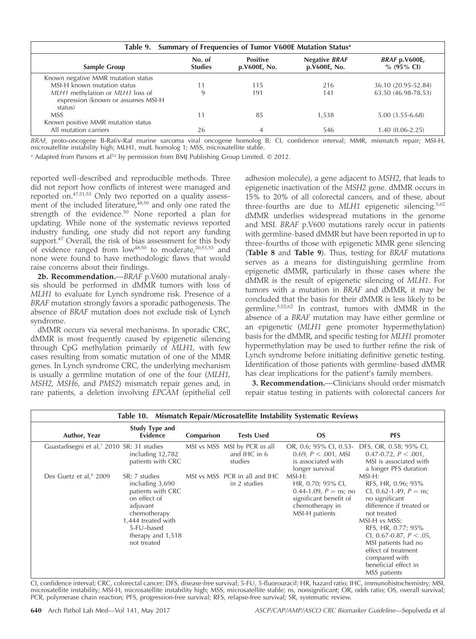| Table 9. Summary of Frequencies of Tumor V600E Mutation Status <sup>a</sup>        |                          |                                 |                                      |                                |
|------------------------------------------------------------------------------------|--------------------------|---------------------------------|--------------------------------------|--------------------------------|
| Sample Group                                                                       | No. of<br><b>Studies</b> | <b>Positive</b><br>p.V600E, No. | <b>Negative BRAF</b><br>p.V600E, No. | BRAF p.V600E,<br>$\%$ (95% CI) |
| Known negative MMR mutation status                                                 |                          |                                 |                                      |                                |
| MSI-H known mutation status                                                        |                          | 115                             | 216                                  | 36.10 (20.95-52.84)            |
| MLH1 methylation or MLH1 loss of<br>expression (known or assumes MSI-H)<br>status) |                          | 191                             | 141                                  | 63.50 (46.98-78.53)            |
| <b>MSS</b>                                                                         |                          | 85                              | 1.538                                | $5.00(3.55-6.68)$              |
| Known positive MMR mutation status<br>All mutation carriers                        | 26                       |                                 | 546                                  | 1.40 (0.06-2.25)               |

BRAF, proto-oncogene B-Raf/v-Raf murine sarcoma viral oncogene homolog B; CI, confidence interval; MMR, mismatch repair; MSI-H, microsatellite instability high; MLH1, mutL homolog 1; MSS, microsatellite stable.

<sup>a</sup> Adapted from Parsons et al<sup>52</sup> by permission from BMJ Publishing Group Limited. © 2012.

reported well-described and reproducible methods. Three did not report how conflicts of interest were managed and reported on.<sup>47,51,53</sup> Only two reported on a quality assessment of the included literature,<sup>48,50</sup> and only one rated the strength of the evidence.<sup>50</sup> None reported a plan for updating. While none of the systematic reviews reported industry funding, one study did not report any funding support.47 Overall, the risk of bias assessment for this body of evidence ranged from low<sup>48,50</sup> to moderate,<sup>20,51,53</sup> and none were found to have methodologic flaws that would raise concerns about their findings.

2b. Recommendation.—BRAF p.V600 mutational analysis should be performed in dMMR tumors with loss of MLH1 to evaluate for Lynch syndrome risk. Presence of a BRAF mutation strongly favors a sporadic pathogenesis. The absence of BRAF mutation does not exclude risk of Lynch syndrome.

dMMR occurs via several mechanisms. In sporadic CRC, dMMR is most frequently caused by epigenetic silencing through CpG methylation primarily of MLH1, with few cases resulting from somatic mutation of one of the MMR genes. In Lynch syndrome CRC, the underlying mechanism is usually a germline mutation of one of the four (MLH1, MSH2, MSH6, and PMS2) mismatch repair genes and, in rare patients, a deletion involving EPCAM (epithelial cell

adhesion molecule), a gene adjacent to MSH2, that leads to epigenetic inactivation of the MSH2 gene. dMMR occurs in 15% to 20% of all colorectal cancers, and of these, about three-fourths are due to  $MLH1$  epigenetic silencing.<sup>5,62</sup> dMMR underlies widespread mutations in the genome and MSI. BRAF p.V600 mutations rarely occur in patients with germline-based dMMR but have been reported in up to three-fourths of those with epigenetic MMR gene silencing (Table 8 and Table 9). Thus, testing for BRAF mutations serves as a means for distinguishing germline from epigenetic dMMR, particularly in those cases where the dMMR is the result of epigenetic silencing of MLH1. For tumors with a mutation in BRAF and dMMR, it may be concluded that the basis for their dMMR is less likely to be germline.5,52,62 In contrast, tumors with dMMR in the absence of a BRAF mutation may have either germline or an epigenetic (MLH1 gene promoter hypermethylation) basis for the dMMR, and specific testing for MLH1 promoter hypermethylation may be used to further refine the risk of Lynch syndrome before initiating definitive genetic testing. Identification of those patients with germline-based dMMR has clear implications for the patient's family members.

3. Recommendation.—Clinicians should order mismatch repair status testing in patients with colorectal cancers for

| Table 10. Mismatch Repair/Microsatellite Instability Systematic Reviews |                                                                                                                                                                           |            |                                                         |                                                                                                                       |                                                                                                                                                                                                                                                                                                   |
|-------------------------------------------------------------------------|---------------------------------------------------------------------------------------------------------------------------------------------------------------------------|------------|---------------------------------------------------------|-----------------------------------------------------------------------------------------------------------------------|---------------------------------------------------------------------------------------------------------------------------------------------------------------------------------------------------------------------------------------------------------------------------------------------------|
| Author, Year                                                            | <b>Study Type and</b><br>Evidence                                                                                                                                         | Comparison | <b>Tests Used</b>                                       | <b>OS</b>                                                                                                             | <b>PFS</b>                                                                                                                                                                                                                                                                                        |
| Guastadisegni et al, <sup>7</sup> 2010 SR: 31 studies                   | including 12,782<br>patients with CRC                                                                                                                                     |            | MSI vs MSS MSI by PCR in all<br>and IHC in 6<br>studies | 0.69, $P < .001$ , MSI<br>is associated with<br>longer survival                                                       | OR, 0.6; 95% CI, 0.53- DFS, OR, 0.58; 95% CI,<br>$0.47 - 0.72$ , $P < 0.001$ ,<br>MSI is associated with<br>a longer PFS duration                                                                                                                                                                 |
| Des Guetz et al, <sup>6</sup> 2009                                      | SR: 7 studies<br>including 3,690<br>patients with CRC<br>on effect of<br>adjuvant<br>chemotherapy<br>1,444 treated with<br>5-FU-based<br>therapy and 1,518<br>not treated |            | MSI vs MSS PCR in all and IHC<br>in 2 studies           | MSI-H:<br>HR, 0.70; 95% CI,<br>0.44-1.09, $P =$ ns; no<br>significant benefit of<br>chemotherapy in<br>MSI-H patients | MSI-H:<br>RFS, HR, 0.96; 95%<br>Cl, 0.62-1.49, $P =$ ns;<br>no significant<br>difference if treated or<br>not treated<br>MSI-H vs MSS:<br>RFS, HR, 0.77; 95%<br>CI, 0.67-0.87, $P < .05$ ,<br>MSI patients had no<br>effect of treatment<br>compared with<br>beneficial effect in<br>MSS patients |

CI, confidence interval; CRC, colorectal cancer; DFS, disease-free survival; 5-FU, 5-fluorouracil; HR, hazard ratio; IHC, immunohistochemistry; MSI, microsatellite instability; MSI-H, microsatellite instability high; MSS, microsatellite stable; ns, nonsignificant; OR, odds ratio; OS, overall survival; PCR, polymerase chain reaction; PFS, progression-free survival; RFS, relapse-free survival; SR, systematic review.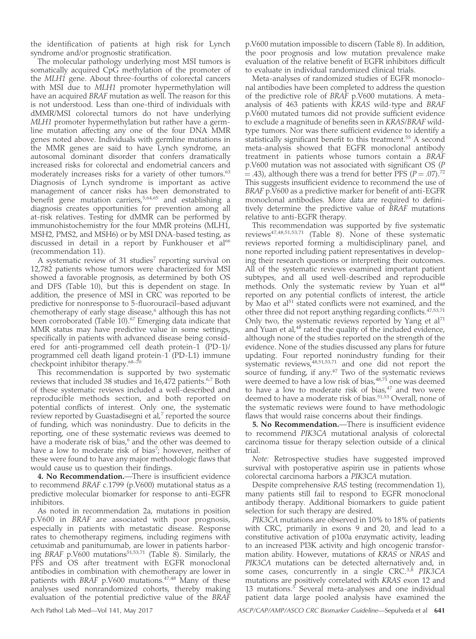the identification of patients at high risk for Lynch syndrome and/or prognostic stratification.

The molecular pathology underlying most MSI tumors is somatically acquired CpG methylation of the promoter of the MLH1 gene. About three-fourths of colorectal cancers with MSI due to MLH1 promoter hypermethylation will have an acquired BRAF mutation as well. The reason for this is not understood. Less than one-third of individuals with dMMR/MSI colorectal tumors do not have underlying MLH1 promoter hypermethylation but rather have a germline mutation affecting any one of the four DNA MMR genes noted above. Individuals with germline mutations in the MMR genes are said to have Lynch syndrome, an autosomal dominant disorder that confers dramatically increased risks for colorectal and endometrial cancers and moderately increases risks for a variety of other tumors.<sup>63</sup> Diagnosis of Lynch syndrome is important as active management of cancer risks has been demonstrated to benefit gene mutation carriers,5,64,65 and establishing a diagnosis creates opportunities for prevention among all at-risk relatives. Testing for dMMR can be performed by immunohistochemistry for the four MMR proteins (MLH1, MSH2, PMS2, and MSH6) or by MSI DNA-based testing, as discussed in detail in a report by Funkhouser et al<sup>66</sup> (recommendation 11).

A systematic review of 31 studies<sup>7</sup> reporting survival on 12,782 patients whose tumors were characterized for MSI showed a favorable prognosis, as determined by both OS and DFS (Table 10), but this is dependent on stage. In addition, the presence of MSI in CRC was reported to be predictive for nonresponse to 5-fluorouracil–based adjuvant chemotherapy of early stage disease,<sup>6</sup> although this has not been corroborated (Table  $10$ ).<sup>67</sup> Emerging data indicate that MMR status may have predictive value in some settings, specifically in patients with advanced disease being considered for anti-programmed cell death protein-1 (PD-1)/ programmed cell death ligand protein-1 (PD-L1) immune checkpoint inhibitor therapy. $68-70$ 

This recommendation is supported by two systematic reviews that included 38 studies and 16,472 patients.<sup>6,7</sup> Both of these systematic reviews included a well-described and reproducible methods section, and both reported on potential conflicts of interest. Only one, the systematic review reported by Guastadisegni et al,<sup>7</sup> reported the source of funding, which was nonindustry. Due to deficits in the reporting, one of these systematic reviews was deemed to have a moderate risk of bias,<sup>6</sup> and the other was deemed to have a low to moderate risk of bias<sup>7</sup>; however, neither of these were found to have any major methodologic flaws that would cause us to question their findings.

4. No Recommendation.—There is insufficient evidence to recommend BRAF c.1799 (p.V600) mutational status as a predictive molecular biomarker for response to anti-EGFR inhibitors.

As noted in recommendation 2a, mutations in position p.V600 in BRAF are associated with poor prognosis, especially in patients with metastatic disease. Response rates to chemotherapy regimens, including regimens with cetuximab and panitumumab, are lower in patients harboring BRAF p.V600 mutations $51,53,71$  (Table 8). Similarly, the PFS and OS after treatment with EGFR monoclonal antibodies in combination with chemotherapy are lower in patients with BRAF p.V600 mutations.<sup>47,48</sup> Many of these analyses used nonrandomized cohorts, thereby making evaluation of the potential predictive value of the BRAF

p.V600 mutation impossible to discern (Table 8). In addition, the poor prognosis and low mutation prevalence make evaluation of the relative benefit of EGFR inhibitors difficult to evaluate in individual randomized clinical trials.

Meta-analyses of randomized studies of EGFR monoclonal antibodies have been completed to address the question of the predictive role of  $BRAF$  p.V600 mutations. A metaanalysis of 463 patients with KRAS wild-type and BRAF p.V600 mutated tumors did not provide sufficient evidence to exclude a magnitude of benefits seen in KRAS/BRAF wildtype tumors. Nor was there sufficient evidence to identify a statistically significant benefit to this treatment.55 A second meta-analysis showed that EGFR monoclonal antibody treatment in patients whose tumors contain a BRAF p.V600 mutation was not associated with significant OS (P  $=$  .43), although there was a trend for better PFS ( $P = .07$ ).<sup>72</sup> This suggests insufficient evidence to recommend the use of BRAF p.V600 as a predictive marker for benefit of anti-EGFR monoclonal antibodies. More data are required to definitively determine the predictive value of BRAF mutations relative to anti-EGFR therapy.

This recommendation was supported by five systematic reviews47,48,51,53,71 (Table 8). None of these systematic reviews reported forming a multidisciplinary panel, and none reported including patient representatives in developing their research questions or interpreting their outcomes. All of the systematic reviews examined important patient subtypes, and all used well-described and reproducible methods. Only the systematic review by Yuan et al<sup>48</sup> reported on any potential conflicts of interest, the article by Mao et al<sup>51</sup> stated conflicts were not examined, and the other three did not report anything regarding conflicts.47,53,71 Only two, the systematic reviews reported by Yang et  $al<sup>71</sup>$ and Yuan et al,<sup>48</sup> rated the quality of the included evidence, although none of the studies reported on the strength of the evidence. None of the studies discussed any plans for future updating. Four reported nonindustry funding for their systematic reviews,<sup>48,51,53,71</sup> and one did not report the source of funding, if any.<sup>47</sup> Two of the systematic reviews were deemed to have a low risk of bias,  $48,71$  one was deemed to have a low to moderate risk of  $bias<sub>1</sub><sup>47</sup>$  and two were deemed to have a moderate risk of bias.<sup>51,53</sup> Overall, none of the systematic reviews were found to have methodologic flaws that would raise concerns about their findings.

5. No Recommendation.—There is insufficient evidence to recommend PIK3CA mutational analysis of colorectal carcinoma tissue for therapy selection outside of a clinical trial.

Note: Retrospective studies have suggested improved survival with postoperative aspirin use in patients whose colorectal carcinoma harbors a PIK3CA mutation.

Despite comprehensive RAS testing (recommendation 1), many patients still fail to respond to EGFR monoclonal antibody therapy. Additional biomarkers to guide patient selection for such therapy are desired.

PIK3CA mutations are observed in 10% to 18% of patients with CRC, primarily in exons 9 and 20, and lead to a constitutive activation of p100a enzymatic activity, leading to an increased PI3K activity and high oncogenic transformation ability. However, mutations of KRAS or NRAS and PIK3CA mutations can be detected alternatively and, in some cases, concurrently in a single CRC. $3,8$  PIK3CA mutations are positively correlated with KRAS exon 12 and 13 mutations.<sup>3</sup> Several meta-analyses and one individual patient data large pooled analysis have examined the

Arch Pathol Lab Med—Vol 141, May 2017 **ASCP/CAP/AMP/ASCO CRC Biomarker Guideline—Sepulveda et al 641**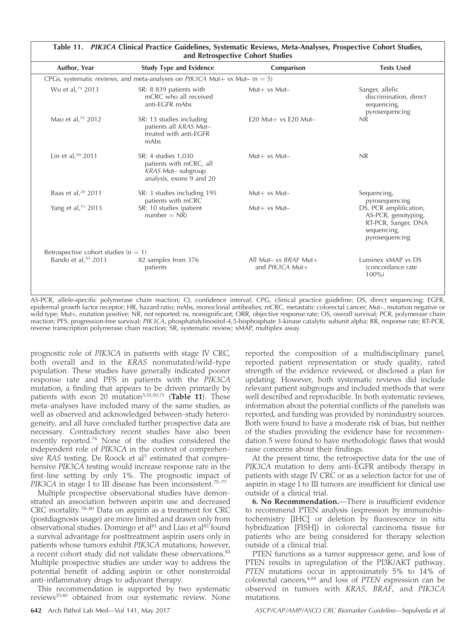|                                          | This extreme interest candemics, systematic nerrors, mean many ses, insepective consituation<br>and Retrospective Cohort Studies |                                              |                                                                                                       |  |  |  |
|------------------------------------------|----------------------------------------------------------------------------------------------------------------------------------|----------------------------------------------|-------------------------------------------------------------------------------------------------------|--|--|--|
| Author, Year                             | <b>Study Type and Evidence</b>                                                                                                   | Comparison                                   | <b>Tests Used</b>                                                                                     |  |  |  |
|                                          | CPGs, systematic reviews, and meta-analyses on PIK3CA Mut+ vs Mut- $(n = 5)$                                                     |                                              |                                                                                                       |  |  |  |
| Wu et al, <sup>73</sup> 2013             | SR: 8 839 patients with<br>mCRC who all received<br>anti-EGFR mAbs                                                               | $M$ ut $+$ vs Mut $-$                        | Sanger, allelic<br>discrimination, direct<br>sequencing,<br>pyrosequencing                            |  |  |  |
| Mao et al, 33 2012                       | SR: 13 studies including<br>patients all KRAS Mut-<br>treated with anti-EGFR<br>mAbs                                             | E20 Mut+ vs E20 Mut-                         | NR.                                                                                                   |  |  |  |
| Lin et al, $50$ 2011                     | SR: 4 studies 1,030<br>patients with mCRC, all<br>KRAS Mut- subgroup<br>analysis, exons 9 and 20                                 | $Mut + vs Mut -$                             | <b>NR</b>                                                                                             |  |  |  |
| Baas et al, $20$ 2011                    | SR: 3 studies including 195<br>patients with mCRC                                                                                | $Mut+ vs Mut-$                               | Sequencing,<br>pyrosequencing                                                                         |  |  |  |
| Yang et al, <sup>71</sup> 2013           | SR: 10 studies (patient<br>$number = NR$                                                                                         | $Mut+ vs Mut-$                               | DS, PCR amplification,<br>AS-PCR, genotyping,<br>RT-PCR, Sanger, DNA<br>sequencing,<br>pyrosequencing |  |  |  |
| Retrospective cohort studies ( $n = 1$ ) |                                                                                                                                  |                                              |                                                                                                       |  |  |  |
| Bando et al, <sup>43</sup> 2013          | 82 samples from 376<br>patients                                                                                                  | All Mut- vs $BRAF$ Mut+<br>and $PIK3CA$ Mut+ | Luminex xMAP vs DS<br>(concordance rate<br>$100\%$                                                    |  |  |  |

Table 11. PIK3CA Clinical Practice Guidelines, Systematic Reviews, Meta-Analyses, Prospective Cohort Studies,

AS-PCR, allele-specific polymerase chain reaction; CI, confidence interval; CPG, clinical practice guideline; DS, direct sequencing; EGFR, epidermal growth factor receptor; HR, hazard ratio; mAbs, monoclonal antibodies; mCRC, metastatic colorectal cancer; Mut–, mutation negative or wild type; Mut+, mutation positive; NR, not reported; ns, nonsignificant; ORR, objective response rate; OS, overall survival; PCR, polymerase chain reaction; PFS, progression-free survival; PIK3CA, phosphatidylinositol-4,5-bisphosphate 3-kinase catalytic subunit alpha; RR, response rate; RT-PCR, reverse transcription polymerase chain reaction; SR, systematic review; xMAP, multiplex assay.

prognostic role of PIK3CA in patients with stage IV CRC, both overall and in the KRAS nonmutated/wild-type population. These studies have generally indicated poorer response rate and PFS in patients with the PIK3CA mutation, a finding that appears to be driven primarily by patients with exon 20 mutation $3,33,50,71$  (Table 11). These meta-analyses have included many of the same studies, as well as observed and acknowledged between-study heterogeneity, and all have concluded further prospective data are necessary. Contradictory recent studies have also been recently reported.<sup>74</sup> None of the studies considered the independent role of PIK3CA in the context of comprehensive  $RAS$  testing. De Roock et al<sup>3</sup> estimated that comprehensive PIK3CA testing would increase response rate in the first-line setting by only 1%. The prognostic impact of PIK3CA in stage I to III disease has been inconsistent.<sup>75-77</sup>

Multiple prospective observational studies have demonstrated an association between aspirin use and decreased CRC mortality.78–80 Data on aspirin as a treatment for CRC (postdiagnosis usage) are more limited and drawn only from observational studies. Domingo et al<sup>81</sup> and Liao et al<sup>82</sup> found a survival advantage for posttreatment aspirin users only in patients whose tumors exhibit PIK3CA mutations; however, a recent cohort study did not validate these observations.<sup>83</sup> Multiple prospective studies are under way to address the potential benefit of adding aspirin or other nonsteroidal anti-inflammatory drugs to adjuvant therapy.

This recommendation is supported by two systematic reviews33,40 obtained from our systematic review. None

reported the composition of a multidisciplinary panel, reported patient representation or study quality, rated strength of the evidence reviewed, or disclosed a plan for updating. However, both systematic reviews did include relevant patient subgroups and included methods that were well described and reproducible. In both systematic reviews, information about the potential conflicts of the panelists was reported, and funding was provided by nonindustry sources. Both were found to have a moderate risk of bias, but neither of the studies providing the evidence base for recommendation 5 were found to have methodologic flaws that would raise concerns about their findings.

At the present time, the retrospective data for the use of PIK3CA mutation to deny anti-EGFR antibody therapy in patients with stage IV CRC or as a selection factor for use of aspirin in stage I to III tumors are insufficient for clinical use outside of a clinical trial.

6. No Recommendation.—There is insufficient evidence to recommend PTEN analysis (expression by immunohistochemistry [IHC] or deletion by fluorescence in situ hybridization [FISH]) in colorectal carcinoma tissue for patients who are being considered for therapy selection outside of a clinical trial.

PTEN functions as a tumor suppressor gene, and loss of PTEN results in upregulation of the PI3K/AKT pathway. PTEN mutations occur in approximately 5% to 14% of colorectal cancers,4,84 and loss of PTEN expression can be observed in tumors with KRAS, BRAF, and PIK3CA mutations.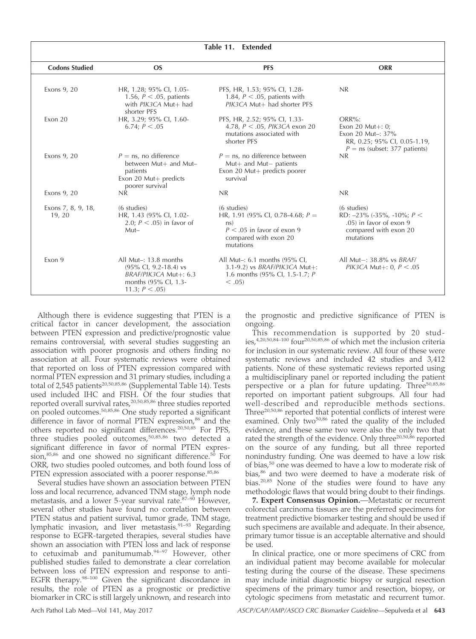|                              |                                                                                                                          | Table 11. Extended                                                                                                             |                                                                                                                   |
|------------------------------|--------------------------------------------------------------------------------------------------------------------------|--------------------------------------------------------------------------------------------------------------------------------|-------------------------------------------------------------------------------------------------------------------|
| <b>Codons Studied</b>        | <b>OS</b>                                                                                                                | <b>PFS</b>                                                                                                                     | <b>ORR</b>                                                                                                        |
| Exons 9, 20                  | HR, 1.28; 95% CI, 1.05-<br>1.56, $P < .05$ , patients<br>with PIK3CA Mut+ had<br>shorter PFS                             | PFS, HR, 1.53; 95% CI, 1.28-<br>1.84, $P < .05$ , patients with<br>PIK3CA Mut+ had shorter PFS                                 | <b>NR</b>                                                                                                         |
| Exon 20                      | HR, 3.29; 95% CI, 1.60-<br>6.74; $P < .05$                                                                               | PFS, HR, 2.52; 95% CI, 1.33-<br>4.78, $P < .05$ , PIK3CA exon 20<br>mutations associated with<br>shorter PFS                   | ORR%:<br>Exon 20 Mut+: 0;<br>Exon 20 Mut-: 37%<br>RR, 0.25; 95% CI, 0.05-1.19,<br>$P =$ ns (subset: 377 patients) |
| Exons 9, 20                  | $P =$ ns, no difference<br>between Mut+ and Mut-<br>patients<br>Exon 20 Mut+ predicts<br>poorer survival                 | $P =$ ns, no difference between<br>$M$ ut + and Mut - patients<br>Exon 20 Mut+ predicts poorer<br>survival                     | <b>NR</b>                                                                                                         |
| Exons 9, 20                  | <b>NR</b>                                                                                                                | NR                                                                                                                             | <b>NR</b>                                                                                                         |
| Exons 7, 8, 9, 18,<br>19, 20 | (6 studies)<br>HR, 1.43 (95% CI, 1.02-<br>2.0; $P < .05$ ) in favor of<br>$Mut-$                                         | (6 studies)<br>HR, 1.91 (95% CI, 0.78-4.68; $P =$<br>ns)<br>$P < .05$ in favor of exon 9<br>compared with exon 20<br>mutations | (6 studies)<br>RD: $-23\%$ (-35%, -10%; $P <$<br>.05) in favor of exon 9<br>compared with exon 20<br>mutations    |
| Exon 9                       | All Mut $-$ : 13.8 months<br>(95% CI, 9.2-18.4) vs<br>BRAF/PIK3CA Mut+: 6.3<br>months (95% CI, 1.3-<br>11.3; $P < .05$ ) | All Mut-: 6.1 months (95% CI,<br>3.1-9.2) vs BRAF/PIK3CA Mut+:<br>1.6 months (95% CI, 1.5-1.7; P<br>< .05)                     | All Mut $-$ : 38.8% vs BRAF/<br>PIK3CA Mut+: 0, $P < .05$                                                         |

Although there is evidence suggesting that PTEN is a critical factor in cancer development, the association between PTEN expression and predictive/prognostic value remains controversial, with several studies suggesting an association with poorer prognosis and others finding no association at all. Four systematic reviews were obtained that reported on loss of PTEN expression compared with normal PTEN expression and 31 primary studies, including a total of 2,545 patients<sup>20,50,85,86</sup> (Supplemental Table 14). Tests used included IHC and FISH. Of the four studies that reported overall survival rates,<sup>20,50,85,86</sup> three studies reported on pooled outcomes.50,85,86 One study reported a significant difference in favor of normal PTEN expression,<sup>86</sup> and the others reported no significant differences.<sup>20,50,85</sup> For PFS, three studies pooled outcomes,<sup>50,85,86</sup> two detected a significant difference in favor of normal PTEN expres $sion,85,86$  and one showed no significant difference.<sup>50</sup> For ORR, two studies pooled outcomes, and both found loss of PTEN expression associated with a poorer response.<sup>85,86</sup>

Several studies have shown an association between PTEN loss and local recurrence, advanced TNM stage, lymph node metastasis, and a lower 5-year survival rate.<sup>87-90</sup> However, several other studies have found no correlation between PTEN status and patient survival, tumor grade, TNM stage, lymphatic invasion, and liver metastasis.<sup>91-93</sup> Regarding response to EGFR-targeted therapies, several studies have shown an association with PTEN loss and lack of response to cetuximab and panitumumab.<sup>94-97</sup> However, other published studies failed to demonstrate a clear correlation between loss of PTEN expression and response to anti-EGFR therapy.98–100 Given the significant discordance in results, the role of PTEN as a prognostic or predictive biomarker in CRC is still largely unknown, and research into

the prognostic and predictive significance of PTEN is ongoing.

This recommendation is supported by 20 studies,4,20,50,84–100 four20,50,85,86 of which met the inclusion criteria for inclusion in our systematic review. All four of these were systematic reviews and included 42 studies and 3,412 patients. None of these systematic reviews reported using a multidisciplinary panel or reported including the patient perspective or a plan for future updating. Three<sup>50,85,86</sup> reported on important patient subgroups. All four had well-described and reproducible methods sections. Three<sup>20,50,86</sup> reported that potential conflicts of interest were examined. Only two<sup>50,86</sup> rated the quality of the included evidence, and these same two were also the only two that rated the strength of the evidence. Only three<sup>20,50,86</sup> reported on the source of any funding, but all three reported nonindustry funding. One was deemed to have a low risk of bias,<sup>50</sup> one was deemed to have a low to moderate risk of bias,<sup>86</sup> and two were deemed to have a moderate risk of bias.20,85 None of the studies were found to have any methodologic flaws that would bring doubt to their findings.

7. Expert Consensus Opinion.—Metastatic or recurrent colorectal carcinoma tissues are the preferred specimens for treatment predictive biomarker testing and should be used if such specimens are available and adequate. In their absence, primary tumor tissue is an acceptable alternative and should be used.

In clinical practice, one or more specimens of CRC from an individual patient may become available for molecular testing during the course of the disease. These specimens may include initial diagnostic biopsy or surgical resection specimens of the primary tumor and resection, biopsy, or cytologic specimens from metastatic and recurrent tumor.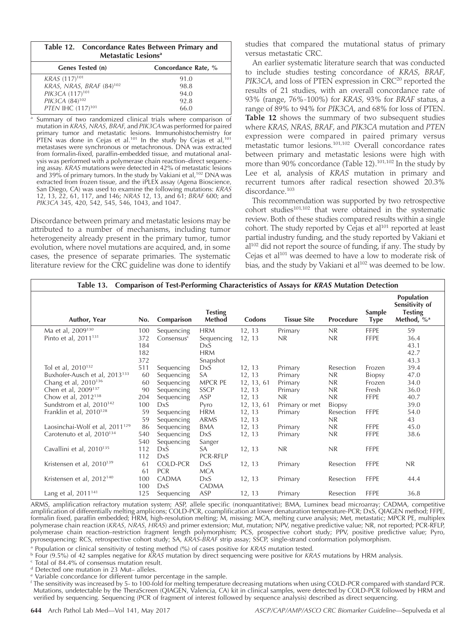| Table 12. Concordance Rates Between Primary and |
|-------------------------------------------------|
| Metastatic Lesions <sup>a</sup>                 |

| Genes Tested (n)                     | Concordance Rate, % |
|--------------------------------------|---------------------|
| $KRAS$ (117) <sup>101</sup>          | 91.0                |
| KRAS, NRAS, BRAF (84) <sup>102</sup> | 98.8                |
| PIK3CA (117) <sup>101</sup>          | 94.0                |
| PIK3CA (84) <sup>102</sup>           | 92.8                |
| PTEN IHC (117) <sup>101</sup>        | 66.0                |

Summary of two randomized clinical trials where comparison of mutation in KRAS, NRAS, BRAF, and PIK3CA was performed for paired primary tumor and metastatic lesions. Immunohistochemistry for<br>PTEN was done in Cejas et al.<sup>101</sup> In the study by Cejas et al,<sup>101</sup> metastases were synchronous or metachronous. DNA was extracted from formalin-fixed, paraffin-embedded tissue, and mutational analysis was performed with a polymerase chain reaction–direct sequencing assay. KRAS mutations were detected in 42% of metastatic lesions and 39% of primary tumors. In the study by Vakiani et al,  $102$  DNA was extracted from frozen tissue, and the iPLEX assay (Agena Bioscience, San Diego, CA) was used to examine the following mutations: KRAS 12, 13, 22, 61, 117, and 146; NRAS 12, 13, and 61; BRAF 600; and PIK3CA 345, 420, 542, 545, 546, 1043, and 1047.

Discordance between primary and metastatic lesions may be attributed to a number of mechanisms, including tumor heterogeneity already present in the primary tumor, tumor evolution, where novel mutations are acquired, and, in some cases, the presence of separate primaries. The systematic literature review for the CRC guideline was done to identify studies that compared the mutational status of primary versus metastatic CRC.

An earlier systematic literature search that was conducted to include studies testing concordance of KRAS, BRAF, PIK3CA, and loss of PTEN expression in CRC<sup>20</sup> reported the results of 21 studies, with an overall concordance rate of 93% (range, 76%-100%) for KRAS, 93% for BRAF status, a range of 89% to 94% for PIK3CA, and 68% for loss of PTEN. Table 12 shows the summary of two subsequent studies where KRAS, NRAS, BRAF, and PIK3CA mutation and PTEN expression were compared in paired primary versus metastatic tumor lesions.101,102 Overall concordance rates between primary and metastatic lesions were high with more than 90% concordance (Table 12).<sup>101,102</sup> In the study by Lee et al, analysis of KRAS mutation in primary and recurrent tumors after radical resection showed 20.3% discordance.<sup>103</sup>

This recommendation was supported by two retrospective cohort studies<sup>101,102</sup> that were obtained in the systematic review. Both of these studies compared results within a single cohort. The study reported by Cejas et al<sup>101</sup> reported at least partial industry funding, and the study reported by Vakiani et al<sup>102</sup> did not report the source of funding, if any. The study by Cejas et al $101$  was deemed to have a low to moderate risk of bias, and the study by Vakiani et al<sup>102</sup> was deemed to be low.

| Comparison of Test-Performing Characteristics of Assays for KRAS Mutation Detection<br>Table 13. |     |                        |                          |            |                    |                |                       |                                                                                    |
|--------------------------------------------------------------------------------------------------|-----|------------------------|--------------------------|------------|--------------------|----------------|-----------------------|------------------------------------------------------------------------------------|
| Author, Year                                                                                     | No. | Comparison             | <b>Testing</b><br>Method | Codons     | <b>Tissue Site</b> | Procedure      | Sample<br><b>Type</b> | <b>Population</b><br>Sensitivity of<br><b>Testing</b><br>Method, $\%$ <sup>a</sup> |
| Ma et al, 2009 <sup>130</sup>                                                                    | 100 | Sequencing             | <b>HRM</b>               | 12, 13     | Primary            | N <sub>R</sub> | <b>FFPE</b>           | 59                                                                                 |
| Pinto et al, 2011 <sup>131</sup>                                                                 | 372 | Consensus <sup>c</sup> | Sequencing               | 12, 13     | NR.                | NR             | <b>FFPE</b>           | 36.4                                                                               |
|                                                                                                  | 184 |                        | DxS                      |            |                    |                |                       | 43.1                                                                               |
|                                                                                                  | 182 |                        | <b>HRM</b>               |            |                    |                |                       | 42.7                                                                               |
|                                                                                                  | 372 |                        | Snapshot                 |            |                    |                |                       | 43.3                                                                               |
| Tol et al, 2010 <sup>132</sup>                                                                   | 511 | Sequencing             | DxS                      | 12, 13     | Primary            | Resection      | Frozen                | 39.4                                                                               |
| Buxhofer-Ausch et al, 2013 <sup>133</sup>                                                        | 60  | Sequencing             | SA                       | 12, 13     | Primary            | NR.            | <b>Biopsy</b>         | 47.0                                                                               |
| Chang et al, $2010^{136}$                                                                        | 60  | Sequencing             | MPCR PE                  | 12, 13, 61 | Primary            | <b>NR</b>      | Frozen                | 34.0                                                                               |
| Chen et al, 2009 <sup>137</sup>                                                                  | 90  | Sequencing             | <b>SSCP</b>              | 12, 13     | Primary            | NR.            | Fresh                 | 36.0                                                                               |
| Chow et al, 2012 <sup>138</sup>                                                                  | 204 | Sequencing             | ASP                      | 12, 13     | N <sub>R</sub>     | NR             | <b>FFPE</b>           | 40.7                                                                               |
| Sundstrom et al, 2010 <sup>142</sup>                                                             | 100 | DxS                    | Pyro                     | 12, 13, 61 | Primary or met     | Biopsy         |                       | 39.0                                                                               |
| Franklin et al, 2010 <sup>128</sup>                                                              | 59  | Sequencing             | <b>HRM</b>               | 12, 13     | Primary            | Resection      | <b>FFPE</b>           | 54.0                                                                               |
|                                                                                                  | 59  | Sequencing             | ARMS                     | 12, 13     |                    | NR.            |                       | 43                                                                                 |
| Laosinchai-Wolf et al, 2011 <sup>129</sup>                                                       | 86  | Sequencing             | <b>BMA</b>               | 12, 13     | Primary            | <b>NR</b>      | <b>FFPE</b>           | 45.0                                                                               |
| Carotenuto et al, 2010 <sup>134</sup>                                                            | 540 | Sequencing             | DxS                      | 12, 13     | Primary            | <b>NR</b>      | <b>FFPE</b>           | 38.6                                                                               |
|                                                                                                  | 540 | Sequencing             | Sanger                   |            |                    |                |                       |                                                                                    |
| Cavallini et al, 2010 <sup>135</sup>                                                             | 112 | DxS                    | SA                       | 12, 13     | NR.                | NR.            | <b>FFPE</b>           |                                                                                    |
|                                                                                                  | 112 | DxS                    | PCR-RFLP                 |            |                    |                |                       |                                                                                    |
| Kristensen et al, 2010 <sup>139</sup>                                                            | 61  | <b>COLD-PCR</b>        | DxS                      | 12, 13     | Primary            | Resection      | FFPE                  | N <sub>R</sub>                                                                     |
|                                                                                                  | 61  | <b>PCR</b>             | <b>MCA</b>               |            |                    |                |                       |                                                                                    |
| Kristensen et al, 2012 <sup>140</sup>                                                            | 100 | <b>CADMA</b>           | DxS                      | 12, 13     | Primary            | Resection      | FFPF                  | 44.4                                                                               |
|                                                                                                  | 100 | DxS                    | <b>CADMA</b>             |            |                    |                |                       |                                                                                    |
| Lang et al, 2011 <sup>141</sup>                                                                  | 125 | Sequencing             | ASP                      | 12, 13     | Primary            | Resection      | FFPE                  | 36.8                                                                               |

ARMS, amplification refractory mutation system; ASP, allele specific (nonquantitative); BMA, Luminex bead microarray; CADMA, competitive amplification of differentially melting amplicons; COLD-PCR, coamplification at lower denaturation temperature-PCR; DxS, QIAGEN method; FFPE, formalin fixed, paraffin embedded; HRM, high-resolution melting; M, missing; MCA, melting curve analysis; Met, metastatic; MPCR PE, multiplex polymerase chain reaction (KRAS, NRAS, HRAS) and primer extension; Mut, mutation; NPV, negative predictive value; NR, not reported; PCR-RFLP, polymerase chain reaction–restriction fragment length polymorphism; PCS, prospective cohort study; PPV, positive predictive value; Pyro, pyrosequencing; RCS, retrospective cohort study; SA, KRAS-BRAF strip assay; SSCP, single-strand conformation polymorphism.

<sup>a</sup> Population or clinical sensitivity of testing method (%) of cases positive for *KRAS* mutation tested.<br><sup>b</sup> Four (9.5%) of 42 samples negative for *KRAS* mutation by direct sequencing were positive for *KRAS* mutations

<sup>d</sup> Detected one mutation in 23 Mut– alleles.

<sup>e</sup> Variable concordance for different tumor percentage in the sample.

<sup>f</sup> The sensitivity was increased by 5- to 100-fold for melting temperature decreasing mutations when using COLD-PCR compared with standard PCR. Mutations, undetectable by the TheraScreen (QIAGEN, Valencia, CA) kit in clinical samples, were detected by COLD-PCR followed by HRM and verified by sequencing. Sequencing (PCR of fragment of interest followed by sequence analysis) described as direct sequencing.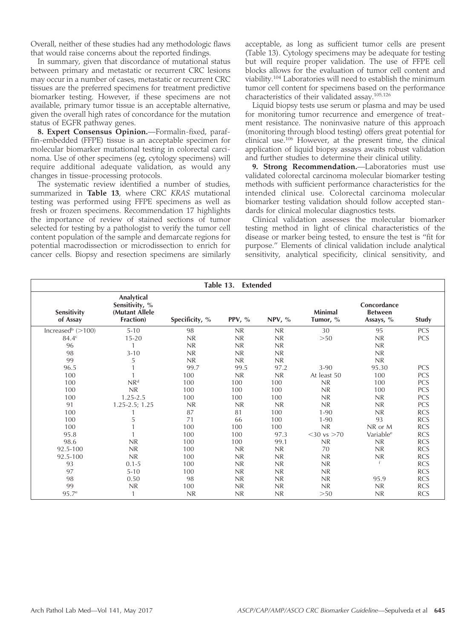Overall, neither of these studies had any methodologic flaws that would raise concerns about the reported findings.

In summary, given that discordance of mutational status between primary and metastatic or recurrent CRC lesions may occur in a number of cases, metastatic or recurrent CRC tissues are the preferred specimens for treatment predictive biomarker testing. However, if these specimens are not available, primary tumor tissue is an acceptable alternative, given the overall high rates of concordance for the mutation status of EGFR pathway genes.

8. Expert Consensus Opinion.—Formalin-fixed, paraffin-embedded (FFPE) tissue is an acceptable specimen for molecular biomarker mutational testing in colorectal carcinoma. Use of other specimens (eg, cytology specimens) will require additional adequate validation, as would any changes in tissue-processing protocols.

The systematic review identified a number of studies, summarized in Table 13, where CRC KRAS mutational testing was performed using FFPE specimens as well as fresh or frozen specimens. Recommendation 17 highlights the importance of review of stained sections of tumor selected for testing by a pathologist to verify the tumor cell content population of the sample and demarcate regions for potential macrodissection or microdissection to enrich for cancer cells. Biopsy and resection specimens are similarly acceptable, as long as sufficient tumor cells are present (Table 13). Cytology specimens may be adequate for testing but will require proper validation. The use of FFPE cell blocks allows for the evaluation of tumor cell content and viability.<sup>104</sup> Laboratories will need to establish the minimum tumor cell content for specimens based on the performance characteristics of their validated assay.105,126

Liquid biopsy tests use serum or plasma and may be used for monitoring tumor recurrence and emergence of treatment resistance. The noninvasive nature of this approach (monitoring through blood testing) offers great potential for clinical use.106 However, at the present time, the clinical application of liquid biopsy assays awaits robust validation and further studies to determine their clinical utility.

9. Strong Recommendation.-Laboratories must use validated colorectal carcinoma molecular biomarker testing methods with sufficient performance characteristics for the intended clinical use. Colorectal carcinoma molecular biomarker testing validation should follow accepted standards for clinical molecular diagnostics tests.

Clinical validation assesses the molecular biomarker testing method in light of clinical characteristics of the disease or marker being tested, to ensure the test is ''fit for purpose.'' Elements of clinical validation include analytical sensitivity, analytical specificity, clinical sensitivity, and

|                               | Table 13. Extended                                          |                |           |           |                            |                                               |            |
|-------------------------------|-------------------------------------------------------------|----------------|-----------|-----------|----------------------------|-----------------------------------------------|------------|
| Sensitivity<br>of Assay       | Analytical<br>Sensitivity, %<br>(Mutant Allele<br>Fraction) | Specificity, % | PPV, $\%$ | NPV, $\%$ | <b>Minimal</b><br>Tumor, % | Concordance<br><b>Between</b><br>Assays, $\%$ | Study      |
| Increased $\rm ^b$ ( $>100$ ) | $5 - 10$                                                    | 98             | NR        | NR        | 30                         | 95                                            | PCS        |
| $84.4^{\circ}$                | $15 - 20$                                                   | NR             | NR        | NR        | >50                        | NR                                            | <b>PCS</b> |
| 96                            | 1                                                           | NR             | NR        | NR        |                            | NR                                            |            |
| 98                            | $3 - 10$                                                    | NR             | NR        | NR        |                            | NR                                            |            |
| 99                            | 5                                                           | NR             | NR        | <b>NR</b> |                            | <b>NR</b>                                     |            |
| 96.5                          |                                                             | 99.7           | 99.5      | 97.2      | $3 - 90$                   | 95.30                                         | PCS        |
| 100                           |                                                             | 100            | NR        | NR        | At least 50                | 100                                           | PCS        |
| 100                           | NR <sup>d</sup>                                             | 100            | 100       | 100       | NR                         | 100                                           | <b>PCS</b> |
| 100                           | NR                                                          | 100            | 100       | 100       | NR                         | 100                                           | PCS        |
| 100                           | $1.25 - 2.5$                                                | 100            | 100       | 100       | <b>NR</b>                  | NR                                            | <b>PCS</b> |
| 91                            | $1.25 - 2.5; 1.25$                                          | NR             | NR        | NR        | NR                         | NR                                            | PCS        |
| 100                           |                                                             | 87             | 81        | 100       | $1 - 90$                   | NR                                            | <b>RCS</b> |
| 100                           | 5                                                           | 71             | 66        | 100       | $1 - 90$                   | 93                                            | <b>RCS</b> |
| 100                           |                                                             | 100            | 100       | 100       | NR                         | NR or M                                       | <b>RCS</b> |
| 95.8                          |                                                             | 100            | 100       | 97.3      | $<$ 30 vs $>$ 70           | Variable <sup>e</sup>                         | <b>RCS</b> |
| 98.6                          | <b>NR</b>                                                   | 100            | 100       | 99.1      | NR                         | NR                                            | <b>RCS</b> |
| 92.5-100                      | <b>NR</b>                                                   | 100            | NR        | NR        | 70                         | NR                                            | <b>RCS</b> |
| 92.5-100                      | NR                                                          | 100            | NR        | NR        | NR                         | NR                                            | <b>RCS</b> |
| 93                            | $0.1 - 5$                                                   | 100            | NR        | NR        | NR                         | $\mathbf{f}$                                  | <b>RCS</b> |
| 97                            | $5 - 10$                                                    | 100            | NR        | NR        | <b>NR</b>                  |                                               | <b>RCS</b> |
| 98                            | 0.50                                                        | 98             | NR        | NR        | NR                         | 95.9                                          | <b>RCS</b> |
| 99                            | <b>NR</b>                                                   | 100            | NR        | NR        | <b>NR</b>                  | <b>NR</b>                                     | <b>RCS</b> |
| 95.7 <sup>e</sup>             | $\mathbf{1}$                                                | NR             | NR        | NR        | >50                        | NR                                            | <b>RCS</b> |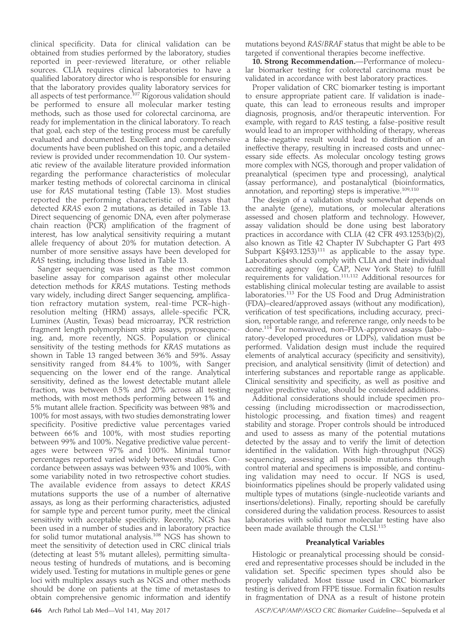clinical specificity. Data for clinical validation can be obtained from studies performed by the laboratory, studies reported in peer-reviewed literature, or other reliable sources. CLIA requires clinical laboratories to have a qualified laboratory director who is responsible for ensuring that the laboratory provides quality laboratory services for all aspects of test performance.<sup>107</sup> Rigorous validation should be performed to ensure all molecular marker testing methods, such as those used for colorectal carcinoma, are ready for implementation in the clinical laboratory. To reach that goal, each step of the testing process must be carefully evaluated and documented. Excellent and comprehensive documents have been published on this topic, and a detailed review is provided under recommendation 10. Our systematic review of the available literature provided information regarding the performance characteristics of molecular marker testing methods of colorectal carcinoma in clinical use for RAS mutational testing (Table 13). Most studies reported the performing characteristic of assays that detected KRAS exon 2 mutations, as detailed in Table 13. Direct sequencing of genomic DNA, even after polymerase chain reaction (PCR) amplification of the fragment of interest, has low analytical sensitivity requiring a mutant allele frequency of about 20% for mutation detection. A number of more sensitive assays have been developed for RAS testing, including those listed in Table 13.

Sanger sequencing was used as the most common baseline assay for comparison against other molecular detection methods for KRAS mutations. Testing methods vary widely, including direct Sanger sequencing, amplification refractory mutation system, real-time PCR–highresolution melting (HRM) assays, allele-specific PCR, Luminex (Austin, Texas) bead microarray, PCR restriction fragment length polymorphism strip assays, pyrosequencing, and, more recently, NGS. Population or clinical sensitivity of the testing methods for KRAS mutations as shown in Table 13 ranged between 36% and 59%. Assay sensitivity ranged from 84.4% to 100%, with Sanger sequencing on the lower end of the range. Analytical sensitivity, defined as the lowest detectable mutant allele fraction, was between 0.5% and 20% across all testing methods, with most methods performing between 1% and 5% mutant allele fraction. Specificity was between 98% and 100% for most assays, with two studies demonstrating lower specificity. Positive predictive value percentages varied between 66% and 100%, with most studies reporting between 99% and 100%. Negative predictive value percentages were between 97% and 100%. Minimal tumor percentages reported varied widely between studies. Concordance between assays was between 93% and 100%, with some variability noted in two retrospective cohort studies. The available evidence from assays to detect KRAS mutations supports the use of a number of alternative assays, as long as their performing characteristics, adjusted for sample type and percent tumor purity, meet the clinical sensitivity with acceptable specificity. Recently, NGS has been used in a number of studies and in laboratory practice for solid tumor mutational analysis.108 NGS has shown to meet the sensitivity of detection used in CRC clinical trials (detecting at least 5% mutant alleles), permitting simultaneous testing of hundreds of mutations, and is becoming widely used. Testing for mutations in multiple genes or gene loci with multiplex assays such as NGS and other methods should be done on patients at the time of metastases to obtain comprehensive genomic information and identify mutations beyond RAS/BRAF status that might be able to be targeted if conventional therapies become ineffective.

10. Strong Recommendation.—Performance of molecular biomarker testing for colorectal carcinoma must be validated in accordance with best laboratory practices.

Proper validation of CRC biomarker testing is important to ensure appropriate patient care. If validation is inadequate, this can lead to erroneous results and improper diagnosis, prognosis, and/or therapeutic intervention. For example, with regard to RAS testing, a false-positive result would lead to an improper withholding of therapy, whereas a false-negative result would lead to distribution of an ineffective therapy, resulting in increased costs and unnecessary side effects. As molecular oncology testing grows more complex with NGS, thorough and proper validation of preanalytical (specimen type and processing), analytical (assay performance), and postanalytical (bioinformatics, annotation, and reporting) steps is imperative.<sup>109,110</sup>

The design of a validation study somewhat depends on the analyte (gene), mutations, or molecular alterations assessed and chosen platform and technology. However, assay validation should be done using best laboratory practices in accordance with CLIA (42 CFR 493.1253(b)(2), also known as Title 42 Chapter IV Subchapter G Part 493 Subpart  $K\left(\frac{5493.1253}{111}\right)$  as applicable to the assay type. Laboratories should comply with CLIA and their individual accrediting agency (eg, CAP, New York State) to fulfill requirements for validation.<sup>111,112</sup> Additional resources for establishing clinical molecular testing are available to assist laboratories.<sup>113</sup> For the US Food and Drug Administration (FDA)–cleared/approved assays (without any modification), verification of test specifications, including accuracy, precision, reportable range, and reference range, only needs to be done.<sup>114</sup> For nonwaived, non–FDA-approved assays (laboratory-developed procedures or LDPs), validation must be performed. Validation design must include the required elements of analytical accuracy (specificity and sensitivity), precision, and analytical sensitivity (limit of detection) and interfering substances and reportable range as applicable. Clinical sensitivity and specificity, as well as positive and negative predictive value, should be considered additions.

Additional considerations should include specimen processing (including microdissection or macrodissection, histologic processing, and fixation times) and reagent stability and storage. Proper controls should be introduced and used to assess as many of the potential mutations detected by the assay and to verify the limit of detection identified in the validation. With high-throughput (NGS) sequencing, assessing all possible mutations through control material and specimens is impossible, and continuing validation may need to occur. If NGS is used, bioinformatics pipelines should be properly validated using multiple types of mutations (single-nucleotide variants and insertions/deletions). Finally, reporting should be carefully considered during the validation process. Resources to assist laboratories with solid tumor molecular testing have also been made available through the CLSI.<sup>115</sup>

# Preanalytical Variables

Histologic or preanalytical processing should be considered and representative processes should be included in the validation set. Specific specimen types should also be properly validated. Most tissue used in CRC biomarker testing is derived from FFPE tissue. Formalin fixation results in fragmentation of DNA as a result of histone protein

646 Arch Pathol Lab Med-Vol 141, May 2017 ASCP/CAP/AMP/ASCO CRC Biomarker Guideline-Sepulveda et al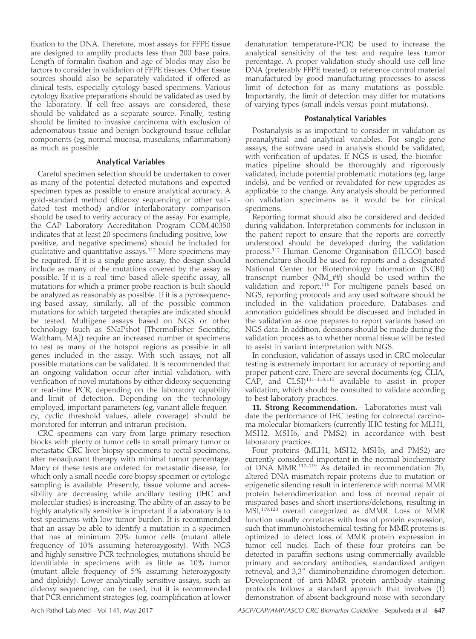fixation to the DNA. Therefore, most assays for FFPE tissue are designed to amplify products less than 200 base pairs. Length of formalin fixation and age of blocks may also be factors to consider in validation of FFPE tissues. Other tissue sources should also be separately validated if offered as clinical tests, especially cytology-based specimens. Various cytology fixative preparations should be validated as used by the laboratory. If cell-free assays are considered, these should be validated as a separate source. Finally, testing should be limited to invasive carcinoma with exclusion of adenomatous tissue and benign background tissue cellular components (eg, normal mucosa, muscularis, inflammation) as much as possible.

# Analytical Variables

Careful specimen selection should be undertaken to cover as many of the potential detected mutations and expected specimen types as possible to ensure analytical accuracy. A gold-standard method (dideoxy sequencing or other validated test method) and/or interlaboratory comparison should be used to verify accuracy of the assay. For example, the CAP Laboratory Accreditation Program COM.40350 indicates that at least 20 specimens (including positive, lowpositive, and negative specimens) should be included for qualitative and quantitative assays.<sup>112</sup> More specimens may be required. If it is a single-gene assay, the design should include as many of the mutations covered by the assay as possible. If it is a real-time–based allele-specific assay, all mutations for which a primer probe reaction is built should be analyzed as reasonably as possible. If it is a pyrosequencing-based assay, similarly, all of the possible common mutations for which targeted therapies are indicated should be tested. Multigene assays based on NGS or other technology (such as SNaPshot [ThermoFisher Scientific, Waltham, MA]) require an increased number of specimens to test as many of the hotspot regions as possible in all genes included in the assay. With such assays, not all possible mutations can be validated. It is recommended that an ongoing validation occur after initial validation, with verification of novel mutations by either dideoxy sequencing or real-time PCR, depending on the laboratory capability and limit of detection. Depending on the technology employed, important parameters (eg, variant allele frequency, cyclic threshold values, allele coverage) should be monitored for interrun and intrarun precision.

CRC specimens can vary from large primary resection blocks with plenty of tumor cells to small primary tumor or metastatic CRC liver biopsy specimens to rectal specimens, after neoadjuvant therapy with minimal tumor percentage. Many of these tests are ordered for metastatic disease, for which only a small needle core biopsy specimen or cytologic sampling is available. Presently, tissue volume and accessibility are decreasing while ancillary testing (IHC and molecular studies) is increasing. The ability of an assay to be highly analytically sensitive is important if a laboratory is to test specimens with low tumor burden. It is recommended that an assay be able to identify a mutation in a specimen that has at minimum 20% tumor cells (mutant allele frequency of 10% assuming heterozygosity). With NGS and highly sensitive PCR technologies, mutations should be identifiable in specimens with as little as 10% tumor (mutant allele frequency of 5% assuming heterozygosity and diploidy). Lower analytically sensitive assays, such as dideoxy sequencing, can be used, but it is recommended that PCR enrichment strategies (eg, coamplification at lower

denaturation temperature-PCR) be used to increase the analytical sensitivity of the test and require less tumor percentage. A proper validation study should use cell line DNA (preferably FFPE treated) or reference control material manufactured by good manufacturing processes to assess limit of detection for as many mutations as possible. Importantly, the limit of detection may differ for mutations of varying types (small indels versus point mutations).

# Postanalytical Variables

Postanalysis is as important to consider in validation as preanalytical and analytical variables. For single-gene assays, the software used in analysis should be validated, with verification of updates. If NGS is used, the bioinformatics pipeline should be thoroughly and rigorously validated, include potential problematic mutations (eg, large indels), and be verified or revalidated for new upgrades as applicable to the change. Any analysis should be performed on validation specimens as it would be for clinical specimens.

Reporting format should also be considered and decided during validation. Interpretation comments for inclusion in the patient report to ensure that the reports are correctly understood should be developed during the validation process.112 Human Genome Organisation (HUGO)–based nomenclature should be used for reports and a designated National Center for Biotechnology Information (NCBI) transcript number (NM\_##) should be used within the validation and report.<sup>116</sup> For multigene panels based on NGS, reporting protocols and any used software should be included in the validation procedure. Databases and annotation guidelines should be discussed and included in the validation as one prepares to report variants based on NGS data. In addition, decisions should be made during the validation process as to whether normal tissue will be tested to assist in variant interpretation with NGS.

In conclusion, validation of assays used in CRC molecular testing is extremely important for accuracy of reporting and proper patient care. There are several documents (eg, CLIA,  $CAP$ , and  $CLSI$ <sup>111–113,115</sup> available to assist in proper validation, which should be consulted to validate according to best laboratory practices.

11. Strong Recommendation.-Laboratories must validate the performance of IHC testing for colorectal carcinoma molecular biomarkers (currently IHC testing for MLH1, MSH2, MSH6, and PMS2) in accordance with best laboratory practices.

Four proteins (MLH1, MSH2, MSH6, and PMS2) are currently considered important in the normal biochemistry of DNA MMR.117–119 As detailed in recommendation 2b, altered DNA mismatch repair proteins due to mutation or epigenetic silencing result in interference with normal MMR protein heterodimerization and loss of normal repair of mispaired bases and short insertions/deletions, resulting in MSI,119,120 overall categorized as dMMR. Loss of MMR function usually correlates with loss of protein expression, such that immunohistochemical testing for MMR proteins is optimized to detect loss of MMR protein expression in tumor cell nuclei. Each of these four proteins can be detected in paraffin sections using commercially available primary and secondary antibodies, standardized antigen retrieval, and 3,3"-diaminobenzidine chromogen detection. Development of anti-MMR protein antibody staining protocols follows a standard approach that involves (1) demonstration of absent background noise with secondary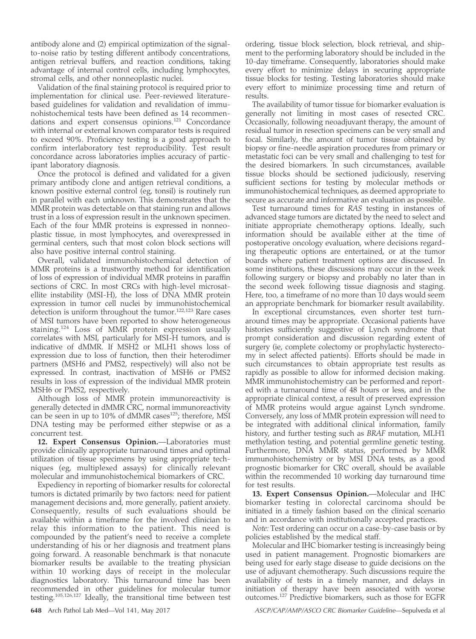antibody alone and (2) empirical optimization of the signalto-noise ratio by testing different antibody concentrations, antigen retrieval buffers, and reaction conditions, taking advantage of internal control cells, including lymphocytes, stromal cells, and other nonneoplastic nuclei.

Validation of the final staining protocol is required prior to implementation for clinical use. Peer-reviewed literaturebased guidelines for validation and revalidation of immunohistochemical tests have been defined as 14 recommendations and expert consensus opinions.<sup>121</sup> Concordance with internal or external known comparator tests is required to exceed 90%. Proficiency testing is a good approach to confirm interlaboratory test reproducibility. Test result concordance across laboratories implies accuracy of participant laboratory diagnosis.

Once the protocol is defined and validated for a given primary antibody clone and antigen retrieval conditions, a known positive external control (eg, tonsil) is routinely run in parallel with each unknown. This demonstrates that the MMR protein was detectable on that staining run and allows trust in a loss of expression result in the unknown specimen. Each of the four MMR proteins is expressed in nonneoplastic tissue, in most lymphocytes, and overexpressed in germinal centers, such that most colon block sections will also have positive internal control staining.

Overall, validated immunohistochemical detection of MMR proteins is a trustworthy method for identification of loss of expression of individual MMR proteins in paraffin sections of CRC. In most CRCs with high-level microsatellite instability (MSI-H), the loss of DNA MMR protein expression in tumor cell nuclei by immunohistochemical detection is uniform throughout the tumor.122,123 Rare cases of MSI tumors have been reported to show heterogeneous staining.<sup>124</sup> Loss of MMR protein expression usually correlates with MSI, particularly for MSI-H tumors, and is indicative of dMMR. If MSH2 or MLH1 shows loss of expression due to loss of function, then their heterodimer partners (MSH6 and PMS2, respectively) will also not be expressed. In contrast, inactivation of MSH6 or PMS2 results in loss of expression of the individual MMR protein MSH6 or PMS2, respectively.

Although loss of MMR protein immunoreactivity is generally detected in dMMR CRC, normal immunoreactivity can be seen in up to 10% of dMMR cases<sup>125</sup>; therefore, MSI DNA testing may be performed either stepwise or as a concurrent test.

12. Expert Consensus Opinion.-Laboratories must provide clinically appropriate turnaround times and optimal utilization of tissue specimens by using appropriate techniques (eg, multiplexed assays) for clinically relevant molecular and immunohistochemical biomarkers of CRC.

Expediency in reporting of biomarker results for colorectal tumors is dictated primarily by two factors: need for patient management decisions and, more generally, patient anxiety. Consequently, results of such evaluations should be available within a timeframe for the involved clinician to relay this information to the patient. This need is compounded by the patient's need to receive a complete understanding of his or her diagnosis and treatment plans going forward. A reasonable benchmark is that nonacute biomarker results be available to the treating physician within 10 working days of receipt in the molecular diagnostics laboratory. This turnaround time has been recommended in other guidelines for molecular tumor testing.105,126,127 Ideally, the transitional time between test

ordering, tissue block selection, block retrieval, and shipment to the performing laboratory should be included in the 10-day timeframe. Consequently, laboratories should make every effort to minimize delays in securing appropriate tissue blocks for testing. Testing laboratories should make every effort to minimize processing time and return of results.

The availability of tumor tissue for biomarker evaluation is generally not limiting in most cases of resected CRC. Occasionally, following neoadjuvant therapy, the amount of residual tumor in resection specimens can be very small and focal. Similarly, the amount of tumor tissue obtained by biopsy or fine-needle aspiration procedures from primary or metastatic foci can be very small and challenging to test for the desired biomarkers. In such circumstances, available tissue blocks should be sectioned judiciously, reserving sufficient sections for testing by molecular methods or immunohistochemical techniques, as deemed appropriate to secure as accurate and informative an evaluation as possible.

Test turnaround times for RAS testing in instances of advanced stage tumors are dictated by the need to select and initiate appropriate chemotherapy options. Ideally, such information should be available either at the time of postoperative oncology evaluation, where decisions regarding therapeutic options are entertained, or at the tumor boards where patient treatment options are discussed. In some institutions, these discussions may occur in the week following surgery or biopsy and probably no later than in the second week following tissue diagnosis and staging. Here, too, a timeframe of no more than 10 days would seem an appropriate benchmark for biomarker result availability.

In exceptional circumstances, even shorter test turnaround times may be appropriate. Occasional patients have histories sufficiently suggestive of Lynch syndrome that prompt consideration and discussion regarding extent of surgery (ie, complete colectomy or prophylactic hysterectomy in select affected patients). Efforts should be made in such circumstances to obtain appropriate test results as rapidly as possible to allow for informed decision making. MMR immunohistochemistry can be performed and reported with a turnaround time of 48 hours or less, and in the appropriate clinical context, a result of preserved expression of MMR proteins would argue against Lynch syndrome. Conversely, any loss of MMR protein expression will need to be integrated with additional clinical information, family history, and further testing such as BRAF mutation, MLH1 methylation testing, and potential germline genetic testing. Furthermore, DNA MMR status, performed by MMR immunohistochemistry or by MSI DNA tests, as a good prognostic biomarker for CRC overall, should be available within the recommended 10 working day turnaround time for test results.

13. Expert Consensus Opinion.-Molecular and IHC biomarker testing in colorectal carcinoma should be initiated in a timely fashion based on the clinical scenario and in accordance with institutionally accepted practices.

Note: Test ordering can occur on a case-by-case basis or by policies established by the medical staff.

Molecular and IHC biomarker testing is increasingly being used in patient management. Prognostic biomarkers are being used for early stage disease to guide decisions on the use of adjuvant chemotherapy. Such discussions require the availability of tests in a timely manner, and delays in initiation of therapy have been associated with worse outcomes.127 Predictive biomarkers, such as those for EGFR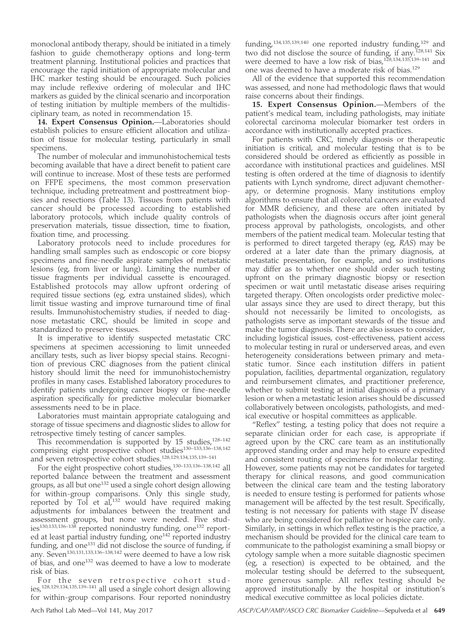monoclonal antibody therapy, should be initiated in a timely fashion to guide chemotherapy options and long-term treatment planning. Institutional policies and practices that encourage the rapid initiation of appropriate molecular and IHC marker testing should be encouraged. Such policies may include reflexive ordering of molecular and IHC markers as guided by the clinical scenario and incorporation of testing initiation by multiple members of the multidisciplinary team, as noted in recommendation 15.

14. Expert Consensus Opinion.—Laboratories should establish policies to ensure efficient allocation and utilization of tissue for molecular testing, particularly in small specimens.

The number of molecular and immunohistochemical tests becoming available that have a direct benefit to patient care will continue to increase. Most of these tests are performed on FFPE specimens, the most common preservation technique, including pretreatment and posttreatment biopsies and resections (Table 13). Tissues from patients with cancer should be processed according to established laboratory protocols, which include quality controls of preservation materials, tissue dissection, time to fixation, fixation time, and processing.

Laboratory protocols need to include procedures for handling small samples such as endoscopic or core biopsy specimens and fine-needle aspirate samples of metastatic lesions (eg, from liver or lung). Limiting the number of tissue fragments per individual cassette is encouraged. Established protocols may allow upfront ordering of required tissue sections (eg, extra unstained slides), which limit tissue wasting and improve turnaround time of final results. Immunohistochemistry studies, if needed to diagnose metastatic CRC, should be limited in scope and standardized to preserve tissues.

It is imperative to identify suspected metastatic CRC specimens at specimen accessioning to limit unneeded ancillary tests, such as liver biopsy special stains. Recognition of previous CRC diagnoses from the patient clinical history should limit the need for immunohistochemistry profiles in many cases. Established laboratory procedures to identify patients undergoing cancer biopsy or fine-needle aspiration specifically for predictive molecular biomarker assessments need to be in place.

Laboratories must maintain appropriate cataloguing and storage of tissue specimens and diagnostic slides to allow for retrospective timely testing of cancer samples.

This recommendation is supported by 15 studies,  $128-142$ comprising eight prospective cohort studies<sup>130-133,136-138,142</sup> and seven retrospective cohort studies.128,129,134,135,139–141

For the eight prospective cohort studies,  $^{\rm 130-133,136-138,142}$  all reported balance between the treatment and assessment groups, as all but one<sup>132</sup> used a single cohort design allowing for within-group comparisons. Only this single study, reported by Tol et al,<sup>132</sup> would have required making adjustments for imbalances between the treatment and assessment groups, but none were needed. Five studies<sup>130,133,136-138</sup> reported nonindustry funding, one<sup>132</sup> reported at least partial industry funding, one<sup>142</sup> reported industry funding, and one<sup>131</sup> did not disclose the source of funding, if any. Seven130,131,133,136–138,142 were deemed to have a low risk of bias, and one<sup>132</sup> was deemed to have a low to moderate risk of bias.

For the seven retrospective cohort studies,128,129,134,135,139–141 all used a single cohort design allowing for within-group comparisons. Four reported nonindustry

funding,<sup>134,135,139,140</sup> one reported industry funding,<sup>129</sup> and two did not disclose the source of funding, if any.128,141 Six were deemed to have a low risk of bias,<sup>128,134,135,139-141</sup> and one was deemed to have a moderate risk of bias.<sup>129</sup>

All of the evidence that supported this recommendation was assessed, and none had methodologic flaws that would raise concerns about their findings.

15. Expert Consensus Opinion.—Members of the patient's medical team, including pathologists, may initiate colorectal carcinoma molecular biomarker test orders in accordance with institutionally accepted practices.

For patients with CRC, timely diagnosis or therapeutic initiation is critical, and molecular testing that is to be considered should be ordered as efficiently as possible in accordance with institutional practices and guidelines. MSI testing is often ordered at the time of diagnosis to identify patients with Lynch syndrome, direct adjuvant chemotherapy, or determine prognosis. Many institutions employ algorithms to ensure that all colorectal cancers are evaluated for MMR deficiency, and these are often initiated by pathologists when the diagnosis occurs after joint general process approval by pathologists, oncologists, and other members of the patient medical team. Molecular testing that is performed to direct targeted therapy (eg, RAS) may be ordered at a later date than the primary diagnosis, at metastatic presentation, for example, and so institutions may differ as to whether one should order such testing upfront on the primary diagnostic biopsy or resection specimen or wait until metastatic disease arises requiring targeted therapy. Often oncologists order predictive molecular assays since they are used to direct therapy, but this should not necessarily be limited to oncologists, as pathologists serve as important stewards of the tissue and make the tumor diagnosis. There are also issues to consider, including logistical issues, cost-effectiveness, patient access to molecular testing in rural or underserved areas, and even heterogeneity considerations between primary and metastatic tumor. Since each institution differs in patient population, facilities, departmental organization, regulatory and reimbursement climates, and practitioner preference, whether to submit testing at initial diagnosis of a primary lesion or when a metastatic lesion arises should be discussed collaboratively between oncologists, pathologists, and medical executive or hospital committees as applicable.

"Reflex" testing, a testing policy that does not require a separate clinician order for each case, is appropriate if agreed upon by the CRC care team as an institutionally approved standing order and may help to ensure expedited and consistent routing of specimens for molecular testing. However, some patients may not be candidates for targeted therapy for clinical reasons, and good communication between the clinical care team and the testing laboratory is needed to ensure testing is performed for patients whose management will be affected by the test result. Specifically, testing is not necessary for patients with stage IV disease who are being considered for palliative or hospice care only. Similarly, in settings in which reflex testing is the practice, a mechanism should be provided for the clinical care team to communicate to the pathologist examining a small biopsy or cytology sample when a more suitable diagnostic specimen (eg, a resection) is expected to be obtained, and the molecular testing should be deferred to the subsequent, more generous sample. All reflex testing should be approved institutionally by the hospital or institution's medical executive committee as local policies dictate.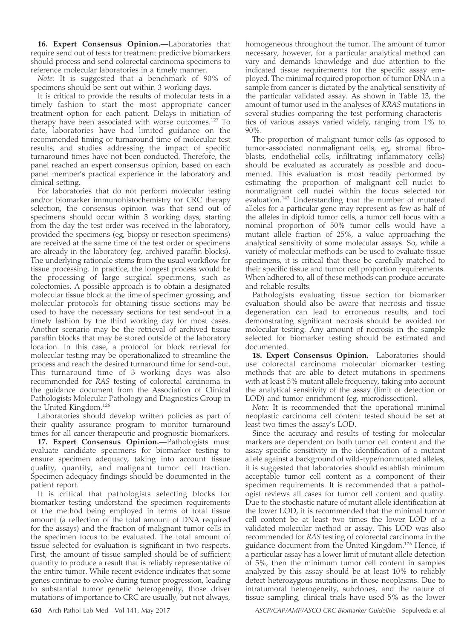16. Expert Consensus Opinion.—Laboratories that require send out of tests for treatment predictive biomarkers should process and send colorectal carcinoma specimens to reference molecular laboratories in a timely manner.

Note: It is suggested that a benchmark of 90% of specimens should be sent out within 3 working days.

It is critical to provide the results of molecular tests in a timely fashion to start the most appropriate cancer treatment option for each patient. Delays in initiation of therapy have been associated with worse outcomes.<sup>127</sup> To date, laboratories have had limited guidance on the recommended timing or turnaround time of molecular test results, and studies addressing the impact of specific turnaround times have not been conducted. Therefore, the panel reached an expert consensus opinion, based on each panel member's practical experience in the laboratory and clinical setting.

For laboratories that do not perform molecular testing and/or biomarker immunohistochemistry for CRC therapy selection, the consensus opinion was that send out of specimens should occur within 3 working days, starting from the day the test order was received in the laboratory, provided the specimens (eg, biopsy or resection specimens) are received at the same time of the test order or specimens are already in the laboratory (eg, archived paraffin blocks). The underlying rationale stems from the usual workflow for tissue processing. In practice, the longest process would be the processing of large surgical specimens, such as colectomies. A possible approach is to obtain a designated molecular tissue block at the time of specimen grossing, and molecular protocols for obtaining tissue sections may be used to have the necessary sections for test send-out in a timely fashion by the third working day for most cases. Another scenario may be the retrieval of archived tissue paraffin blocks that may be stored outside of the laboratory location. In this case, a protocol for block retrieval for molecular testing may be operationalized to streamline the process and reach the desired turnaround time for send-out. This turnaround time of 3 working days was also recommended for RAS testing of colorectal carcinoma in the guidance document from the Association of Clinical Pathologists Molecular Pathology and Diagnostics Group in the United Kingdom.<sup>126</sup>

Laboratories should develop written policies as part of their quality assurance program to monitor turnaround times for all cancer therapeutic and prognostic biomarkers.

17. Expert Consensus Opinion.-- Pathologists must evaluate candidate specimens for biomarker testing to ensure specimen adequacy, taking into account tissue quality, quantity, and malignant tumor cell fraction. Specimen adequacy findings should be documented in the patient report.

It is critical that pathologists selecting blocks for biomarker testing understand the specimen requirements of the method being employed in terms of total tissue amount (a reflection of the total amount of DNA required for the assays) and the fraction of malignant tumor cells in the specimen focus to be evaluated. The total amount of tissue selected for evaluation is significant in two respects. First, the amount of tissue sampled should be of sufficient quantity to produce a result that is reliably representative of the entire tumor. While recent evidence indicates that some genes continue to evolve during tumor progression, leading to substantial tumor genetic heterogeneity, those driver mutations of importance to CRC are usually, but not always,

homogeneous throughout the tumor. The amount of tumor necessary, however, for a particular analytical method can vary and demands knowledge and due attention to the indicated tissue requirements for the specific assay employed. The minimal required proportion of tumor DNA in a sample from cancer is dictated by the analytical sensitivity of the particular validated assay. As shown in Table 13, the amount of tumor used in the analyses of KRAS mutations in several studies comparing the test-performing characteristics of various assays varied widely, ranging from 1% to 90%.

The proportion of malignant tumor cells (as opposed to tumor-associated nonmalignant cells, eg, stromal fibroblasts, endothelial cells, infiltrating inflammatory cells) should be evaluated as accurately as possible and documented. This evaluation is most readily performed by estimating the proportion of malignant cell nuclei to nonmalignant cell nuclei within the focus selected for evaluation.<sup>143</sup> Understanding that the number of mutated alleles for a particular gene may represent as few as half of the alleles in diploid tumor cells, a tumor cell focus with a nominal proportion of 50% tumor cells would have a mutant allele fraction of 25%, a value approaching the analytical sensitivity of some molecular assays. So, while a variety of molecular methods can be used to evaluate tissue specimens, it is critical that these be carefully matched to their specific tissue and tumor cell proportion requirements. When adhered to, all of these methods can produce accurate and reliable results.

Pathologists evaluating tissue section for biomarker evaluation should also be aware that necrosis and tissue degeneration can lead to erroneous results, and foci demonstrating significant necrosis should be avoided for molecular testing. Any amount of necrosis in the sample selected for biomarker testing should be estimated and documented.

18. Expert Consensus Opinion.—Laboratories should use colorectal carcinoma molecular biomarker testing methods that are able to detect mutations in specimens with at least 5% mutant allele frequency, taking into account the analytical sensitivity of the assay (limit of detection or LOD) and tumor enrichment (eg, microdissection).

Note: It is recommended that the operational minimal neoplastic carcinoma cell content tested should be set at least two times the assay's LOD.

Since the accuracy and results of testing for molecular markers are dependent on both tumor cell content and the assay-specific sensitivity in the identification of a mutant allele against a background of wild-type/nonmutated alleles, it is suggested that laboratories should establish minimum acceptable tumor cell content as a component of their specimen requirements. It is recommended that a pathologist reviews all cases for tumor cell content and quality. Due to the stochastic nature of mutant allele identification at the lower LOD, it is recommended that the minimal tumor cell content be at least two times the lower LOD of a validated molecular method or assay. This LOD was also recommended for RAS testing of colorectal carcinoma in the guidance document from the United Kingdom.<sup>126</sup> Hence, if a particular assay has a lower limit of mutant allele detection of 5%, then the minimum tumor cell content in samples analyzed by this assay should be at least 10% to reliably detect heterozygous mutations in those neoplasms. Due to intratumoral heterogeneity, subclones, and the nature of tissue sampling, clinical trials have used 5% as the lower

650 Arch Pathol Lab Med—Vol 141, May 2017 ASCP/CAP/AMP/ASCO CRC Biomarker Guideline—Sepulveda et al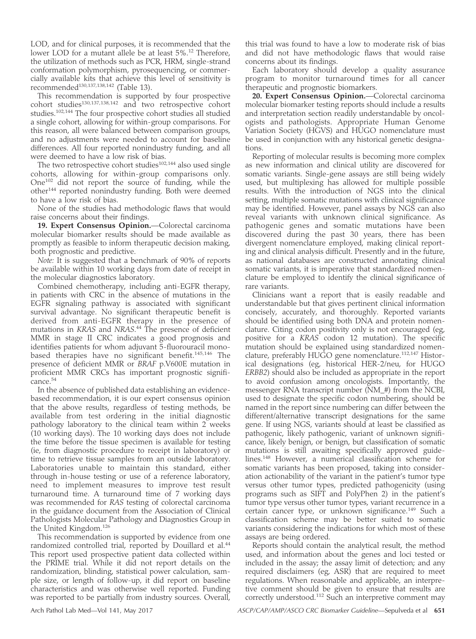LOD, and for clinical purposes, it is recommended that the lower LOD for a mutant allele be at least 5%.<sup>12</sup> Therefore, the utilization of methods such as PCR, HRM, single-strand conformation polymorphism, pyrosequencing, or commercially available kits that achieve this level of sensitivity is recommended<sup>130,137,138,142</sup> (Table 13).

This recommendation is supported by four prospective cohort studies<sup>130,137,138,142</sup> and two retrospective cohort studies.102,144 The four prospective cohort studies all studied a single cohort, allowing for within-group comparisons. For this reason, all were balanced between comparison groups, and no adjustments were needed to account for baseline differences. All four reported nonindustry funding, and all were deemed to have a low risk of bias.

The two retrospective cohort studies $102,144$  also used single cohorts, allowing for within-group comparisons only. One102 did not report the source of funding, while the other<sup>144</sup> reported nonindustry funding. Both were deemed to have a low risk of bias.

None of the studies had methodologic flaws that would raise concerns about their findings.

19. Expert Consensus Opinion.—Colorectal carcinoma molecular biomarker results should be made available as promptly as feasible to inform therapeutic decision making, both prognostic and predictive.

Note: It is suggested that a benchmark of 90% of reports be available within 10 working days from date of receipt in the molecular diagnostics laboratory.

Combined chemotherapy, including anti-EGFR therapy, in patients with CRC in the absence of mutations in the EGFR signaling pathway is associated with significant survival advantage. No significant therapeutic benefit is derived from anti-EGFR therapy in the presence of mutations in KRAS and NRAS. <sup>44</sup> The presence of deficient MMR in stage II CRC indicates a good prognosis and identifies patients for whom adjuvant 5-fluorouracil monobased therapies have no significant benefit.145,146 The presence of deficient MMR or BRAF p.V600E mutation in proficient MMR CRCs has important prognostic significance.<sup>54</sup>

In the absence of published data establishing an evidencebased recommendation, it is our expert consensus opinion that the above results, regardless of testing methods, be available from test ordering in the initial diagnostic pathology laboratory to the clinical team within 2 weeks (10 working days). The 10 working days does not include the time before the tissue specimen is available for testing (ie, from diagnostic procedure to receipt in laboratory) or time to retrieve tissue samples from an outside laboratory. Laboratories unable to maintain this standard, either through in-house testing or use of a reference laboratory, need to implement measures to improve test result turnaround time. A turnaround time of 7 working days was recommended for RAS testing of colorectal carcinoma in the guidance document from the Association of Clinical Pathologists Molecular Pathology and Diagnostics Group in the United Kingdom.<sup>126</sup>

This recommendation is supported by evidence from one randomized controlled trial, reported by Douillard et al.<sup>44</sup> This report used prospective patient data collected within the PRIME trial. While it did not report details on the randomization, blinding, statistical power calculation, sample size, or length of follow-up, it did report on baseline characteristics and was otherwise well reported. Funding was reported to be partially from industry sources. Overall,

this trial was found to have a low to moderate risk of bias and did not have methodologic flaws that would raise concerns about its findings.

Each laboratory should develop a quality assurance program to monitor turnaround times for all cancer therapeutic and prognostic biomarkers.

20. Expert Consensus Opinion.—Colorectal carcinoma molecular biomarker testing reports should include a results and interpretation section readily understandable by oncologists and pathologists. Appropriate Human Genome Variation Society (HGVS) and HUGO nomenclature must be used in conjunction with any historical genetic designations.

Reporting of molecular results is becoming more complex as new information and clinical utility are discovered for somatic variants. Single-gene assays are still being widely used, but multiplexing has allowed for multiple possible results. With the introduction of NGS into the clinical setting, multiple somatic mutations with clinical significance may be identified. However, panel assays by NGS can also reveal variants with unknown clinical significance. As pathogenic genes and somatic mutations have been discovered during the past 30 years, there has been divergent nomenclature employed, making clinical reporting and clinical analysis difficult. Presently and in the future, as national databases are constructed annotating clinical somatic variants, it is imperative that standardized nomenclature be employed to identify the clinical significance of rare variants.

Clinicians want a report that is easily readable and understandable but that gives pertinent clinical information concisely, accurately, and thoroughly. Reported variants should be identified using both DNA and protein nomenclature. Citing codon positivity only is not encouraged (eg, positive for a KRAS codon 12 mutation). The specific mutation should be explained using standardized nomenclature, preferably HUGO gene nomenclature.<sup>112,147</sup> Historical designations (eg, historical HER-2/neu, for HUGO ERBB2) should also be included as appropriate in the report to avoid confusion among oncologists. Importantly, the messenger RNA transcript number (NM\_#) from the NCBI, used to designate the specific codon numbering, should be named in the report since numbering can differ between the different/alternative transcript designations for the same gene. If using NGS, variants should at least be classified as pathogenic, likely pathogenic, variant of unknown significance, likely benign, or benign, but classification of somatic mutations is still awaiting specifically approved guidelines.<sup>148</sup> However, a numerical classification scheme for somatic variants has been proposed, taking into consideration actionability of the variant in the patient's tumor type versus other tumor types, predicted pathogenicity (using programs such as SIFT and PolyPhen 2) in the patient's tumor type versus other tumor types, variant recurrence in a certain cancer type, or unknown significance.<sup>149</sup> Such a classification scheme may be better suited to somatic variants considering the indications for which most of these assays are being ordered.

Reports should contain the analytical result, the method used, and information about the genes and loci tested or included in the assay; the assay limit of detection; and any required disclaimers (eg, ASR) that are required to meet regulations. When reasonable and applicable, an interpretive comment should be given to ensure that results are correctly understood.112 Such an interpretive comment may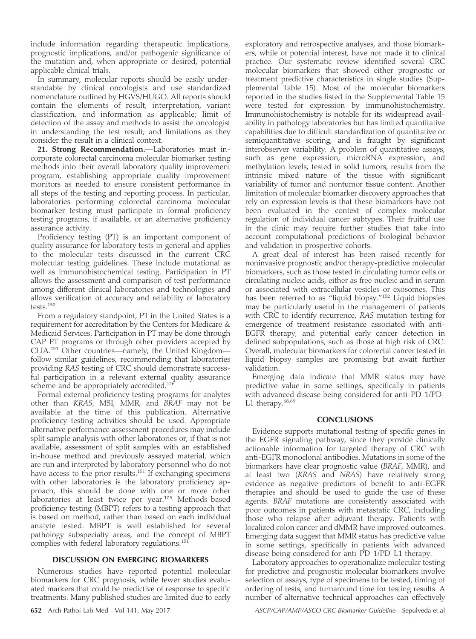include information regarding therapeutic implications, prognostic implications, and/or pathogenic significance of the mutation and, when appropriate or desired, potential applicable clinical trials.

In summary, molecular reports should be easily understandable by clinical oncologists and use standardized nomenclature outlined by HGVS/HUGO. All reports should contain the elements of result, interpretation, variant classification, and information as applicable; limit of detection of the assay and methods to assist the oncologist in understanding the test result; and limitations as they consider the result in a clinical context.

21. Strong Recommendation.—Laboratories must incorporate colorectal carcinoma molecular biomarker testing methods into their overall laboratory quality improvement program, establishing appropriate quality improvement monitors as needed to ensure consistent performance in all steps of the testing and reporting process. In particular, laboratories performing colorectal carcinoma molecular biomarker testing must participate in formal proficiency testing programs, if available, or an alternative proficiency assurance activity.

Proficiency testing (PT) is an important component of quality assurance for laboratory tests in general and applies to the molecular tests discussed in the current CRC molecular testing guidelines. These include mutational as well as immunohistochemical testing. Participation in PT allows the assessment and comparison of test performance among different clinical laboratories and technologies and allows verification of accuracy and reliability of laboratory tests.150

From a regulatory standpoint, PT in the United States is a requirement for accreditation by the Centers for Medicare & Medicaid Services. Participation in PT may be done through CAP PT programs or through other providers accepted by CLIA.<sup>151</sup> Other countries—namely, the United Kingdom follow similar guidelines, recommending that laboratories providing RAS testing of CRC should demonstrate successful participation in a relevant external quality assurance scheme and be appropriately accredited.<sup>126</sup>

Formal external proficiency testing programs for analytes other than KRAS, MSI, MMR, and BRAF may not be available at the time of this publication. Alternative proficiency testing activities should be used. Appropriate alternative performance assessment procedures may include split sample analysis with other laboratories or, if that is not available, assessment of split samples with an established in-house method and previously assayed material, which are run and interpreted by laboratory personnel who do not have access to the prior results.<sup>151</sup> If exchanging specimens with other laboratories is the laboratory proficiency approach, this should be done with one or more other laboratories at least twice per year.<sup>105</sup> Methods-based proficiency testing (MBPT) refers to a testing approach that is based on method, rather than based on each individual analyte tested. MBPT is well established for several pathology subspecialty areas, and the concept of MBPT complies with federal laboratory regulations.<sup>151</sup>

# DISCUSSION ON EMERGING BIOMARKERS

Numerous studies have reported potential molecular biomarkers for CRC prognosis, while fewer studies evaluated markers that could be predictive of response to specific treatments. Many published studies are limited due to early exploratory and retrospective analyses, and those biomarkers, while of potential interest, have not made it to clinical practice. Our systematic review identified several CRC molecular biomarkers that showed either prognostic or treatment predictive characteristics in single studies (Supplemental Table 15). Most of the molecular biomarkers reported in the studies listed in the Supplemental Table 15 were tested for expression by immunohistochemistry. Immunohistochemistry is notable for its widespread availability in pathology laboratories but has limited quantitative capabilities due to difficult standardization of quantitative or semiquantitative scoring, and is fraught by significant interobserver variability. A problem of quantitative assays, such as gene expression, microRNA expression, and methylation levels, tested in solid tumors, results from the intrinsic mixed nature of the tissue with significant variability of tumor and nontumor tissue content. Another limitation of molecular biomarker discovery approaches that rely on expression levels is that these biomarkers have not been evaluated in the context of complex molecular regulation of individual cancer subtypes. Their fruitful use in the clinic may require further studies that take into account computational predictions of biological behavior and validation in prospective cohorts.

A great deal of interest has been raised recently for noninvasive prognostic and/or therapy-predictive molecular biomarkers, such as those tested in circulating tumor cells or circulating nucleic acids, either as free nucleic acid in serum or associated with extracellular vesicles or exosomes. This has been referred to as ''liquid biopsy.''<sup>152</sup> Liquid biopsies may be particularly useful in the management of patients with CRC to identify recurrence, RAS mutation testing for emergence of treatment resistance associated with anti-EGFR therapy, and potential early cancer detection in defined subpopulations, such as those at high risk of CRC. Overall, molecular biomarkers for colorectal cancer tested in liquid biopsy samples are promising but await further validation.

Emerging data indicate that MMR status may have predictive value in some settings, specifically in patients with advanced disease being considered for anti-PD-1/PD-L1 therapy.<sup>68,69</sup>

# **CONCLUSIONS**

Evidence supports mutational testing of specific genes in the EGFR signaling pathway, since they provide clinically actionable information for targeted therapy of CRC with anti-EGFR monoclonal antibodies. Mutations in some of the biomarkers have clear prognostic value (BRAF, MMR), and at least two (KRAS and NRAS) have relatively strong evidence as negative predictors of benefit to anti-EGFR therapies and should be used to guide the use of these agents. BRAF mutations are consistently associated with poor outcomes in patients with metastatic CRC, including those who relapse after adjuvant therapy. Patients with localized colon cancer and dMMR have improved outcomes. Emerging data suggest that MMR status has predictive value in some settings, specifically in patients with advanced disease being considered for anti-PD-1/PD-L1 therapy.

Laboratory approaches to operationalize molecular testing for predictive and prognostic molecular biomarkers involve selection of assays, type of specimens to be tested, timing of ordering of tests, and turnaround time for testing results. A number of alternative technical approaches can effectively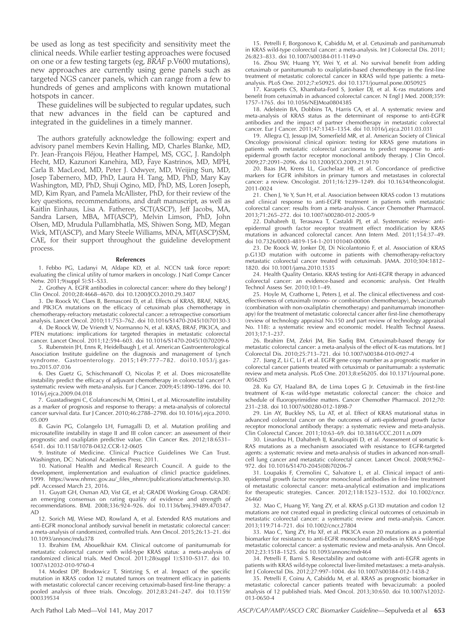be used as long as test specificity and sensitivity meet the clinical needs. While earlier testing approaches were focused on one or a few testing targets (eg, BRAF p.V600 mutations), new approaches are currently using gene panels such as targeted NGS cancer panels, which can range from a few to hundreds of genes and amplicons with known mutational hotspots in cancer.

These guidelines will be subjected to regular updates, such that new advances in the field can be captured and integrated in the guidelines in a timely manner.

The authors gratefully acknowledge the following: expert and advisory panel members Kevin Halling, MD, Charles Blanke, MD, Pr. Jean-François Fléjou, Heather Hampel, MS, CGC, J. Randolph Hecht, MD, Kazunori Kanehira, MD, Faye Kastrinos, MD, MPH, Carla B. MacLeod, MD, Peter J. Odwyer, MD, Weijing Sun, MD, Josep Tabernero, MD, PhD, Laura H. Tang, MD, PhD, Mary Kay Washington, MD, PhD, Shuji Ogino, MD, PhD, MS, Loren Joseph, MD, Kim Ryan, and Pamela McAllister, PhD, for their review of the key questions, recommendations, and draft manuscript, as well as Kaitlin Einhaus, Lisa A. Fatheree, SCT(ASCP), Jeff Jacobs, MA, Sandra Larsen, MBA, MT(ASCP), Melvin Limson, PhD, John Olsen, MD, Mrudula Pullambhatla, MS, Shiwen Song, MD, Megan Wick, MT(ASCP), and Mary Steele Williams, MNA, MT(ASCP)SM, CAE, for their support throughout the guideline development process.

#### References

1. Febbo PG, Ladanyi M, Aldape KD, et al. NCCN task force report: evaluating the clinical utility of tumor markers in oncology. J Natl Compr Cancer Netw. 2011;9(suppl 5):S1–S33.

2. Grothey A. EGFR antibodies in colorectal cancer: where do they belong? J Clin Oncol. 2010;28:4668–4670. doi 10.1200/JCO.2010.29.3407

3. De Roock W, Claes B, Bernasconi D, et al. Effects of KRAS, BRAF, NRAS, and PIK3CA mutations on the efficacy of cetuximab plus chemotherapy in chemotherapy-refractory metastatic colorectal cancer: a retrospective consortium analysis. Lancet Oncol. 2010;11:753–762. doi 10.1016/S1470-2045(10)70130-3

4. De Roock W, De Vriendt V, Normanno N, et al. KRAS, BRAF, PIK3CA, and PTEN mutations: implications for targeted therapies in metastatic colorectal cancer. Lancet Oncol. 2011;12:594–603. doi 10.1016/S1470-2045(10)70209-6

5. Rubenstein JH, Enns R, Heidelbaugh J, et al. American Gastroenterological Association Institute guideline on the diagnosis and management of Lynch syndrome. Gastroenterology. 2015;149:777–782. doi10.1053/j.gastro.2015.07.036

6. Des Guetz G, Schischmanoff O, Nicolas P, et al. Does microsatellite instability predict the efficacy of adjuvant chemotherapy in colorectal cancer? A systematic review with meta-analysis. Eur J Cancer. 2009;45:1890–1896. doi 10. 1016/j.ejca.2009.04.018

7. Guastadisegni C, Colafranceschi M, Ottini L, et al. Microsatellite instability as a marker of prognosis and response to therapy: a meta-analysis of colorectal cancer survival data. Eur J Cancer. 2010;46:2788–2798. doi 10.1016/j.ejca.2010. 05.009

8. Gavin PG, Colangelo LH, Fumagalli D, et al. Mutation profiling and microsatellite instability in stage II and III colon cancer: an assessment of their prognostic and oxaliplatin predictive value. Clin Cancer Res. 2012;18:6531– 6541. doi 10.1158/1078-0432.CCR-12-0605

9. Institute of Medicine. Clinical Practice Guidelines We Can Trust. Washington, DC: National Academies Press; 2011.

10. National Health and Medical Research Council. A guide to the development, implementation and evaluation of clinicl practice guidelines. 1999. [https://www.nhmrc.gov.au/\\_files\\_nhmrc/publications/attachments/cp.30.](https://www.nhmrc.gov.au/_files_nhmrc/publications/attachments/cp.30.pdf) [pdf.](https://www.nhmrc.gov.au/_files_nhmrc/publications/attachments/cp.30.pdf) Accessed March 23, 2016.

11. Guyatt GH, Oxman AD, Vist GE, et al; GRADE Working Group. GRADE: an emerging consensus on rating quality of evidence and strength of recommendations. BMJ. 2008;336:924–926. doi 10.1136/bmj.39489.470347. AD

12. Sorich MJ, Wiese MD, Rowland A, et al. Extended RAS mutations and anti-EGFR monoclonal antibody survival benefit in metastatic colorectal cancer: a meta-analysis of randomized, controlled trials. Ann Oncol. 2015;26:13–21. doi 10.1093/annonc/mdu378

13. Ibrahim EM, Abouelkhair KM. Clinical outcome of panitumumab for metastatic colorectal cancer with wild-type KRAS status: a meta-analysis of randomized clinical trials. Med Oncol. 2011;28(suppl 1):S310–S317. doi 10. 1007/s12032-010-9760-4

14. Modest DP, Brodowicz T, Stintzing S, et al. Impact of the specific mutation in KRAS codon 12 mutated tumors on treatment efficacy in patients with metastatic colorectal cancer receiving cetuximab-based first-line therapy: a pooled analysis of three trials. Oncology. 2012;83:241–247. doi 10.1159/ 000339534

15. Petrelli F, Borgonovo K, Cabiddu M, et al. Cetuximab and panitumumab in KRAS wild-type colorectal cancer: a meta-analysis. Int J Colorectal Dis. 2011; 26:823–833. doi 10.1007/s00384-011-1149-0

16. Zhou SW, Huang YY, Wei Y, et al. No survival benefit from adding cetuximab or panitumumab to oxaliplatin-based chemotherapy in the first-line treatment of metastatic colorectal cancer in KRAS wild type patients: a metaanalysis. PLoS One. 2012;7:e50925. doi 10.1371/journal.pone.0050925

17. Karapetis CS, Khambata-Ford S, Jonker DJ, et al. K-ras mutations and benefit from cetuximab in advanced colorectal cancer. N Engl J Med. 2008;359: 1757–1765. doi 10.1056/NEJMoa0804385

18. Adelstein BA, Dobbins TA, Harris CA, et al. A systematic review and meta-analysis of KRAS status as the determinant of response to anti-EGFR antibodies and the impact of partner chemotherapy in metastatic colorectal cancer. Eur J Cancer. 2011;47:1343–1354. doi 10.1016/j.ejca.2011.03.031

19. Allegra CJ, Jessup JM, Somerfield MR, et al. American Society of Clinical Oncology provisional clinical opinion: testing for KRAS gene mutations in patients with metastatic colorectal carcinoma to predict response to antiepidermal growth factor receptor monoclonal antibody therapy. J Clin Oncol. 2009;27:2091–2096. doi 10.1200/JCO.2009.21.9170

20. Baas JM, Krens LL, Guchelaar HJ, et al. Concordance of predictive markers for EGFR inhibitors in primary tumors and metastases in colorectal cancer: a review. Oncologist. 2011;16:1239–1249. doi 10.1634/theoncologist. 2011-0024

21. Chen J, Ye Y, Sun H, et al. Association between KRAS codon 13 mutations and clinical response to anti-EGFR treatment in patients with metastatic colorectal cancer: results from a meta-analysis. Cancer Chemother Pharmacol. 2013;71:265–272. doi 10.1007/s00280-012-2005-9

22. Dahabreh IJ, Terasawa T, Castaldi PJ, et al. Systematic review: antiepidermal growth factor receptor treatment effect modification by KRAS mutations in advanced colorectal cancer. Ann Intern Med. 2011;154:37–49. doi 10.7326/0003-4819-154-1-201101040-00006

23. De Roock W, Jonker DJ, Di Nicolantonio F, et al. Association of KRAS p.G13D mutation with outcome in patients with chemotherapy-refractory metastatic colorectal cancer treated with cetuximab. JAMA. 2010;304:1812– 1820. doi 10.1001/jama.2010.1535

24. Health Quality Ontario. KRAS testing for Anti-EGFR therapy in advanced colorectal cancer: an evidence-based and economic analysis. Ont Health Technol Assess Ser. 2010;10:1–49.

25. Hoyle M, Crathorne L, Peters J, et al. The clinical effectiveness and costeffectiveness of cetuximab (mono- or combination chemotherapy), bevacizumab (combination with non-oxaliplatin chemotherapy) and panitumumab (monotherapy) for the treatment of metastatic colorectal cancer after first-line chemotherapy (review of technology appraisal No.150 and part review of technology appraisal No. 118): a systematic review and economic model. Health Technol Assess. 2013;17:1–237.

26. Ibrahim EM, Zekri JM, Bin Sadiq BM. Cetuximab-based therapy for metastatic colorectal cancer: a meta-analysis of the effect of K-ras mutations. Int J Colorectal Dis. 2010;25:713–721. doi 10.1007/s00384-010-0927-4

27. Jiang Z, Li C, Li F, et al. EGFR gene copy number as a prognostic marker in colorectal cancer patients treated with cetuximab or panitumumab: a systematic review and meta analysis. PLoS One. 2013;8:e56205. doi 10.1371/journal.pone. 0056205

28. Ku GY, Haaland BA, de Lima Lopes G Jr. Cetuximab in the first-line treatment of K-ras wild-type metastatic colorectal cancer: the choice and schedule of fluoropyrimidine matters. Cancer Chemother Pharmacol. 2012;70: 231–238. doi 10.1007/s00280-012-1898-7

29. Lin AY, Buckley NS, Lu AT, et al. Effect of KRAS mutational status in advanced colorectal cancer on the outcomes of anti-epidermal growth factor receptor monoclonal antibody therapy: a systematic review and meta-analysis. Clin Colorectal Cancer. 2011;10:63–69. doi 10.3816/CCC.2011.n.009

30. Linardou H, Dahabreh IJ, Kanaloupiti D, et al. Assessment of somatic k-RAS mutations as a mechanism associated with resistance to EGFR-targeted agents: a systematic review and meta-analysis of studies in advanced non-smallcell lung cancer and metastatic colorectal cancer. Lancet Oncol. 2008;9:962– 972. doi 10.1016/S1470-2045(08)70206-7

31. Loupakis F, Cremolini C, Salvatore L, et al. Clinical impact of antiepidermal growth factor receptor monoclonal antibodies in first-line treatment of metastatic colorectal cancer: meta-analytical estimation and implications for therapeutic strategies. Cancer. 2012;118:1523–1532. doi 10.1002/cncr. 26460

32. Mao C, Huang YF, Yang ZY, et al. KRAS p.G13D mutation and codon 12 mutations are not created equal in predicting clinical outcomes of cetuximab in metastatic colorectal cancer: a systematic review and meta-analysis. Cancer. 2013;119:714–721. doi 10.1002/cncr.27804

33. Mao C, Yang ZY, Hu XF, et al. PIK3CA exon 20 mutations as a potential biomarker for resistance to anti-EGFR monoclonal antibodies in KRAS wild-type metastatic colorectal cancer: a systematic review and meta-analysis. Ann Oncol. 2012;23:1518–1525. doi 10.1093/annonc/mdr464

34. Petrelli F, Barni S. Resectability and outcome with anti-EGFR agents in patients with KRAS wild-type colorectal liver-limited metastases: a meta-analysis. Int J Colorectal Dis. 2012;27:997–1004. doi 10.1007/s00384-012-1438-2

35. Petrelli F, Coinu A, Cabiddu M, et al. KRAS as prognostic biomarker in metastatic colorectal cancer patients treated with bevacizumab: a pooled analysis of 12 published trials. Med Oncol. 2013;30:650. doi 10.1007/s12032- 013-0650-4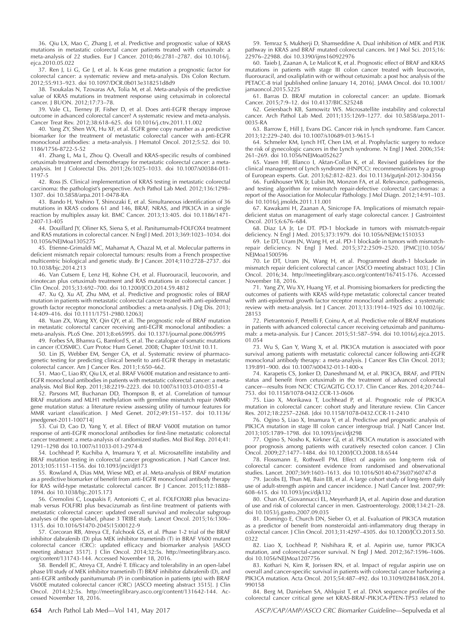36. Qiu LX, Mao C, Zhang J, et al. Predictive and prognostic value of KRAS mutations in metastatic colorectal cancer patients treated with cetuximab: a meta-analysis of 22 studies. Eur J Cancer. 2010;46:2781–2787. doi 10.1016/j. ejca.2010.05.022

37. Ren J, Li G, Ge J, et al. Is K-ras gene mutation a prognostic factor for colorectal cancer: a systematic review and meta-analysis. Dis Colon Rectum. 2012;55:913–923. doi 10.1097/DCR.0b013e318251d8d9

38. Tsoukalas N, Tzovaras AA, Tolia M, et al. Meta-analysis of the predictive value of KRAS mutations in treatment response using cetuximab in colorectal cancer. J BUON. 2012;17:73–78.

39. Vale CL, Tierney JF, Fisher D, et al. Does anti-EGFR therapy improve outcome in advanced colorectal cancer? A systematic review and meta-analysis. Cancer Treat Rev. 2012;38:618–625. doi 10.1016/j.ctrv.2011.11.002

40. Yang ZY, Shen WX, Hu XF, et al. EGFR gene copy number as a predictive biomarker for the treatment of metastatic colorectal cancer with anti-EGFR monoclonal antibodies: a meta-analysis. J Hematol Oncol. 2012;5:52. doi 10. 1186/1756-8722-5-52

41. Zhang L, Ma L, Zhou Q. Overall and KRAS-specific results of combined cetuximab treatment and chemotherapy for metastatic colorectal cancer: a metaanalysis. Int J Colorectal Dis. 2011;26:1025–1033. doi 10.1007/s00384-011- 1197-5

42. Ross JS. Clinical implementation of KRAS testing in metastatic colorectal carcinoma: the pathologist's perspective. Arch Pathol Lab Med. 2012;136:1298– 1307. doi 10.5858/arpa.2011-0478-RA

43. Bando H, Yoshino T, Shinozaki E, et al. Simultaneous identification of 36 mutations in KRAS codons 61 and 146, BRAF, NRAS, and PIK3CA in a single reaction by multiplex assay kit. BMC Cancer. 2013;13:405. doi 10.1186/1471- 2407-13-405

44. Douillard JY, Oliner KS, Siena S, et al. Panitumumab-FOLFOX4 treatment and RAS mutations in colorectal cancer. N Engl J Med. 2013;369:1023–1034. doi 10.1056/NEJMoa1305275

45. Etienne-Grimaldi MC, Mahamat A, Chazal M, et al. Molecular patterns in deficient mismatch repair colorectal tumours: results from a French prospective multicentric biological and genetic study. Br J Cancer. 2014;110:2728–2737. doi 10.1038/bjc.2014.213

46. Van Cutsem E, Lenz HJ, Kohne CH, et al. Fluorouracil, leucovorin, and irinotecan plus cetuximab treatment and RAS mutations in colorectal cancer. J Clin Oncol. 2015;33:692–700. doi 10.1200/JCO.2014.59.4812

47. Xu Q, Xu AT, Zhu MM, et al. Predictive and prognostic roles of BRAF mutation in patients with metastatic colorectal cancer treated with anti-epidermal growth factor receptor monoclonal antibodies: a meta-analysis. J Dig Dis. 2013; 14:409–416. doi 10.1111/1751-2980.12063]

48. Yuan ZX, Wang XY, Qin QY, et al. The prognostic role of BRAF mutation in metastatic colorectal cancer receiving anti-EGFR monoclonal antibodies: a meta-analysis. PLoS One. 2013;8:e65995. doi 10.1371/journal.pone.0065995

49. Forbes SA, Bhamra G, Bamford S, et al. The catalogue of somatic mutations in cancer (COSMIC). Curr Protoc Hum Genet. 2008; Chapter 10:Unit 10.11.

50. Lin JS, Webber EM, Senger CA, et al. Systematic review of pharmacogenetic testing for predicting clinical benefit to anti-EGFR therapy in metastatic colorectal cancer. Am J Cancer Res. 2011;1:650–662.

51. Mao C, Liao RY, Qiu LX, et al. BRAF V600E mutation and resistance to anti-EGFR monoclonal antibodies in patients with metastatic colorectal cancer: a metaanalysis. Mol Biol Rep. 2011;38:2219–2223. doi 10.1007/s11033-010-0351-4

52. Parsons MT, Buchanan DD, Thompson B, et al. Correlation of tumour BRAF mutations and MLH1 methylation with germline mismatch repair (MMR) gene mutation status: a literature review assessing utility of tumour features for MMR variant classification. J Med Genet. 2012;49:151–157. doi 10.1136/ jmedgenet-2011-100714]

53. Cui D, Cao D, Yang Y, et al. Effect of BRAF V600E mutation on tumor response of anti-EGFR monoclonal antibodies for first-line metastatic colorectal cancer treatment: a meta-analysis of randomized studies. Mol Biol Rep. 2014;41: 1291–1298 doi 10.1007/s11033-013-2974-8

54. Lochhead P, Kuchiba A, Imamura Y, et al. Microsatellite instability and BRAF mutation testing in colorectal cancer prognostication. J Natl Cancer Inst. 2013;105:1151–1156. doi 10.1093/jnci/djt173

55. Rowland A, Dias MM, Wiese MD, et al. Meta-analysis of BRAF mutation as a predictive biomarker of benefit from anti-EGFR monoclonal antibody therapy for RAS wild-type metastatic colorectal cancer. Br J Cancer. 2015;112:1888– 1894. doi 10.1038/bjc.2015.173

56. Cremolini C, Loupakis F, Antoniotti C, et al. FOLFOXIRI plus bevacizumab versus FOLFIRI plus bevacizumab as first-line treatment of patients with metastatic colorectal cancer: updated overall survival and molecular subgroup analyses of the open-label, phase 3 TRIBE study. Lancet Oncol. 2015;16:1306– 1315. doi 10.1016/S1470-2045(15)00122-9

57. Corcoran RB, Atreya CE, Falchook GS, et al. Phase 1-2 trial of the BRAF inhibitor dabrafenib (D) plus MEK inhibitor trametinib (T) in BRAF V600 mutant colorectal cancer (CRC): updated efficacy and biomarker analysis [ASCO meeting abstract 3517]. J Clin Oncol. 2014;32:5s. http://meetinglibrary.asco. org/content/131743-144. Accessed November 18, 2016.

58. Bendell JC, Atreya CE, André T. Efficacy and tolerability in an open-label phase I/II study of MEK inhibitor trametinib (T) BRAF inhibitor dabrafenib (D), and anti-EGFR antibody panitumumab (P) in combination in patients (pts) with BRAF V600E mutated colorectal cancer (CRC) [ASCO meeting abstract 3515]. J Clin Oncol. 2014;32:5s. http://meetinglibrary.asco.org/content/131642-144. Accessed November 18, 2016.

59. Temraz S, Mukherji D, Shamseddine A. Dual inhibition of MEK and PI3K pathway in KRAS and BRAF mutated colorectal cancers. Int J Mol Sci. 2015;16: 22976–22988. doi 10.3390/ijms160922976

60. Taieb J, Zaanan A, Le Malicot K, et al. Prognostic effect of BRAF and KRAS mutations in patients with stage III colon cancer treated with leucovorin, fluorouracil, and oxaliplatin with or without cetuximab: a post hoc analysis of the PETACC-8 trial [published online January 14, 2016]. JAMA Oncol. doi 10.1001/ jamaoncol.2015.5225

61. Barras D. BRAF mutation in colorectal cancer: an update. Biomark Cancer. 2015;7:9–12. doi 10.4137/BIC.S25248

62. Geiersbach KB, Samowitz WS. Microsatellite instability and colorectal cancer. Arch Pathol Lab Med. 2011;135:1269–1277. doi 10.5858/arpa.2011- 0035-RA

63. Barrow E, Hill J, Evans DG. Cancer risk in lynch syndrome. Fam Cancer. 2013;12:229–240. doi 10.1007/s10689-013-9615-1

64. Schmeler KM, Lynch HT, Chen LM, et al. Prophylactic surgery to reduce the risk of gynecologic cancers in the Lynch syndrome. N Engl J Med. 2006;354: 261–269. doi 10.1056/NEJMoa052627

65. Vasen HF, Blanco I, Aktan-Collan K, et al. Revised guidelines for the clinical management of Lynch syndrome (HNPCC): recommendations by a group of European experts. Gut. 2013;62:812–823. doi 10.1136/gutjnl-2012-304356

66. Funkhouser WK Jr, Lubin IM, Monzon FA, et al. Relevance, pathogenesis, and testing algorithm for mismatch repair-defective colorectal carcinomas: a report of the Association for Molecular Pathology. J Mol Diagn. 2012;14:91–103. doi 10.1016/j.jmoldx.2011.11.001

67. Kawakami H, Zaanan A, Sinicrope FA. Implications of mismatch repairdeficient status on management of early stage colorectal cancer. J Gastrointest Oncol. 2015;6:676–684.

68. Diaz LA Jr, Le DT. PD-1 blockade in tumors with mismatch-repair deficiency. N Engl J Med. 2015;373:1979. doi 10.1056/NEJMc1510353

69. Le DT, Uram JN, Wang H, et al. PD-1 blockade in tumors with mismatchrepair deficiency. N Engl J Med. 2015;372:2509–2520. [PMC][[10.1056/](http://10.1056/NEJMoa1500596) [NEJMoa1500596](http://10.1056/NEJMoa1500596)

70. Le DT, Uram JN, Wang H, et al. Programmed death-1 blockade in mismatch repair deficient colorectal cancer [ASCO meeting abstract 103]. J Clin Oncol. 2016;34. http://meetinglibrary.asco.org/content/167415-176. Accessed November 18, 2016.

71. Yang ZY, Wu XY, Huang YF, et al. Promising biomarkers for predicting the outcomes of patients with KRAS wild-type metastatic colorectal cancer treated with anti-epidermal growth factor receptor monoclonal antibodies: a systematic review with meta-analysis. Int J Cancer. 2013;133:1914–1925 doi 10.1002/ijc. 28153

72. Pietrantonio F, Petrelli F, Coinu A, et al. Predictive role of BRAF mutations in patients with advanced colorectal cancer receiving cetuximab and panitumumab: a meta-analysis. Eur J Cancer. 2015;51:587–594. doi 10.1016/j.ejca.2015. 01.054

73. Wu S, Gan Y, Wang X, et al. PIK3CA mutation is associated with poor survival among patients with metastatic colorectal cancer following anti-EGFR monoclonal antibody therapy: a meta-analysis. J Cancer Res Clin Oncol. 2013; 139:891–900. doi 10.1007/s00432-013-1400-x

74. Karapetis CS, Jonker D, Daneshmand M, et al. PIK3CA, BRAF, and PTEN status and benefit from cetuximab in the treatment of advanced colorectal cancer—results from NCIC CTG/AGITG CO.17. Clin Cancer Res. 2014;20:744– 753. doi 10.1158/1078-0432.CCR-13-0606

75. Liao X, Morikawa T, Lochhead P, et al. Prognostic role of PIK3CA mutation in colorectal cancer: cohort study and literature review. Clin Cancer Res. 2012;18:2257–2268. [doi 10.1158/1078-0432.CCR-11-2410

76. Ogino S, Liao X, Imamura Y, et al. Predictive and prognostic analysis of PIK3CA mutation in stage III colon cancer intergroup trial. J Natl Cancer Inst. 2013;105:1789–1798. doi 10.1093/jnci/djt298

77. Ogino S, Nosho K, Kirkner GJ, et al. PIK3CA mutation is associated with poor prognosis among patients with curatively resected colon cancer. J Clin Oncol. 2009;27:1477–1484. doi 10.1200/JCO.2008.18.6544

78. Flossmann E, Rothwell PM. Effect of aspirin on long-term risk of colorectal cancer: consistent evidence from randomised and observational studies. Lancet. 2007;369:1603–1613. doi 10.1016/S0140-6736(07)60747-8

79. Jacobs EJ, Thun MJ, Bain EB, et al. A large cohort study of long-term daily use of adult-strength aspirin and cancer incidence. J Natl Cancer Inst. 2007;99: 608–615. doi 10.1093/jnci/djk132

80. Chan AT, Giovannucci EL, Meyerhardt JA, et al. Aspirin dose and duration of use and risk of colorectal cancer in men. Gastroenterology. 2008;134:21–28. doi 10.1053/j.gastro.2007.09.035

81. Domingo E, Church DN, Sieber O, et al. Evaluation of PIK3CA mutation as a predictor of benefit from nonsteroidal anti-inflammatory drug therapy in colorectal cancer. J Clin Oncol. 2013;31:4297–4305. doi 10.1200/JCO.2013.50. 0322

82. Liao X, Lochhead P, Nishihara R, et al. Aspirin use, tumor PIK3CA mutation, and colorectal-cancer survival. N Engl J Med. 2012;367:1596–1606. doi 10.1056/NEJMoa1207756

83. Kothari N, Kim R, Jorissen RN, et al. Impact of regular aspirin use on overall and cancer-specific survival in patients with colorectal cancer harboring a PIK3CA mutation. Acta Oncol. 2015;54:487–492. doi 10.3109/0284186X.2014. 990158

84. Berg M, Danielsen SA, Ahlquist T, et al. DNA sequence profiles of the colorectal cancer critical gene set KRAS-BRAF-PIK3CA-PTEN-TP53 related to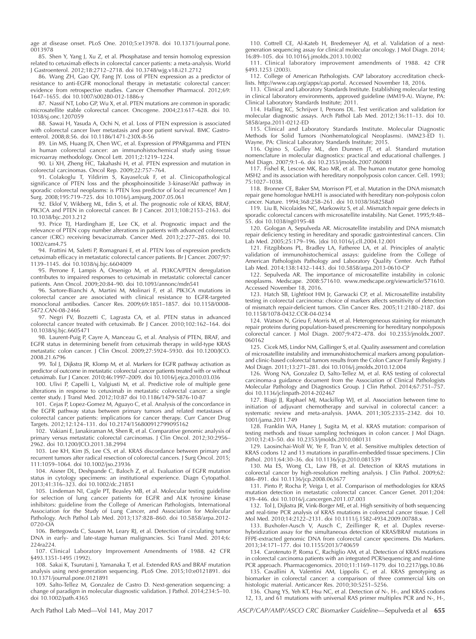age at disease onset. PLoS One. 2010;5:e13978. doi 10.1371/journal.pone. 0013978

85. Shen Y, Yang J, Xu Z, et al. Phosphatase and tensin homolog expression related to cetuximab effects in colorectal cancer patients: a meta-analysis. World J Gastroenterol. 2012;18:2712–2718. doi 10.3748/wjg.v18.i21.2712

86. Wang ZH, Gao QY, Fang JY. Loss of PTEN expression as a predictor of resistance to anti-EGFR monoclonal therapy in metastatic colorectal cancer: evidence from retrospective studies. Cancer Chemother Pharmacol. 2012;69: 1647–1655. doi 10.1007/s00280-012-1886-y

87. Nassif NT, Lobo GP, Wu X, et al. PTEN mutations are common in sporadic microsatellite stable colorectal cancer. Oncogene. 2004;23:617–628. doi 10. 1038/sj.onc.1207059

88. Sawai H, Yasuda A, Ochi N, et al. Loss of PTEN expression is associated with colorectal cancer liver metastasis and poor patient survival. BMC Gastroenterol. 2008;8:56. doi 10.1186/1471-230X-8-56

89. Lin MS, Huang JX, Chen WC, et al. Expression of PPARgamma and PTEN in human colorectal cancer: an immunohistochemical study using tissue microarray methodology. Oncol Lett. 2011;2:1219–1224.

90. Li XH, Zheng HC, Takahashi H, et al. PTEN expression and mutation in colorectal carcinomas. Oncol Rep. 2009;22:757–764.

91. Colakoglu T, Yildirim S, Kayaselcuk F, et al. Clinicopathological significance of PTEN loss and the phosphoinositide 3-kinase/Akt pathway in sporadic colorectal neoplasms: is PTEN loss predictor of local recurrence? Am J Surg. 2008;195:719–725. doi 10.1016/j.amjsurg.2007.05.061

92. Eklof V, Wikberg ML, Edin S, et al. The prognostic role of KRAS, BRAF, PIK3CA and PTEN in colorectal cancer. Br J Cancer. 2013;108:2153–2163. doi 10.1038/bjc.2013.212

93. Price TJ, Hardingham JE, Lee CK, et al. Prognostic impact and the relevance of PTEN copy number alterations in patients with advanced colorectal cancer (CRC) receiving bevacizumab. Cancer Med. 2013;2:277–285. doi 10. 1002/cam4.75

94. Frattini M, Saletti P, Romagnani E, et al. PTEN loss of expression predicts cetuximab efficacy in metastatic colorectal cancer patients. Br J Cancer. 2007;97: 1139–1145. doi 10.1038/sj.bjc.6604009

95. Perrone F, Lampis A, Orsenigo M, et al. PI3KCA/PTEN deregulation contributes to impaired responses to cetuximab in metastatic colorectal cancer patients. Ann Oncol. 2009;20:84–90. doi 10.1093/annonc/mdn541

96. Sartore-Bianchi A, Martini M, Molinari F, et al. PIK3CA mutations in colorectal cancer are associated with clinical resistance to EGFR-targeted monoclonal antibodies. Cancer Res. 2009;69:1851–1857. doi 10.1158/0008- 5472.CAN-08-2466

97. Negri FV, Bozzetti C, Lagrasta CA, et al. PTEN status in advanced colorectal cancer treated with cetuximab. Br J Cancer. 2010;102:162–164. doi 10.1038/sj.bjc.6605471

98. Laurent-Puig P, Cayre A, Manceau G, et al. Analysis of PTEN, BRAF, and EGFR status in determining benefit from cetuximab therapy in wild-type KRAS metastatic colon cancer. J Clin Oncol. 2009;27:5924–5930. doi 10.1200/JCO. 2008.21.6796

99. Tol J, Dijkstra JR, Klomp M, et al. Markers for EGFR pathway activation as predictor of outcome in metastatic colorectal cancer patients treated with or without cetuximab. Eur J Cancer. 2010;46:1997–2009. doi 10.1016/j.ejca.2010.03.036

100. Ulivi P, Capelli L, Valgiusti M, et al. Predictive role of multiple gene alterations in response to cetuximab in metastatic colorectal cancer: a single center study. J Transl Med. 2012;10:87 doi 10.1186/1479-5876-10-87

101. Cejas P, Lopez-Gomez M, Aguayo C, et al. Analysis of the concordance in the EGFR pathway status between primary tumors and related metastases of colorectal cancer patients: implications for cancer therapy. Curr Cancer Drug Targets. 2012;12:124–131. doi 10.2174/156800912799095162

102. Vakiani E, Janakiraman M, Shen R, et al. Comparative genomic analysis of primary versus metastatic colorectal carcinomas. J Clin Oncol. 2012;30:2956– 2962. doi 10.1200/JCO.2011.38.2994

103. Lee KH, Kim JS, Lee CS, et al. KRAS discordance between primary and recurrent tumors after radical resection of colorectal cancers. J Surg Oncol. 2015; 111:1059–1064. doi 10.1002/jso.23936

104. Aisner DL, Deshpande C, Baloch Z, et al. Evaluation of EGFR mutation status in cytology specimens: an institutional experience. Diagn Cytopathol. 2013;41:316–323. doi 10.1002/dc.21851

105. Lindeman NI, Cagle PT, Beasley MB, et al. Molecular testing guideline for selection of lung cancer patients for EGFR and ALK tyrosine kinase inhibitors: guideline from the College of American Pathologists, International Association for the Study of Lung Cancer, and Association for Molecular Pathology. Arch Pathol Lab Med. 2013;137:828–860. doi 10.5858/arpa.2012- 0720-OA

106. Bettegowda C, Sausen M, Leary RJ, et al. Detection of circulating tumor DNA in early- and late-stage human malignancies. Sci Transl Med. 2014;6: 224ra224.

107. Clinical Laboratory Improvement Amendments of 1988. 42 CFR §493.1351-1495 (1992).

108. Sakai K, Tsurutani J, Yamanaka T, et al. Extended RAS and BRAF mutation analysis using next-generation sequencing. PLoS One. 2015;10:e0121891. doi 10.1371/journal.pone.0121891

109. Salto-Tellez M, Gonzalez de Castro D. Next-generation sequencing: a change of paradigm in molecular diagnostic validation. J Pathol. 2014;234:5–10. doi 10.1002/path.4365

110. Cottrell CE, Al-Kateb H, Bredemeyer AJ, et al. Validation of a nextgeneration sequencing assay for clinical molecular oncology. J Mol Diagn. 2014; 16:89–105. doi 10.1016/j.jmoldx.2013.10.002

111. Clinical laboratory improvement amendments of 1988. 42 CFR §493.1253 (2003).

112. College of American Pathologists. CAP laboratory accreditation checklists.<http://www.cap.org/apps/cap.portal>. Accessed November 18, 2016.

113. Clinical and Laboratory Standards Institute. Establishing molecular testing in clinical laboratory environments, approved guideline (MM19-A). Wayne, PA:

Clinical Laboratory Standards Institute; 2011. 114. Halling KC, Schrijver I, Persons DL. Test verification and validation for molecular diagnostic assays. Arch Pathol Lab Med. 2012;136:11–13. doi 10. 5858/arpa.2011-0212-ED

115. Clinical and Laboratory Standards Institute. Molecular Diagnostic Methods for Solid Tumors (Nonhematological Neoplasms). (MM23-ED 1). Wayne, PA: Clinical Laboratory Standards Institute; 2015.

116. Ogino S, Gulley ML, den Dunnen JT, et al. Standard mutation nomenclature in molecular diagnostics: practical and educational challenges. J Mol Diagn. 2007;9:1–6. doi 10.2353/jmoldx.2007.060081

117. Fishel R, Lescoe MK, Rao MR, et al. The human mutator gene homolog MSH2 and its association with hereditary nonpolyposis colon cancer. Cell. 1993; 75:1027–1038.

118. Bronner CE, Baker SM, Morrison PT, et al. Mutation in the DNA mismatch repair gene homologue hMLH1 is associated with hereditary non-polyposis colon cancer. Nature. 1994;368:258–261. doi 10.1038/368258a0

119. Liu B, Nicolaides NC, Markowitz S, et al. Mismatch repair gene defects in sporadic colorectal cancers with microsatellite instability. Nat Genet. 1995;9:48– 55. doi 10.1038/ng0195-48

120. Gologan A, Sepulveda AR. Microsatellite instability and DNA mismatch repair deficiency testing in hereditary and sporadic gastrointestinal cancers. Clin Lab Med. 2005;25:179–196. [doi 10.1016/j.cll.2004.12.001

121. Fitzgibbons PL, Bradley LA, Fatheree LA, et al. Principles of analytic validation of immunohistochemical assays: guideline from the College of American Pathologists Pathology and Laboratory Quality Center. Arch Pathol Lab Med. 2014;138:1432–1443. doi 10.5858/arpa.2013-0610-CP

122. Sepulveda AR. The importance of microsatellite instability in colonic neoplasms. Medscape. 2008:571610. www.medscape.org/viewarticle/571610. Accessed November 18, 2016.

123. Hatch SB, Lightfoot HM Jr, Garwacki CP, et al. Microsatellite instability testing in colorectal carcinoma: choice of markers affects sensitivity of detection of mismatch repair-deficient tumors. Clin Cancer Res. 2005;11:2180–2187. doi 10.1158/1078-0432.CCR-04-0234

124. Watson N, Grieu F, Morris M, et al. Heterogeneous staining for mismatch repair proteins during population-based prescreening for hereditary nonpolyposis colorectal cancer. J Mol Diagn. 2007;9:472–478. doi 10.2353/jmoldx.2007. 060162

125. Cicek MS, Lindor NM, Gallinger S, et al. Quality assessment and correlation of microsatellite instability and immunohistochemical markers among populationand clinic-based colorectal tumors results from the Colon Cancer Family Registry. J

Mol Diagn. 2011;13:271–281. doi 10.1016/j.jmoldx.2010.12.004 126. Wong NA, Gonzalez D, Salto-Tellez M, et al. RAS testing of colorectal carcinoma-a guidance document from the Association of Clinical Pathologists Molecular Pathology and Diagnostics Group. J Clin Pathol. 2014;67:751–757. doi 10.1136/jclinpath-2014-202467

127. Biagi JJ, Raphael MJ, Mackillop WJ, et al. Association between time to initiation of adjuvant chemotherapy and survival in colorectal cancer: a systematic review and meta-analysis. JAMA. 2011;305:2335–2342. doi 10. 1001/jama.2011.749

128. Franklin WA, Haney J, Sugita M, et al. KRAS mutation: comparison of testing methods and tissue sampling techniques in colon cancer. J Mol Diagn. 2010;12:43–50. doi 10.2353/jmoldx.2010.080131

129. Laosinchai-Wolf W, Ye F, Tran V, et al. Sensitive multiplex detection of KRAS codons 12 and 13 mutations in paraffin-embedded tissue specimens. J Clin Pathol. 2011;64:30–36. doi 10.1136/jcp.2010.081539

130. Ma ES, Wong CL, Law FB, et al. Detection of KRAS mutations in colorectal cancer by high-resolution melting analysis. J Clin Pathol. 2009;62: 886–891. doi 10.1136/jcp.2008.063677

131. Pinto P, Rocha P, Veiga I, et al. Comparison of methodologies for KRAS mutation detection in metastatic colorectal cancer. Cancer Genet. 2011;204: 439–446. doi 10.1016/j.cancergen.2011.07.003

132. Tol J, Dijkstra JR, Vink-Borger ME, et al. High sensitivity of both sequencing and real-time PCR analysis of KRAS mutations in colorectal cancer tissue. J Cell Mol Med. 2010;14:2122–2131. doi 10.1111/j.1582-4934.2009.00788.x

133. Buxhofer-Ausch V, Ausch C, Zeillinger R, et al. Duplex reversehybridization assay for the simultaneous detection of KRAS/BRAF mutations in FFPE-extracted genomic DNA from colorectal cancer specimens. Dis Markers. 2013;34:171–177. doi 10.1155/2013/740659

134. Carotenuto P, Roma C, Rachiglio AM, et al. Detection of KRAS mutations in colorectal carcinoma patients with an integrated PCR/sequencing and real-time PCR approach. Pharmacogenomics. 2010;11:1169–1179. doi 10.2217/pgs.10.86

135. Cavallini A, Valentini AM, Lippolis C, et al. KRAS genotyping as biomarker in colorectal cancer: a comparison of three commercial kits on histologic material. Anticancer Res. 2010;30:5251–5256.

136. Chang YS, Yeh KT, Hsu NC, et al. Detection of N-, H-, and KRAS codons 12, 13, and 61 mutations with universal RAS primer multiplex PCR and N-, H-,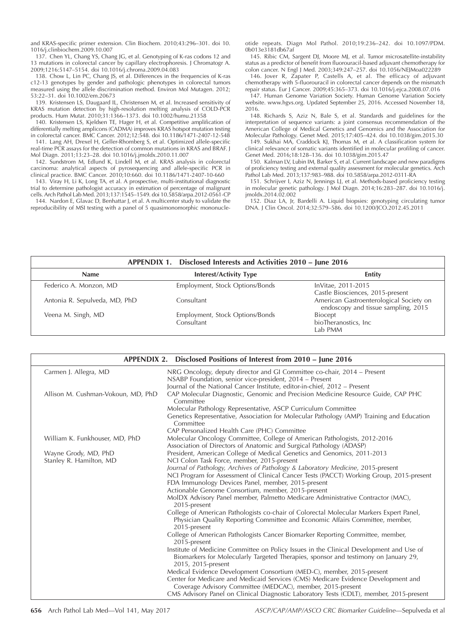and KRAS-specific primer extension. Clin Biochem. 2010;43:296–301. doi 10. 1016/j.clinbiochem.2009.10.007

137. Chen YL, Chang YS, Chang JG, et al. Genotyping of K-ras codons 12 and 13 mutations in colorectal cancer by capillary electrophoresis. J Chromatogr A. 2009;1216:5147–5154. doi 10.1016/j.chroma.2009.04.083

138. Chow L, Lin PC, Chang JS, et al. Differences in the frequencies of K-ras c12-13 genotypes by gender and pathologic phenotypes in colorectal tumors measured using the allele discrimination method. Environ Mol Mutagen. 2012; 53:22–31. doi 10.1002/em.20673

139. Kristensen LS, Daugaard IL, Christensen M, et al. Increased sensitivity of KRAS mutation detection by high-resolution melting analysis of COLD-PCR products. Hum Mutat. 2010;31:1366–1373. doi 10.1002/humu.21358

140. Kristensen LS, Kjeldsen TE, Hager H, et al. Competitive amplification of differentially melting amplicons (CADMA) improves KRAS hotspot mutation testing in colorectal cancer. BMC Cancer. 2012;12:548. doi 10.1186/1471-2407-12-548

141. Lang AH, Drexel H, Geller-Rhomberg S, et al. Optimized allele-specific real-time PCR assays for the detection of common mutations in KRAS and BRAF. J Mol Diagn. 2011;13:23–28. doi 10.1016/j.jmoldx.2010.11.007

142. Sundstrom M, Edlund K, Lindell M, et al. KRAS analysis in colorectal carcinoma: analytical aspects of pyrosequencing and allele-specific PCR in clinical practice. BMC Cancer. 2010;10:660. doi 10.1186/1471-2407-10-660

143. Viray H, Li K, Long TA, et al. A prospective, multi-institutional diagnostic trial to determine pathologist accuracy in estimation of percentage of malignant cells. Arch Pathol Lab Med. 2013;137:1545–1549. doi 10.5858/arpa.2012-0561-CP

144. Nardon E, Glavac D, Benhattar J, et al. A multicenter study to validate the reproducibility of MSI testing with a panel of 5 quasimonomorphic mononucleotide repeats. Diagn Mol Pathol. 2010;19:236–242. doi 10.1097/PDM. 0b013e3181db67af

145. Ribic CM, Sargent DJ, Moore MJ, et al. Tumor microsatellite-instability status as a predictor of benefit from fluorouracil-based adjuvant chemotherapy for colon cancer. N Engl J Med. 2003;349:247–257. doi 10.1056/NEJMoa022289

146. Jover R, Zapater P, Castells A, et al. The efficacy of adjuvant chemotherapy with 5-fluorouracil in colorectal cancer depends on the mismatch repair status. Eur J Cancer. 2009;45:365–373. doi 10.1016/j.ejca.2008.07.016

147. Human Genome Variation Society. Human Genome Variation Society website. [www.hgvs.org](http://www.hgvs.org). Updated September 25, 2016. Accessed November 18, 2016.

148. Richards S, Aziz N, Bale S, et al. Standards and guidelines for the interpretation of sequence variants: a joint consensus recommendation of the American College of Medical Genetics and Genomics and the Association for Molecular Pathology. Genet Med. 2015;17:405–424. doi 10.1038/gim.2015.30

149. Sukhai MA, Craddock KJ, Thomas M, et al. A classification system for clinical relevance of somatic variants identified in molecular profiling of cancer. Genet Med. 2016;18:128–136. doi 10.1038/gim.2015.47

150. Kalman LV, Lubin IM, Barker S, et al. Current landscape and new paradigms of proficiency testing and external quality assessment for molecular genetics. Arch Pathol Lab Med. 2013;137:983–988. doi 10.5858/arpa.2012-0311-RA

151. Schrijver I, Aziz N, Jennings LJ, et al. Methods-based proficiency testing in molecular genetic pathology. J Mol Diagn. 2014;16:283–287. doi 10.1016/j. jmoldx.2014.02.002

152. Diaz LA, Jr, Bardelli A. Liquid biopsies: genotyping circulating tumor DNA. J Clin Oncol. 2014;32:579–586. doi 10.1200/JCO.2012.45.2011

# APPENDIX 1. Disclosed Interests and Activities 2010 – June 2016

| <b>Name</b>                   | <b>Interest/Activity Type</b>                 | <b>Entity</b>                                                                                                      |  |  |  |  |
|-------------------------------|-----------------------------------------------|--------------------------------------------------------------------------------------------------------------------|--|--|--|--|
| Federico A. Monzon, MD        | Employment, Stock Options/Bonds               | InVitae, 2011-2015                                                                                                 |  |  |  |  |
| Antonia R. Sepulveda, MD, PhD | Consultant                                    | Castle Biosciences, 2015-present<br>American Gastroenterological Society on<br>endoscopy and tissue sampling, 2015 |  |  |  |  |
| Veena M. Singh, MD            | Employment, Stock Options/Bonds<br>Consultant | Biocept<br>bioTheranostics, Inc<br>Lab PMM                                                                         |  |  |  |  |

|                                    | APPENDIX 2. Disclosed Positions of Interest from 2010 – June 2016                                                                                                                                                                                                                                                                    |
|------------------------------------|--------------------------------------------------------------------------------------------------------------------------------------------------------------------------------------------------------------------------------------------------------------------------------------------------------------------------------------|
| Carmen J. Allegra, MD              | NRG Oncology, deputy director and GI Committee co-chair, 2014 – Present<br>NSABP Foundation, senior vice-president, 2014 - Present<br>Journal of the National Cancer Institute, editor-in-chief, 2012 - Present                                                                                                                      |
| Allison M. Cushman-Vokoun, MD, PhD | CAP Molecular Diagnostic, Genomic and Precision Medicine Resource Guide, CAP PHC<br>Committee<br>Molecular Pathology Representative, ASCP Curriculum Committee                                                                                                                                                                       |
|                                    | Genetics Representative, Association for Molecular Pathology (AMP) Training and Education<br>Committee<br>CAP Personalized Health Care (PHC) Committee                                                                                                                                                                               |
| William K. Funkhouser, MD, PhD     | Molecular Oncology Committee, College of American Pathologists, 2012-2016<br>Association of Directors of Anatomic and Surgical Pathology (ADASP)                                                                                                                                                                                     |
| Wayne Grody, MD, PhD               | President, American College of Medical Genetics and Genomics, 2011-2013                                                                                                                                                                                                                                                              |
| Stanley R. Hamilton, MD            | NCI Colon Task Force, member, 2015-present<br>Journal of Pathology, Archives of Pathology & Laboratory Medicine, 2015-present<br>NCI Program for Assessment of Clinical Cancer Tests (PACCT) Working Group, 2015-present<br>FDA Immunology Devices Panel, member, 2015-present<br>Actionable Genome Consortium, member, 2015-present |
|                                    | MoIDX Advisory Panel member, Palmetto Medicare Administrative Contractor (MAC),<br>2015-present                                                                                                                                                                                                                                      |
|                                    | College of American Pathologists co-chair of Colorectal Molecular Markers Expert Panel,<br>Physician Quality Reporting Committee and Economic Affairs Committee, member,<br>2015-present                                                                                                                                             |
|                                    | College of American Pathologists Cancer Biomarker Reporting Committee, member,<br>2015-present                                                                                                                                                                                                                                       |
|                                    | Institute of Medicine Committee on Policy Issues in the Clinical Development and Use of<br>Biomarkers for Molecularly Targeted Therapies, sponsor and testimony on January 29,<br>2015, 2015-present                                                                                                                                 |
|                                    | Medical Evidence Development Consortium (MED-C), member, 2015-present<br>Center for Medicare and Medicaid Services (CMS) Medicare Evidence Development and<br>Coverage Advisory Committee (MEDCAC), member, 2015-present                                                                                                             |
|                                    | CMS Advisory Panel on Clinical Diagnostic Laboratory Tests (CDLT), member, 2015-present                                                                                                                                                                                                                                              |